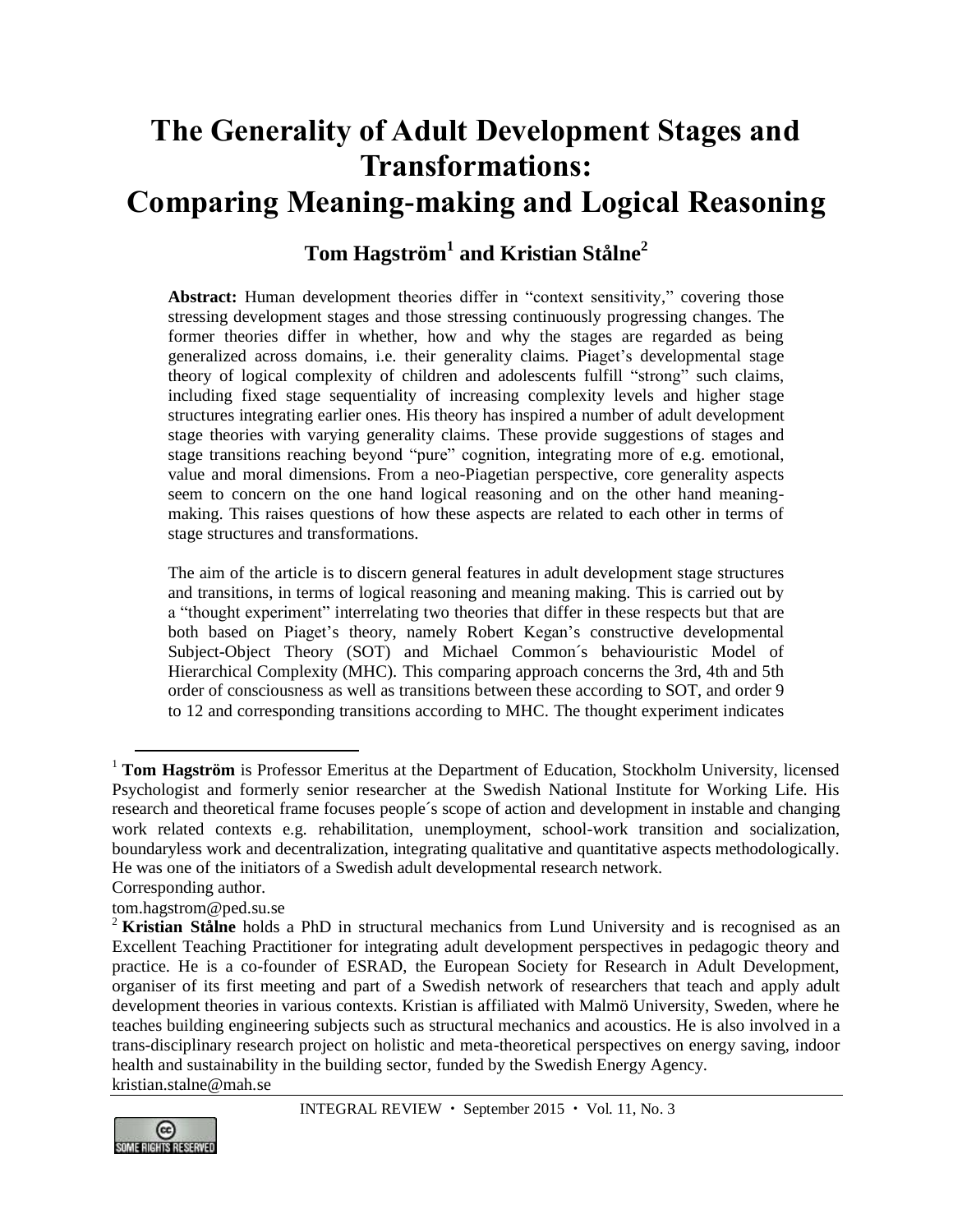# **The Generality of Adult Development Stages and Transformations: Comparing Meaning-making and Logical Reasoning**

# **Tom Hagström<sup>1</sup> and Kristian Stålne<sup>2</sup>**

**Abstract:** Human development theories differ in "context sensitivity," covering those stressing development stages and those stressing continuously progressing changes. The former theories differ in whether, how and why the stages are regarded as being generalized across domains, i.e. their generality claims. Piaget's developmental stage theory of logical complexity of children and adolescents fulfill "strong" such claims, including fixed stage sequentiality of increasing complexity levels and higher stage structures integrating earlier ones. His theory has inspired a number of adult development stage theories with varying generality claims. These provide suggestions of stages and stage transitions reaching beyond "pure" cognition, integrating more of e.g. emotional, value and moral dimensions. From a neo-Piagetian perspective, core generality aspects seem to concern on the one hand logical reasoning and on the other hand meaningmaking. This raises questions of how these aspects are related to each other in terms of stage structures and transformations.

The aim of the article is to discern general features in adult development stage structures and transitions, in terms of logical reasoning and meaning making. This is carried out by a "thought experiment" interrelating two theories that differ in these respects but that are both based on Piaget's theory, namely Robert Kegan's constructive developmental Subject-Object Theory (SOT) and Michael Common´s behaviouristic Model of Hierarchical Complexity (MHC). This comparing approach concerns the 3rd, 4th and 5th order of consciousness as well as transitions between these according to SOT, and order 9 to 12 and corresponding transitions according to MHC. The thought experiment indicates

Corresponding author.

 $\overline{a}$ 

[tom.hagstrom@ped.su.se](mailto:tom.hagstrom@ped.su.se)

<sup>&</sup>lt;sup>2</sup> Kristian Stålne holds a PhD in structural mechanics from Lund University and is recognised as an Excellent Teaching Practitioner for integrating adult development perspectives in pedagogic theory and practice. He is a co-founder of ESRAD, the European Society for Research in Adult Development, organiser of its first meeting and part of a Swedish network of researchers that teach and apply adult development theories in various contexts. Kristian is affiliated with Malmö University, Sweden, where he teaches building engineering subjects such as structural mechanics and acoustics. He is also involved in a trans-disciplinary research project on holistic and meta-theoretical perspectives on energy saving, indoor health and sustainability in the building sector, funded by the Swedish Energy Agency. [kristian.stalne@mah.se](mailto:kristian.stalne@mah.se)



<sup>&</sup>lt;sup>1</sup> **Tom Hagström** is Professor Emeritus at the Department of Education, Stockholm University, licensed Psychologist and formerly senior researcher at the Swedish National Institute for Working Life. His research and theoretical frame focuses people´s scope of action and development in instable and changing work related contexts e.g. rehabilitation, unemployment, school-work transition and socialization, boundaryless work and decentralization, integrating qualitative and quantitative aspects methodologically. He was one of the initiators of a Swedish adult developmental research network.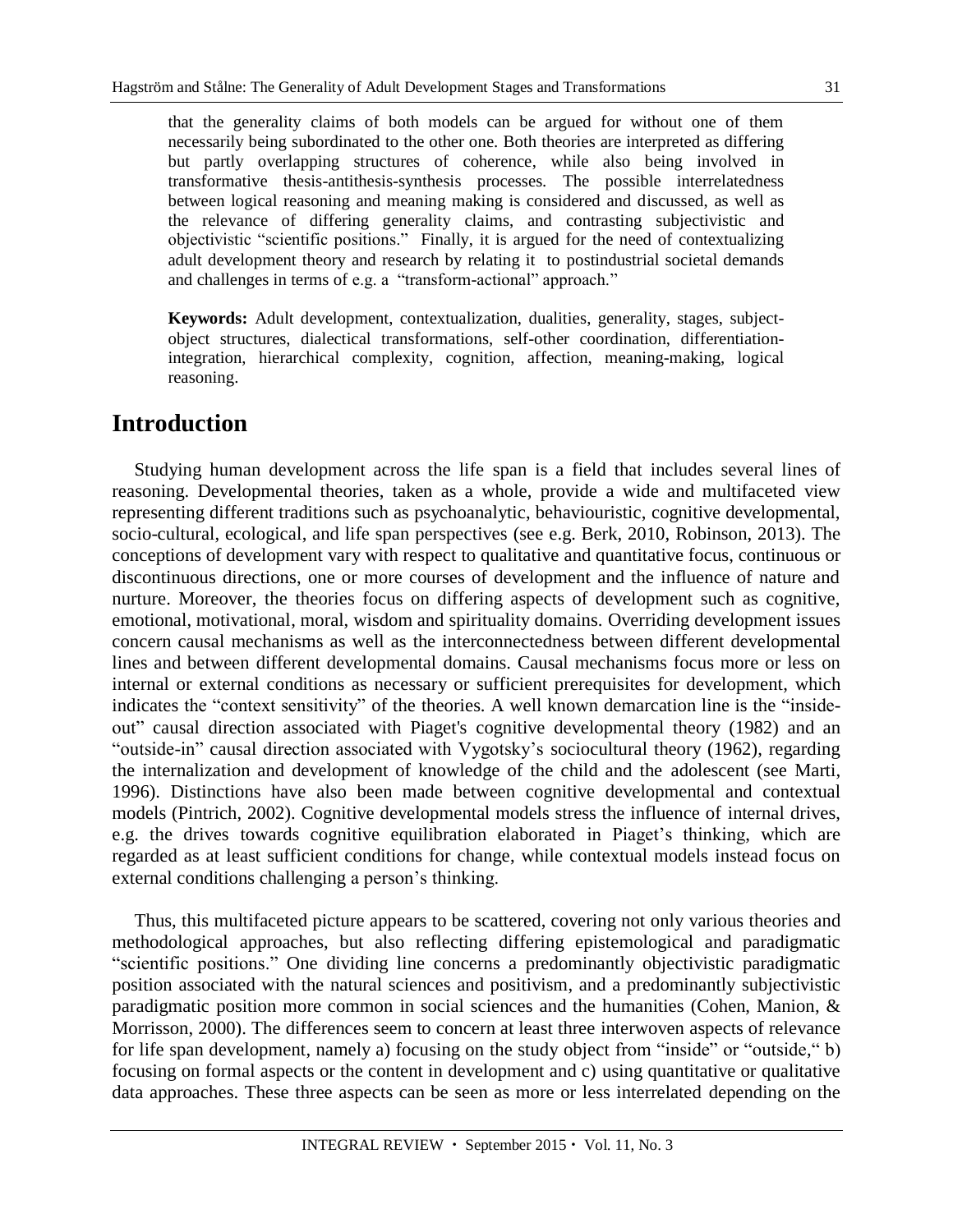that the generality claims of both models can be argued for without one of them necessarily being subordinated to the other one. Both theories are interpreted as differing but partly overlapping structures of coherence, while also being involved in transformative thesis-antithesis-synthesis processes. The possible interrelatedness between logical reasoning and meaning making is considered and discussed, as well as the relevance of differing generality claims, and contrasting subjectivistic and objectivistic "scientific positions." Finally, it is argued for the need of contextualizing adult development theory and research by relating it to postindustrial societal demands and challenges in terms of e.g. a "transform-actional" approach."

**Keywords:** Adult development, contextualization, dualities, generality, stages, subjectobject structures, dialectical transformations, self-other coordination, differentiationintegration, hierarchical complexity, cognition, affection, meaning-making, logical reasoning.

### **Introduction**

Studying human development across the life span is a field that includes several lines of reasoning. Developmental theories, taken as a whole, provide a wide and multifaceted view representing different traditions such as psychoanalytic, behaviouristic, cognitive developmental, socio-cultural, ecological, and life span perspectives (see e.g. Berk, 2010, Robinson, 2013). The conceptions of development vary with respect to qualitative and quantitative focus, continuous or discontinuous directions, one or more courses of development and the influence of nature and nurture. Moreover, the theories focus on differing aspects of development such as cognitive, emotional, motivational, moral, wisdom and spirituality domains. Overriding development issues concern causal mechanisms as well as the interconnectedness between different developmental lines and between different developmental domains. Causal mechanisms focus more or less on internal or external conditions as necessary or sufficient prerequisites for development, which indicates the "context sensitivity" of the theories. A well known demarcation line is the "insideout" causal direction associated with Piaget's cognitive developmental theory (1982) and an "outside-in" causal direction associated with Vygotsky's sociocultural theory (1962), regarding the internalization and development of knowledge of the child and the adolescent (see Marti, 1996). Distinctions have also been made between cognitive developmental and contextual models (Pintrich, 2002). Cognitive developmental models stress the influence of internal drives, e.g. the drives towards cognitive equilibration elaborated in Piaget's thinking, which are regarded as at least sufficient conditions for change, while contextual models instead focus on external conditions challenging a person's thinking.

Thus, this multifaceted picture appears to be scattered, covering not only various theories and methodological approaches, but also reflecting differing epistemological and paradigmatic "scientific positions." One dividing line concerns a predominantly objectivistic paradigmatic position associated with the natural sciences and positivism, and a predominantly subjectivistic paradigmatic position more common in social sciences and the humanities (Cohen, Manion, & Morrisson, 2000). The differences seem to concern at least three interwoven aspects of relevance for life span development, namely a) focusing on the study object from "inside" or "outside," b) focusing on formal aspects or the content in development and c) using quantitative or qualitative data approaches. These three aspects can be seen as more or less interrelated depending on the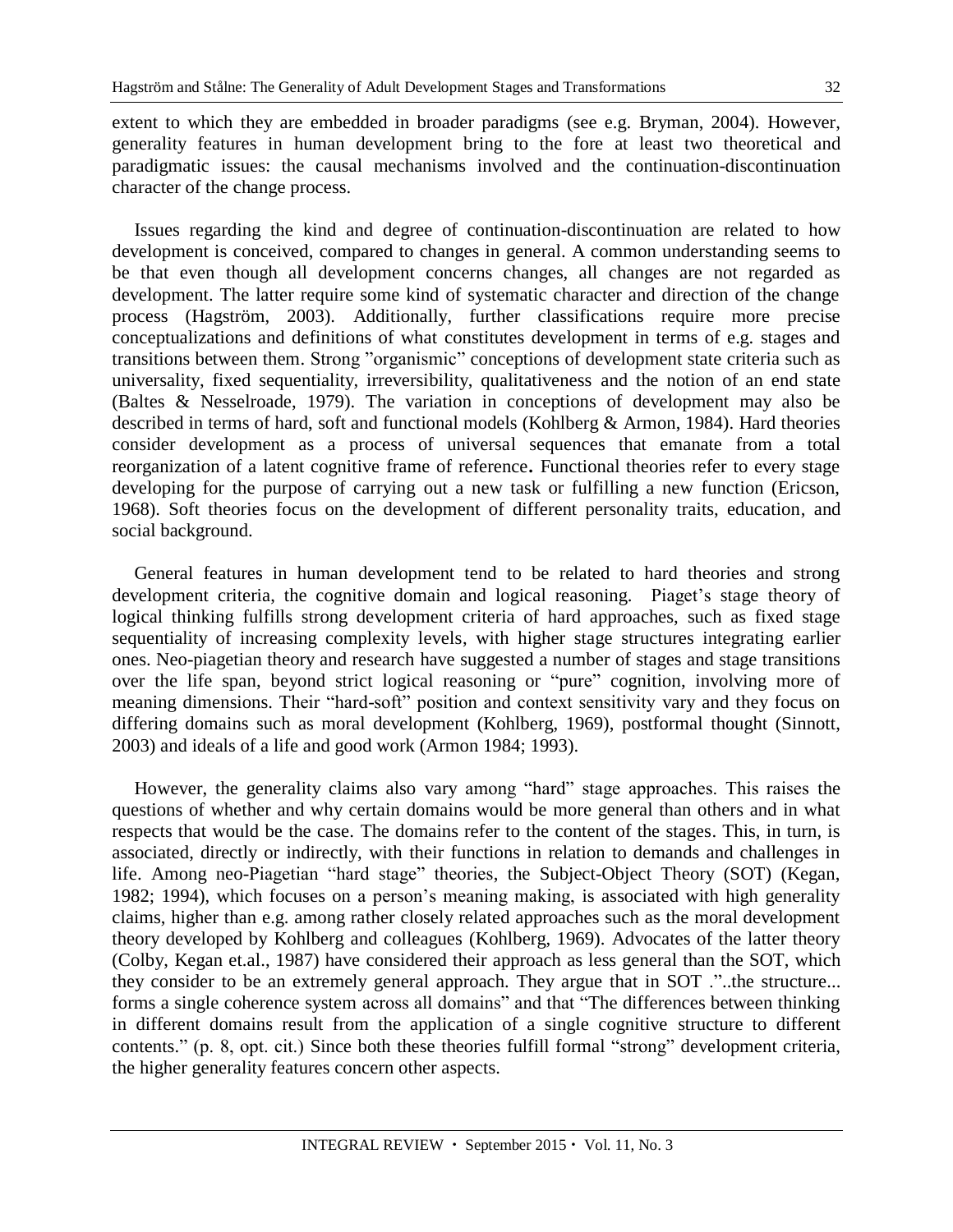extent to which they are embedded in broader paradigms (see e.g. Bryman, 2004). However, generality features in human development bring to the fore at least two theoretical and paradigmatic issues: the causal mechanisms involved and the continuation-discontinuation character of the change process.

Issues regarding the kind and degree of continuation-discontinuation are related to how development is conceived, compared to changes in general. A common understanding seems to be that even though all development concerns changes, all changes are not regarded as development. The latter require some kind of systematic character and direction of the change process (Hagström, 2003). Additionally, further classifications require more precise conceptualizations and definitions of what constitutes development in terms of e.g. stages and transitions between them. Strong "organismic" conceptions of development state criteria such as universality, fixed sequentiality, irreversibility, qualitativeness and the notion of an end state (Baltes & Nesselroade, 1979). The variation in conceptions of development may also be described in terms of hard, soft and functional models (Kohlberg & Armon, 1984). Hard theories consider development as a process of universal sequences that emanate from a total reorganization of a latent cognitive frame of reference**.** Functional theories refer to every stage developing for the purpose of carrying out a new task or fulfilling a new function (Ericson, 1968). Soft theories focus on the development of different personality traits, education, and social background.

General features in human development tend to be related to hard theories and strong development criteria, the cognitive domain and logical reasoning. Piaget's stage theory of logical thinking fulfills strong development criteria of hard approaches, such as fixed stage sequentiality of increasing complexity levels, with higher stage structures integrating earlier ones. Neo-piagetian theory and research have suggested a number of stages and stage transitions over the life span, beyond strict logical reasoning or "pure" cognition, involving more of meaning dimensions. Their "hard-soft" position and context sensitivity vary and they focus on differing domains such as moral development (Kohlberg, 1969), postformal thought (Sinnott, 2003) and ideals of a life and good work (Armon 1984; 1993).

However, the generality claims also vary among "hard" stage approaches. This raises the questions of whether and why certain domains would be more general than others and in what respects that would be the case. The domains refer to the content of the stages. This, in turn, is associated, directly or indirectly, with their functions in relation to demands and challenges in life. Among neo-Piagetian "hard stage" theories, the Subject-Object Theory (SOT) (Kegan, 1982; 1994), which focuses on a person's meaning making, is associated with high generality claims, higher than e.g. among rather closely related approaches such as the moral development theory developed by Kohlberg and colleagues (Kohlberg, 1969). Advocates of the latter theory (Colby, Kegan et.al., 1987) have considered their approach as less general than the SOT, which they consider to be an extremely general approach. They argue that in SOT ."..the structure... forms a single coherence system across all domains" and that "The differences between thinking in different domains result from the application of a single cognitive structure to different contents." (p. 8, opt. cit.) Since both these theories fulfill formal "strong" development criteria, the higher generality features concern other aspects.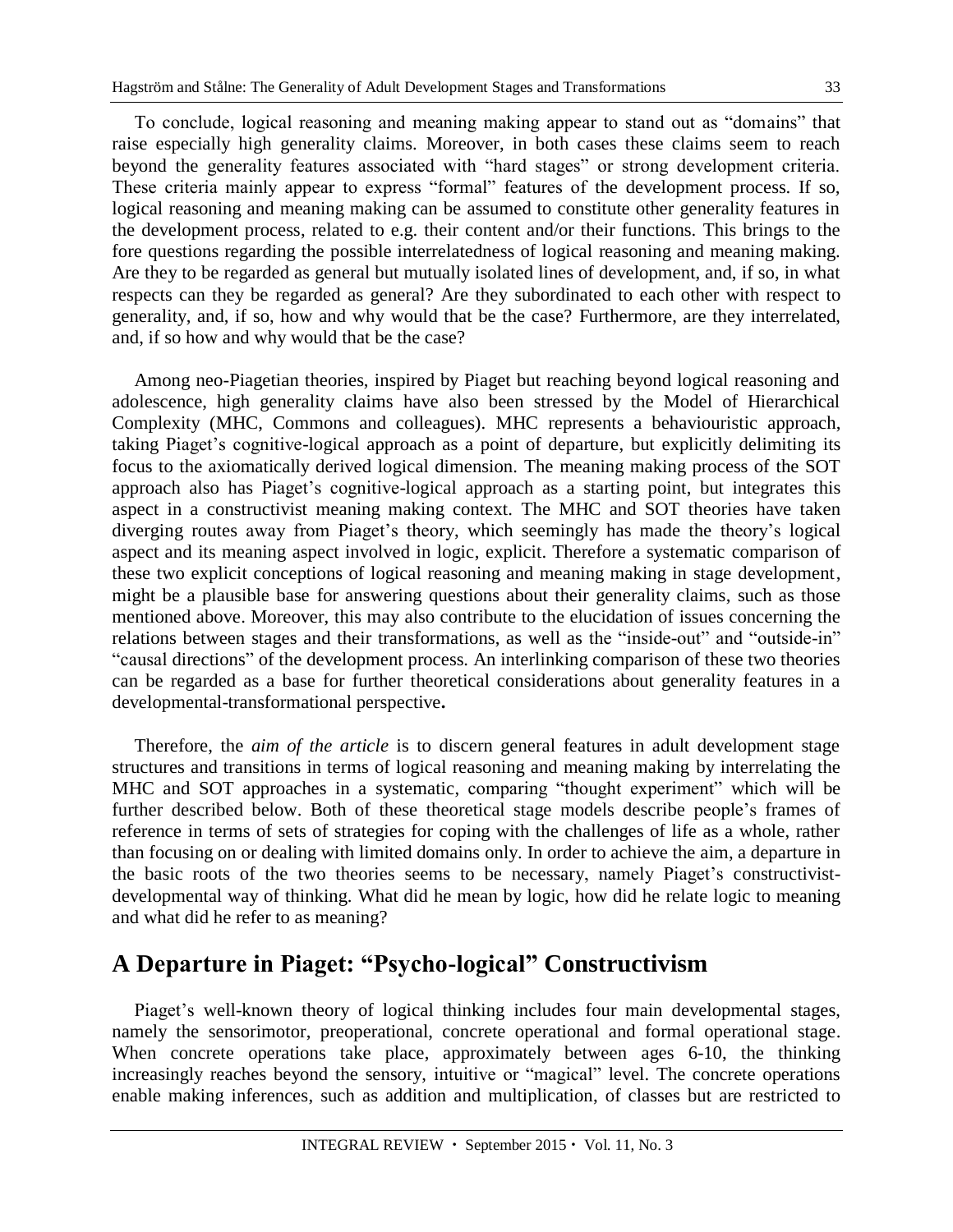To conclude, logical reasoning and meaning making appear to stand out as "domains" that raise especially high generality claims. Moreover, in both cases these claims seem to reach beyond the generality features associated with "hard stages" or strong development criteria. These criteria mainly appear to express "formal" features of the development process. If so, logical reasoning and meaning making can be assumed to constitute other generality features in the development process, related to e.g. their content and/or their functions. This brings to the fore questions regarding the possible interrelatedness of logical reasoning and meaning making. Are they to be regarded as general but mutually isolated lines of development, and, if so, in what respects can they be regarded as general? Are they subordinated to each other with respect to generality, and, if so, how and why would that be the case? Furthermore, are they interrelated, and, if so how and why would that be the case?

Among neo-Piagetian theories, inspired by Piaget but reaching beyond logical reasoning and adolescence, high generality claims have also been stressed by the Model of Hierarchical Complexity (MHC, Commons and colleagues). MHC represents a behaviouristic approach, taking Piaget's cognitive-logical approach as a point of departure, but explicitly delimiting its focus to the axiomatically derived logical dimension. The meaning making process of the SOT approach also has Piaget's cognitive-logical approach as a starting point, but integrates this aspect in a constructivist meaning making context. The MHC and SOT theories have taken diverging routes away from Piaget's theory, which seemingly has made the theory's logical aspect and its meaning aspect involved in logic, explicit. Therefore a systematic comparison of these two explicit conceptions of logical reasoning and meaning making in stage development, might be a plausible base for answering questions about their generality claims, such as those mentioned above. Moreover, this may also contribute to the elucidation of issues concerning the relations between stages and their transformations, as well as the "inside-out" and "outside-in" "causal directions" of the development process. An interlinking comparison of these two theories can be regarded as a base for further theoretical considerations about generality features in a developmental-transformational perspective**.** 

Therefore, the *aim of the article* is to discern general features in adult development stage structures and transitions in terms of logical reasoning and meaning making by interrelating the MHC and SOT approaches in a systematic, comparing "thought experiment" which will be further described below. Both of these theoretical stage models describe people's frames of reference in terms of sets of strategies for coping with the challenges of life as a whole, rather than focusing on or dealing with limited domains only. In order to achieve the aim, a departure in the basic roots of the two theories seems to be necessary, namely Piaget's constructivistdevelopmental way of thinking. What did he mean by logic, how did he relate logic to meaning and what did he refer to as meaning?

## **A Departure in Piaget: "Psycho-logical" Constructivism**

Piaget's well-known theory of logical thinking includes four main developmental stages, namely the sensorimotor, preoperational, concrete operational and formal operational stage. When concrete operations take place, approximately between ages 6-10, the thinking increasingly reaches beyond the sensory, intuitive or "magical" level. The concrete operations enable making inferences, such as addition and multiplication, of classes but are restricted to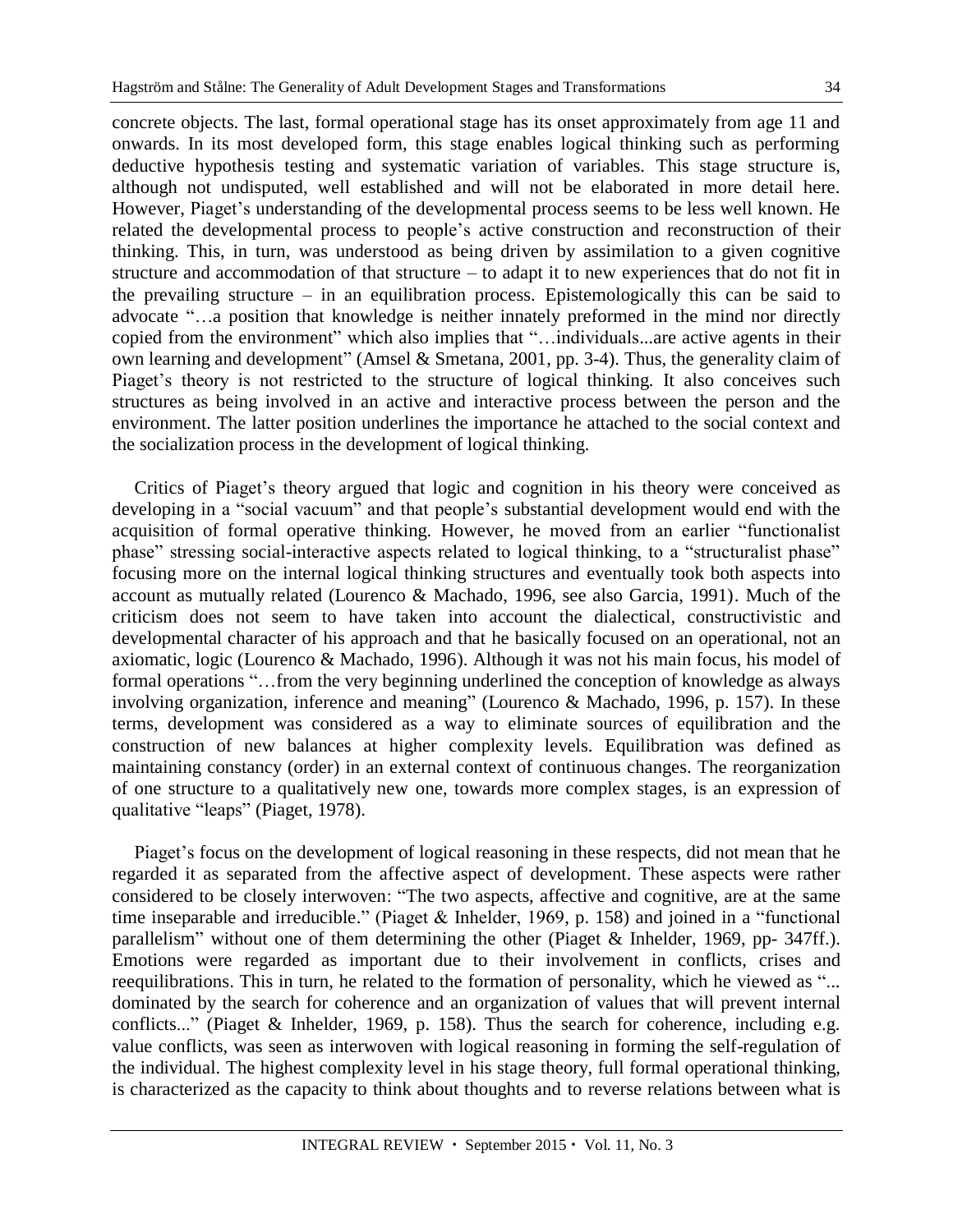concrete objects. The last, formal operational stage has its onset approximately from age 11 and onwards. In its most developed form, this stage enables logical thinking such as performing deductive hypothesis testing and systematic variation of variables. This stage structure is, although not undisputed, well established and will not be elaborated in more detail here. However, Piaget's understanding of the developmental process seems to be less well known. He related the developmental process to people's active construction and reconstruction of their thinking. This, in turn, was understood as being driven by assimilation to a given cognitive structure and accommodation of that structure – to adapt it to new experiences that do not fit in the prevailing structure – in an equilibration process. Epistemologically this can be said to advocate "…a position that knowledge is neither innately preformed in the mind nor directly copied from the environment" which also implies that "…individuals...are active agents in their own learning and development" (Amsel & Smetana, 2001, pp. 3-4). Thus, the generality claim of Piaget's theory is not restricted to the structure of logical thinking. It also conceives such structures as being involved in an active and interactive process between the person and the environment. The latter position underlines the importance he attached to the social context and the socialization process in the development of logical thinking.

Critics of Piaget's theory argued that logic and cognition in his theory were conceived as developing in a "social vacuum" and that people's substantial development would end with the acquisition of formal operative thinking. However, he moved from an earlier "functionalist phase" stressing social-interactive aspects related to logical thinking, to a "structuralist phase" focusing more on the internal logical thinking structures and eventually took both aspects into account as mutually related (Lourenco & Machado, 1996, see also Garcia, 1991). Much of the criticism does not seem to have taken into account the dialectical, constructivistic and developmental character of his approach and that he basically focused on an operational, not an axiomatic, logic (Lourenco & Machado, 1996). Although it was not his main focus, his model of formal operations "…from the very beginning underlined the conception of knowledge as always involving organization, inference and meaning" (Lourenco & Machado, 1996, p. 157). In these terms, development was considered as a way to eliminate sources of equilibration and the construction of new balances at higher complexity levels. Equilibration was defined as maintaining constancy (order) in an external context of continuous changes. The reorganization of one structure to a qualitatively new one, towards more complex stages, is an expression of qualitative "leaps" (Piaget, 1978).

Piaget's focus on the development of logical reasoning in these respects, did not mean that he regarded it as separated from the affective aspect of development. These aspects were rather considered to be closely interwoven: "The two aspects, affective and cognitive, are at the same time inseparable and irreducible." (Piaget & Inhelder, 1969, p. 158) and joined in a "functional parallelism" without one of them determining the other (Piaget & Inhelder, 1969, pp- 347ff.). Emotions were regarded as important due to their involvement in conflicts, crises and reequilibrations. This in turn, he related to the formation of personality, which he viewed as "... dominated by the search for coherence and an organization of values that will prevent internal conflicts..." (Piaget & Inhelder, 1969, p. 158). Thus the search for coherence, including e.g. value conflicts, was seen as interwoven with logical reasoning in forming the self-regulation of the individual. The highest complexity level in his stage theory, full formal operational thinking, is characterized as the capacity to think about thoughts and to reverse relations between what is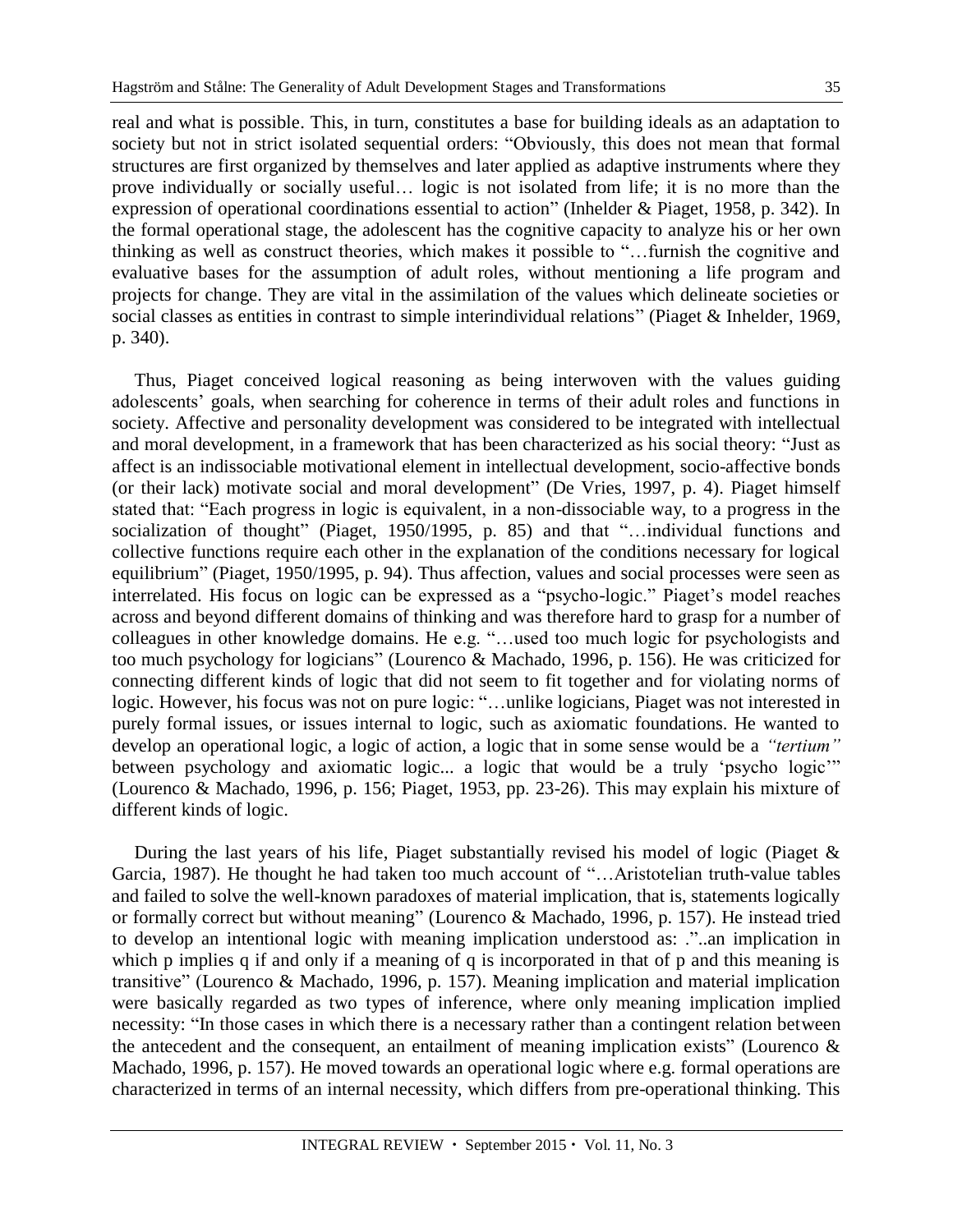real and what is possible. This, in turn, constitutes a base for building ideals as an adaptation to society but not in strict isolated sequential orders: "Obviously, this does not mean that formal structures are first organized by themselves and later applied as adaptive instruments where they prove individually or socially useful… logic is not isolated from life; it is no more than the expression of operational coordinations essential to action" (Inhelder & Piaget, 1958, p. 342). In the formal operational stage, the adolescent has the cognitive capacity to analyze his or her own thinking as well as construct theories, which makes it possible to "…furnish the cognitive and evaluative bases for the assumption of adult roles, without mentioning a life program and projects for change. They are vital in the assimilation of the values which delineate societies or social classes as entities in contrast to simple interindividual relations" (Piaget & Inhelder, 1969, p. 340).

Thus, Piaget conceived logical reasoning as being interwoven with the values guiding adolescents' goals, when searching for coherence in terms of their adult roles and functions in society. Affective and personality development was considered to be integrated with intellectual and moral development, in a framework that has been characterized as his social theory: "Just as affect is an indissociable motivational element in intellectual development, socio-affective bonds (or their lack) motivate social and moral development" (De Vries, 1997, p. 4). Piaget himself stated that: "Each progress in logic is equivalent, in a non-dissociable way, to a progress in the socialization of thought" (Piaget, 1950/1995, p. 85) and that "...individual functions and collective functions require each other in the explanation of the conditions necessary for logical equilibrium" (Piaget, 1950/1995, p. 94). Thus affection, values and social processes were seen as interrelated. His focus on logic can be expressed as a "psycho-logic." Piaget's model reaches across and beyond different domains of thinking and was therefore hard to grasp for a number of colleagues in other knowledge domains. He e.g. "…used too much logic for psychologists and too much psychology for logicians" (Lourenco & Machado, 1996, p. 156). He was criticized for connecting different kinds of logic that did not seem to fit together and for violating norms of logic. However, his focus was not on pure logic: "…unlike logicians, Piaget was not interested in purely formal issues, or issues internal to logic, such as axiomatic foundations. He wanted to develop an operational logic, a logic of action, a logic that in some sense would be a *"tertium"* between psychology and axiomatic logic... a logic that would be a truly 'psycho logic'" (Lourenco & Machado, 1996, p. 156; Piaget, 1953, pp. 23-26). This may explain his mixture of different kinds of logic.

During the last years of his life, Piaget substantially revised his model of logic (Piaget & Garcia, 1987). He thought he had taken too much account of "…Aristotelian truth-value tables and failed to solve the well-known paradoxes of material implication, that is, statements logically or formally correct but without meaning" (Lourenco & Machado, 1996, p. 157). He instead tried to develop an intentional logic with meaning implication understood as: ."..an implication in which p implies q if and only if a meaning of q is incorporated in that of p and this meaning is transitive" (Lourenco & Machado, 1996, p. 157). Meaning implication and material implication were basically regarded as two types of inference, where only meaning implication implied necessity: "In those cases in which there is a necessary rather than a contingent relation between the antecedent and the consequent, an entailment of meaning implication exists" (Lourenco & Machado, 1996, p. 157). He moved towards an operational logic where e.g. formal operations are characterized in terms of an internal necessity, which differs from pre-operational thinking. This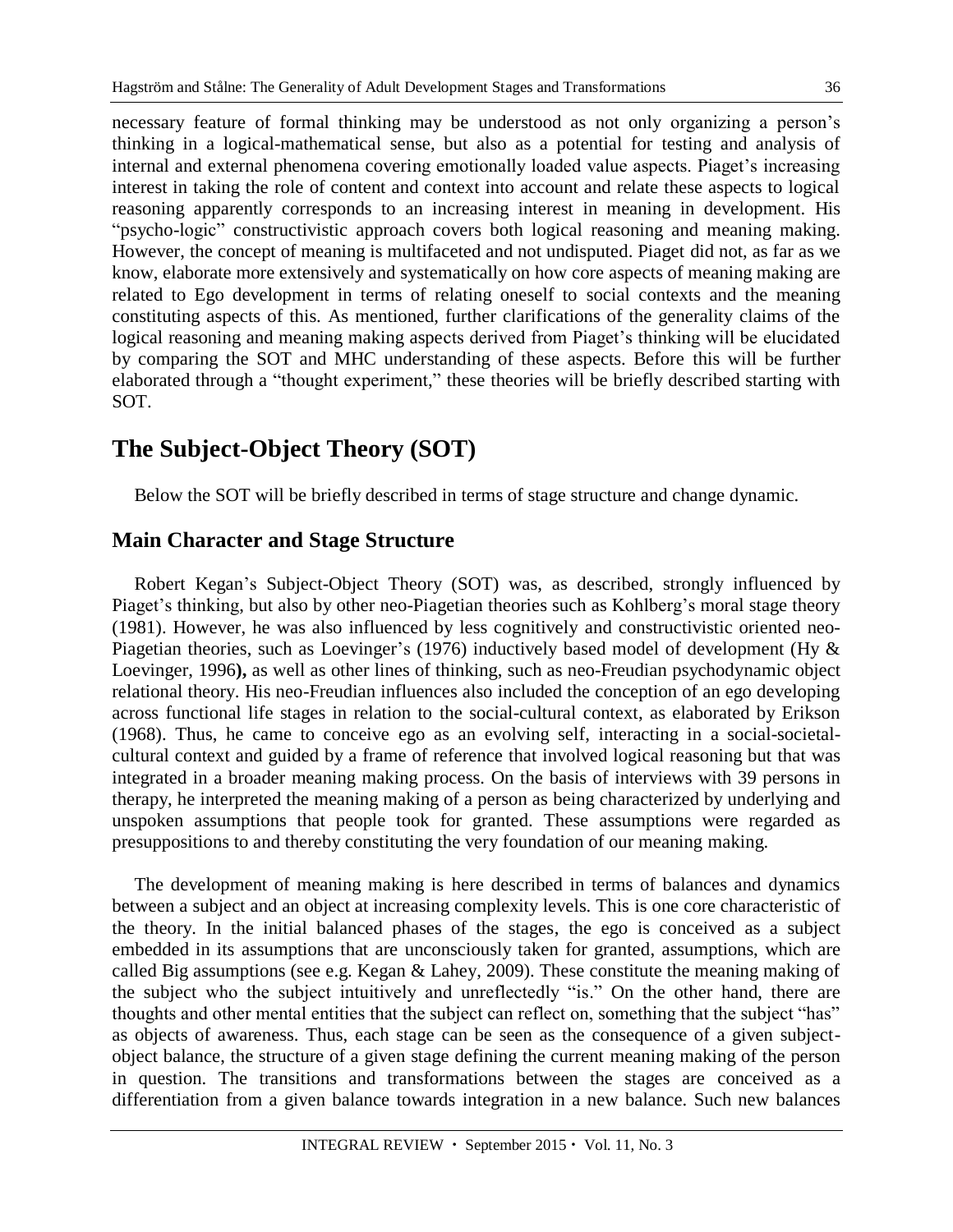necessary feature of formal thinking may be understood as not only organizing a person's thinking in a logical-mathematical sense, but also as a potential for testing and analysis of internal and external phenomena covering emotionally loaded value aspects. Piaget's increasing interest in taking the role of content and context into account and relate these aspects to logical reasoning apparently corresponds to an increasing interest in meaning in development. His "psycho-logic" constructivistic approach covers both logical reasoning and meaning making. However, the concept of meaning is multifaceted and not undisputed. Piaget did not, as far as we know, elaborate more extensively and systematically on how core aspects of meaning making are related to Ego development in terms of relating oneself to social contexts and the meaning constituting aspects of this. As mentioned, further clarifications of the generality claims of the logical reasoning and meaning making aspects derived from Piaget's thinking will be elucidated by comparing the SOT and MHC understanding of these aspects. Before this will be further elaborated through a "thought experiment," these theories will be briefly described starting with SOT.

# **The Subject-Object Theory (SOT)**

Below the SOT will be briefly described in terms of stage structure and change dynamic.

#### **Main Character and Stage Structure**

Robert Kegan's Subject-Object Theory (SOT) was, as described, strongly influenced by Piaget's thinking, but also by other neo-Piagetian theories such as Kohlberg's moral stage theory (1981). However, he was also influenced by less cognitively and constructivistic oriented neo-Piagetian theories, such as Loevinger's (1976) inductively based model of development (Hy & Loevinger, 1996**),** as well as other lines of thinking, such as neo-Freudian psychodynamic object relational theory. His neo-Freudian influences also included the conception of an ego developing across functional life stages in relation to the social-cultural context, as elaborated by Erikson (1968). Thus, he came to conceive ego as an evolving self, interacting in a social-societalcultural context and guided by a frame of reference that involved logical reasoning but that was integrated in a broader meaning making process. On the basis of interviews with 39 persons in therapy, he interpreted the meaning making of a person as being characterized by underlying and unspoken assumptions that people took for granted. These assumptions were regarded as presuppositions to and thereby constituting the very foundation of our meaning making.

The development of meaning making is here described in terms of balances and dynamics between a subject and an object at increasing complexity levels. This is one core characteristic of the theory. In the initial balanced phases of the stages, the ego is conceived as a subject embedded in its assumptions that are unconsciously taken for granted, assumptions, which are called Big assumptions (see e.g. Kegan & Lahey, 2009). These constitute the meaning making of the subject who the subject intuitively and unreflectedly "is." On the other hand, there are thoughts and other mental entities that the subject can reflect on, something that the subject "has" as objects of awareness. Thus, each stage can be seen as the consequence of a given subjectobject balance, the structure of a given stage defining the current meaning making of the person in question. The transitions and transformations between the stages are conceived as a differentiation from a given balance towards integration in a new balance. Such new balances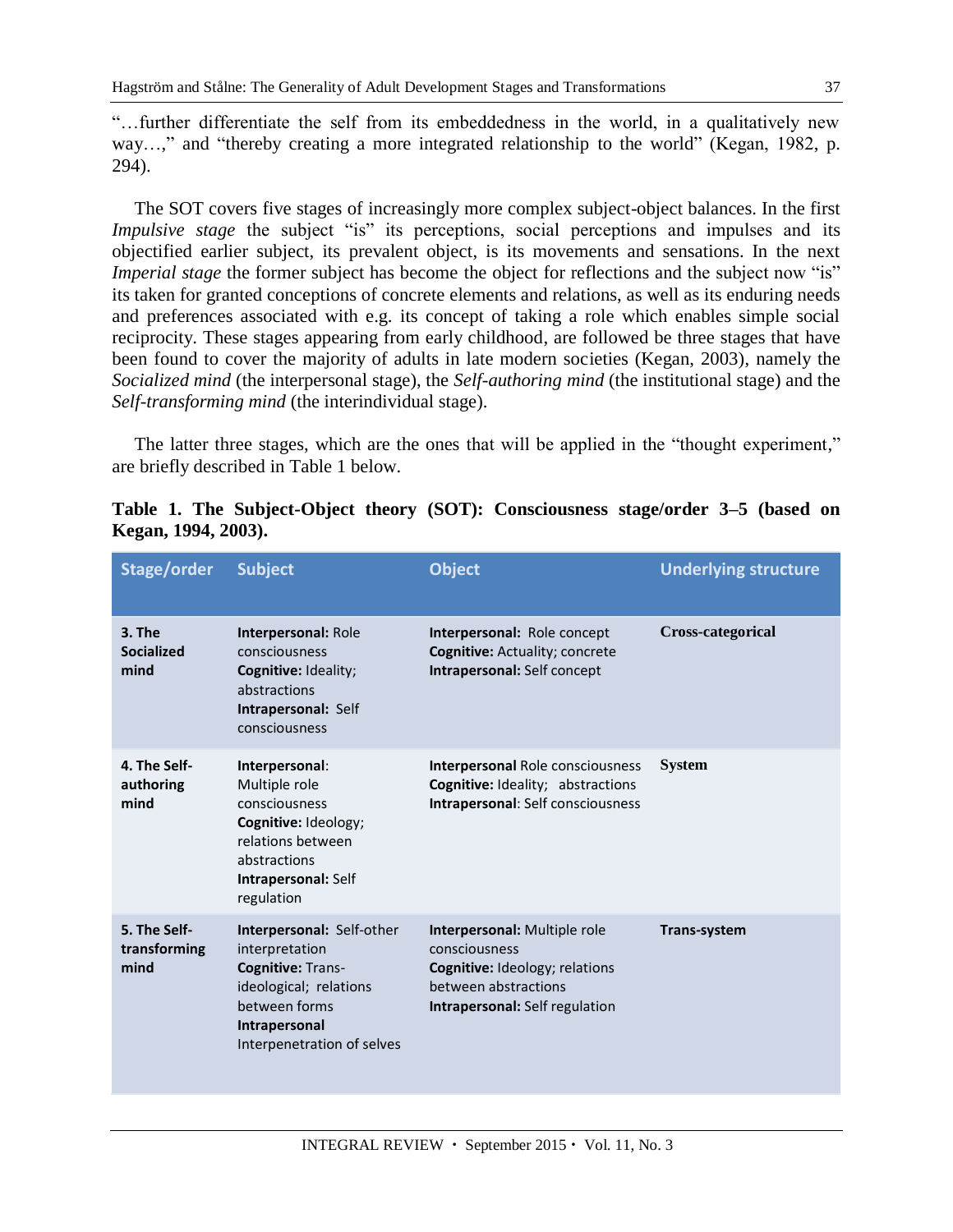"…further differentiate the self from its embeddedness in the world, in a qualitatively new way...," and "thereby creating a more integrated relationship to the world" (Kegan, 1982, p. 294).

The SOT covers five stages of increasingly more complex subject-object balances. In the first *Impulsive stage* the subject "is" its perceptions, social perceptions and impulses and its objectified earlier subject, its prevalent object, is its movements and sensations. In the next *Imperial stage* the former subject has become the object for reflections and the subject now "is" its taken for granted conceptions of concrete elements and relations, as well as its enduring needs and preferences associated with e.g. its concept of taking a role which enables simple social reciprocity. These stages appearing from early childhood, are followed be three stages that have been found to cover the majority of adults in late modern societies (Kegan, 2003), namely the *Socialized mind* (the interpersonal stage), the *Self-authoring mind* (the institutional stage) and the *Self-transforming mind* (the interindividual stage).

The latter three stages, which are the ones that will be applied in the "thought experiment," are briefly described in Table 1 below.

| Stage/order                           | <b>Subject</b>                                                                                                                                             | <b>Object</b>                                                                                                                                           | <b>Underlying structure</b> |
|---------------------------------------|------------------------------------------------------------------------------------------------------------------------------------------------------------|---------------------------------------------------------------------------------------------------------------------------------------------------------|-----------------------------|
| $3.$ The<br><b>Socialized</b><br>mind | Interpersonal: Role<br>consciousness<br>Cognitive: Ideality;<br>abstractions<br>Intrapersonal: Self<br>consciousness                                       | Interpersonal: Role concept<br><b>Cognitive: Actuality; concrete</b><br>Intrapersonal: Self concept                                                     | <b>Cross-categorical</b>    |
| 4. The Self-<br>authoring<br>mind     | Interpersonal:<br>Multiple role<br>consciousness<br>Cognitive: Ideology;<br>relations between<br>abstractions<br>Intrapersonal: Self<br>regulation         | <b>Interpersonal Role consciousness</b><br><b>Cognitive: Ideality; abstractions</b><br>Intrapersonal: Self consciousness                                | <b>System</b>               |
| 5. The Self-<br>transforming<br>mind  | Interpersonal: Self-other<br>interpretation<br>Cognitive: Trans-<br>ideological; relations<br>between forms<br>Intrapersonal<br>Interpenetration of selves | Interpersonal: Multiple role<br>consciousness<br><b>Cognitive:</b> Ideology; relations<br>between abstractions<br><b>Intrapersonal: Self regulation</b> | <b>Trans-system</b>         |

|                     |  | Table 1. The Subject-Object theory (SOT): Consciousness stage/order 3–5 (based on |  |  |  |  |
|---------------------|--|-----------------------------------------------------------------------------------|--|--|--|--|
| Kegan, 1994, 2003). |  |                                                                                   |  |  |  |  |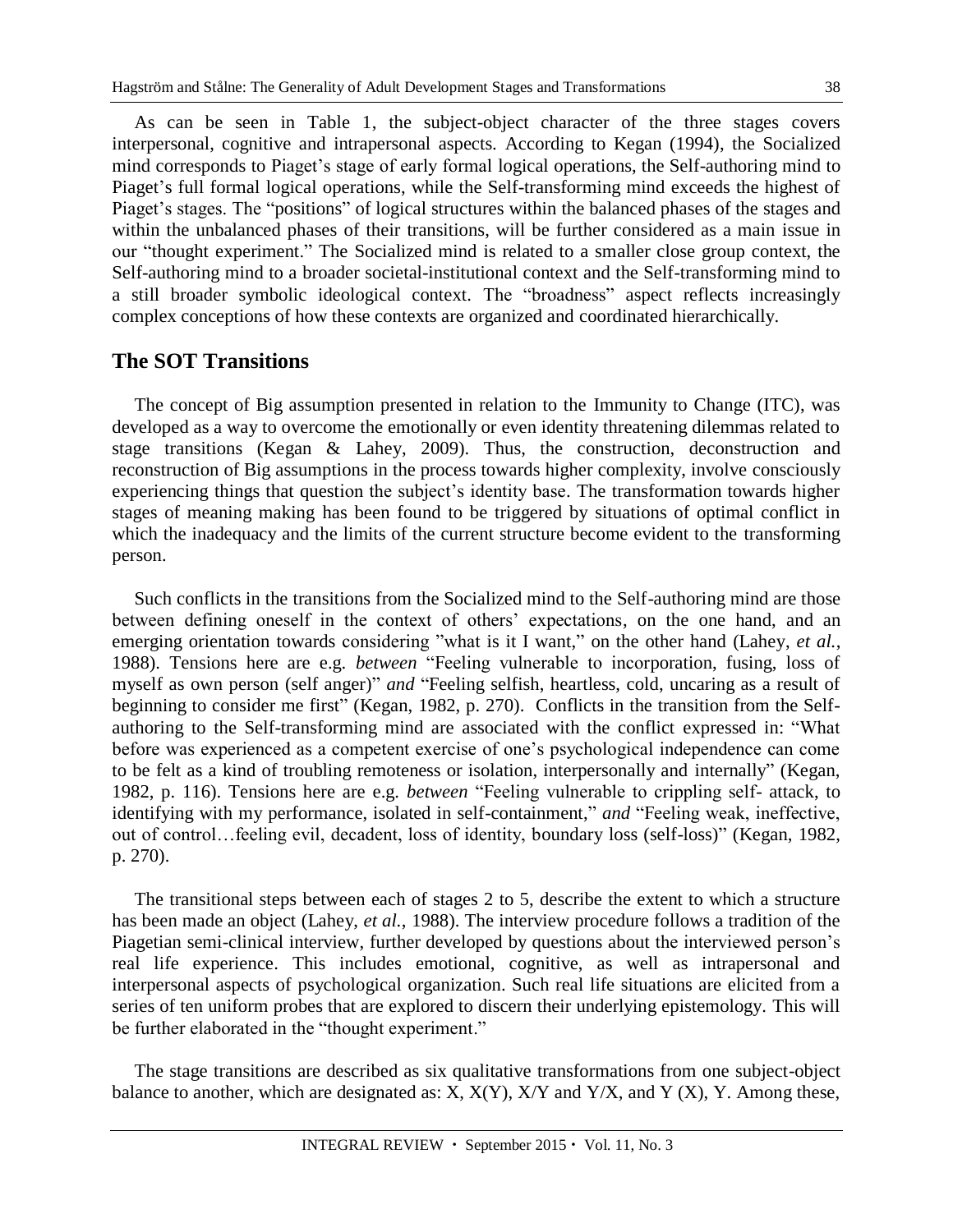As can be seen in Table 1, the subject-object character of the three stages covers interpersonal, cognitive and intrapersonal aspects. According to Kegan (1994), the Socialized mind corresponds to Piaget's stage of early formal logical operations, the Self-authoring mind to Piaget's full formal logical operations, while the Self-transforming mind exceeds the highest of Piaget's stages. The "positions" of logical structures within the balanced phases of the stages and within the unbalanced phases of their transitions, will be further considered as a main issue in our "thought experiment." The Socialized mind is related to a smaller close group context, the Self-authoring mind to a broader societal-institutional context and the Self-transforming mind to a still broader symbolic ideological context. The "broadness" aspect reflects increasingly complex conceptions of how these contexts are organized and coordinated hierarchically.

#### **The SOT Transitions**

The concept of Big assumption presented in relation to the Immunity to Change (ITC), was developed as a way to overcome the emotionally or even identity threatening dilemmas related to stage transitions (Kegan & Lahey, 2009). Thus, the construction, deconstruction and reconstruction of Big assumptions in the process towards higher complexity, involve consciously experiencing things that question the subject's identity base. The transformation towards higher stages of meaning making has been found to be triggered by situations of optimal conflict in which the inadequacy and the limits of the current structure become evident to the transforming person.

Such conflicts in the transitions from the Socialized mind to the Self-authoring mind are those between defining oneself in the context of others' expectations, on the one hand, and an emerging orientation towards considering "what is it I want," on the other hand (Lahey, *et al.*, 1988). Tensions here are e.g. *between* "Feeling vulnerable to incorporation, fusing, loss of myself as own person (self anger)" *and* "Feeling selfish, heartless, cold, uncaring as a result of beginning to consider me first" (Kegan, 1982, p. 270). Conflicts in the transition from the Selfauthoring to the Self-transforming mind are associated with the conflict expressed in: "What before was experienced as a competent exercise of one's psychological independence can come to be felt as a kind of troubling remoteness or isolation, interpersonally and internally" (Kegan, 1982, p. 116). Tensions here are e.g. *between* "Feeling vulnerable to crippling self- attack, to identifying with my performance, isolated in self-containment," *and* "Feeling weak, ineffective, out of control…feeling evil, decadent, loss of identity, boundary loss (self-loss)" (Kegan, 1982, p. 270).

The transitional steps between each of stages 2 to 5, describe the extent to which a structure has been made an object (Lahey, *et al.*, 1988). The interview procedure follows a tradition of the Piagetian semi-clinical interview, further developed by questions about the interviewed person's real life experience. This includes emotional, cognitive, as well as intrapersonal and interpersonal aspects of psychological organization. Such real life situations are elicited from a series of ten uniform probes that are explored to discern their underlying epistemology. This will be further elaborated in the "thought experiment."

The stage transitions are described as six qualitative transformations from one subject-object balance to another, which are designated as:  $X$ ,  $X(Y)$ ,  $X/Y$  and  $Y/X$ , and  $Y(X)$ ,  $Y$ . Among these,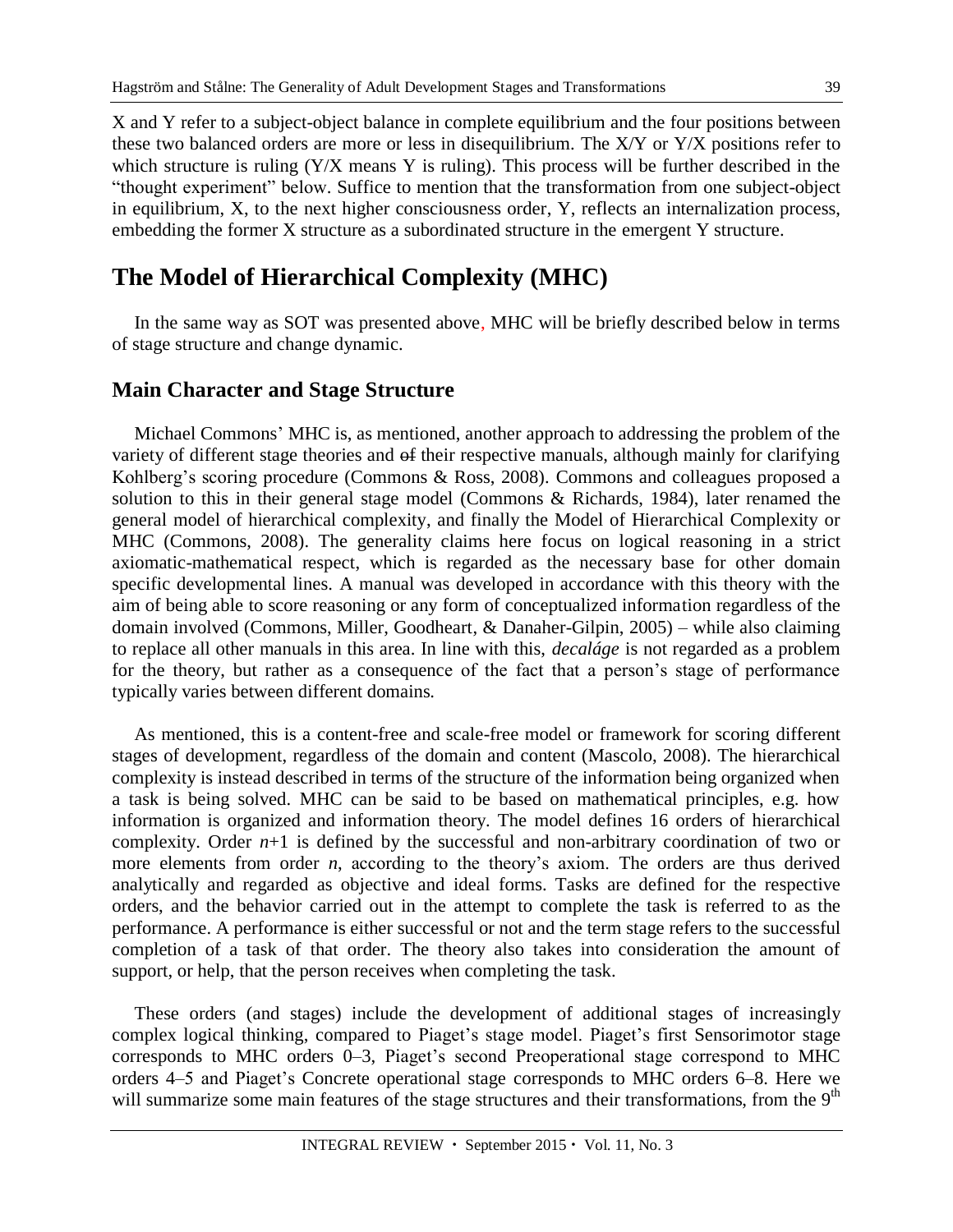X and Y refer to a subject-object balance in complete equilibrium and the four positions between these two balanced orders are more or less in disequilibrium. The X/Y or Y/X positions refer to which structure is ruling (Y/X means Y is ruling). This process will be further described in the "thought experiment" below. Suffice to mention that the transformation from one subject-object in equilibrium, X, to the next higher consciousness order, Y, reflects an internalization process, embedding the former X structure as a subordinated structure in the emergent Y structure.

## **The Model of Hierarchical Complexity (MHC)**

In the same way as SOT was presented above, MHC will be briefly described below in terms of stage structure and change dynamic.

#### **Main Character and Stage Structure**

Michael Commons' MHC is, as mentioned, another approach to addressing the problem of the variety of different stage theories and of their respective manuals, although mainly for clarifying Kohlberg's scoring procedure (Commons & Ross, 2008). Commons and colleagues proposed a solution to this in their general stage model (Commons & Richards, 1984), later renamed the general model of hierarchical complexity, and finally the Model of Hierarchical Complexity or MHC (Commons, 2008). The generality claims here focus on logical reasoning in a strict axiomatic-mathematical respect, which is regarded as the necessary base for other domain specific developmental lines. A manual was developed in accordance with this theory with the aim of being able to score reasoning or any form of conceptualized information regardless of the domain involved (Commons, Miller, Goodheart, & Danaher-Gilpin, 2005) – while also claiming to replace all other manuals in this area. In line with this, *decaláge* is not regarded as a problem for the theory, but rather as a consequence of the fact that a person's stage of performance typically varies between different domains.

As mentioned, this is a content-free and scale-free model or framework for scoring different stages of development, regardless of the domain and content (Mascolo, 2008). The hierarchical complexity is instead described in terms of the structure of the information being organized when a task is being solved. MHC can be said to be based on mathematical principles, e.g. how information is organized and information theory. The model defines 16 orders of hierarchical complexity. Order  $n+1$  is defined by the successful and non-arbitrary coordination of two or more elements from order *n*, according to the theory's axiom. The orders are thus derived analytically and regarded as objective and ideal forms. Tasks are defined for the respective orders, and the behavior carried out in the attempt to complete the task is referred to as the performance. A performance is either successful or not and the term stage refers to the successful completion of a task of that order. The theory also takes into consideration the amount of support, or help, that the person receives when completing the task.

These orders (and stages) include the development of additional stages of increasingly complex logical thinking, compared to Piaget's stage model. Piaget's first Sensorimotor stage corresponds to MHC orders 0–3, Piaget's second Preoperational stage correspond to MHC orders 4–5 and Piaget's Concrete operational stage corresponds to MHC orders 6–8. Here we will summarize some main features of the stage structures and their transformations, from the 9<sup>th</sup>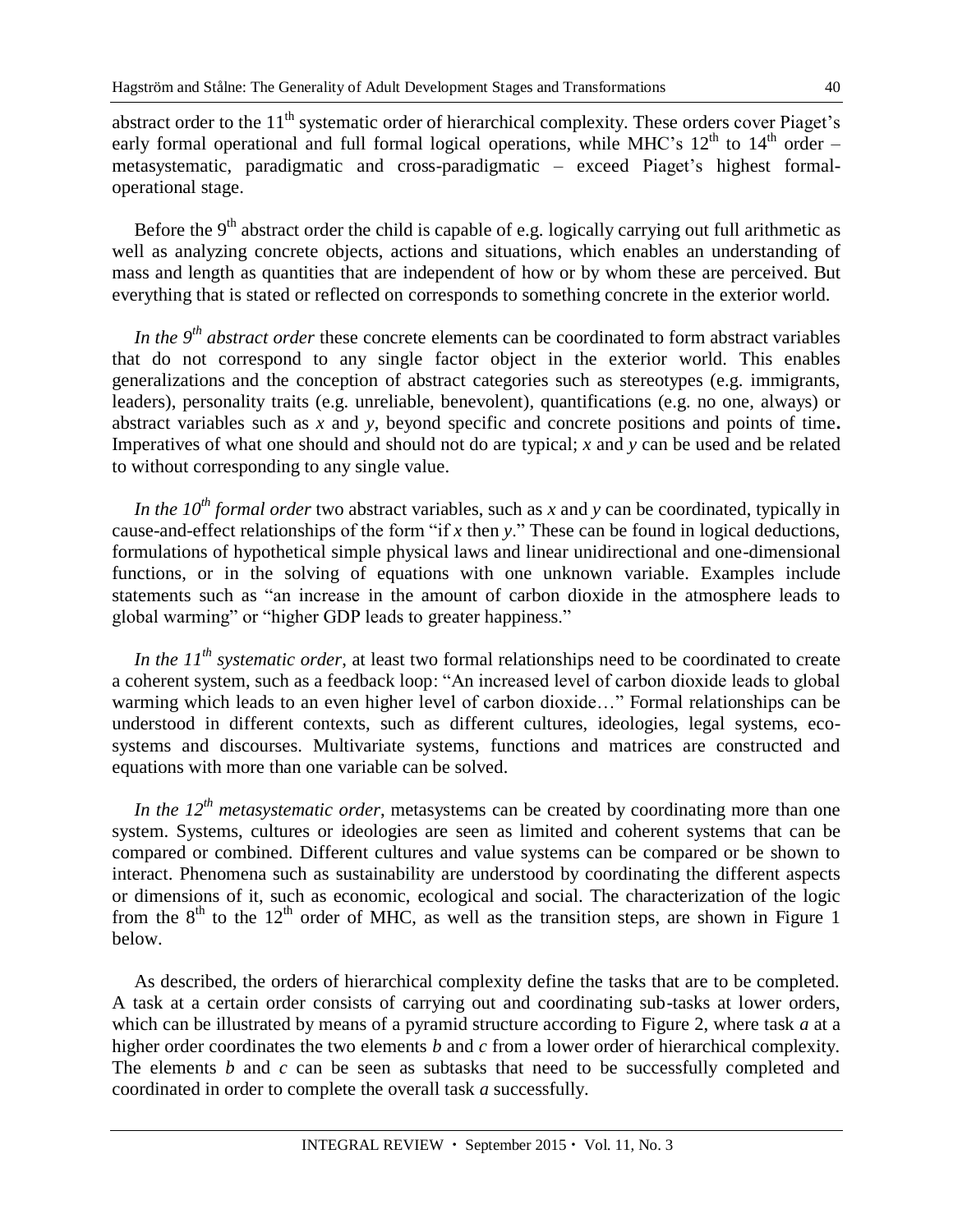abstract order to the  $11<sup>th</sup>$  systematic order of hierarchical complexity. These orders cover Piaget's early formal operational and full formal logical operations, while MHC's  $12<sup>th</sup>$  to  $14<sup>th</sup>$  order – metasystematic, paradigmatic and cross-paradigmatic – exceed Piaget's highest formaloperational stage.

Before the  $9<sup>th</sup>$  abstract order the child is capable of e.g. logically carrying out full arithmetic as well as analyzing concrete objects, actions and situations, which enables an understanding of mass and length as quantities that are independent of how or by whom these are perceived. But everything that is stated or reflected on corresponds to something concrete in the exterior world.

*In the 9th abstract order* these concrete elements can be coordinated to form abstract variables that do not correspond to any single factor object in the exterior world. This enables generalizations and the conception of abstract categories such as stereotypes (e.g. immigrants, leaders), personality traits (e.g. unreliable, benevolent), quantifications (e.g. no one, always) or abstract variables such as *x* and *y*, beyond specific and concrete positions and points of time**.**  Imperatives of what one should and should not do are typical; *x* and *y* can be used and be related to without corresponding to any single value.

*In the 10th formal order* two abstract variables, such as *x* and *y* can be coordinated, typically in cause-and-effect relationships of the form "if *x* then *y*." These can be found in logical deductions, formulations of hypothetical simple physical laws and linear unidirectional and one-dimensional functions, or in the solving of equations with one unknown variable. Examples include statements such as "an increase in the amount of carbon dioxide in the atmosphere leads to global warming" or "higher GDP leads to greater happiness."

*In the 11th systematic order*, at least two formal relationships need to be coordinated to create a coherent system, such as a feedback loop: "An increased level of carbon dioxide leads to global warming which leads to an even higher level of carbon dioxide…" Formal relationships can be understood in different contexts, such as different cultures, ideologies, legal systems, ecosystems and discourses. Multivariate systems, functions and matrices are constructed and equations with more than one variable can be solved*.*

*In the 12th metasystematic order*, metasystems can be created by coordinating more than one system. Systems, cultures or ideologies are seen as limited and coherent systems that can be compared or combined. Different cultures and value systems can be compared or be shown to interact. Phenomena such as sustainability are understood by coordinating the different aspects or dimensions of it, such as economic, ecological and social. The characterization of the logic from the  $8<sup>th</sup>$  to the 12<sup>th</sup> order of MHC, as well as the transition steps, are shown in Figure 1 below.

As described, the orders of hierarchical complexity define the tasks that are to be completed. A task at a certain order consists of carrying out and coordinating sub-tasks at lower orders, which can be illustrated by means of a pyramid structure according to Figure 2, where task *a* at a higher order coordinates the two elements *b* and *c* from a lower order of hierarchical complexity. The elements *b* and *c* can be seen as subtasks that need to be successfully completed and coordinated in order to complete the overall task *a* successfully.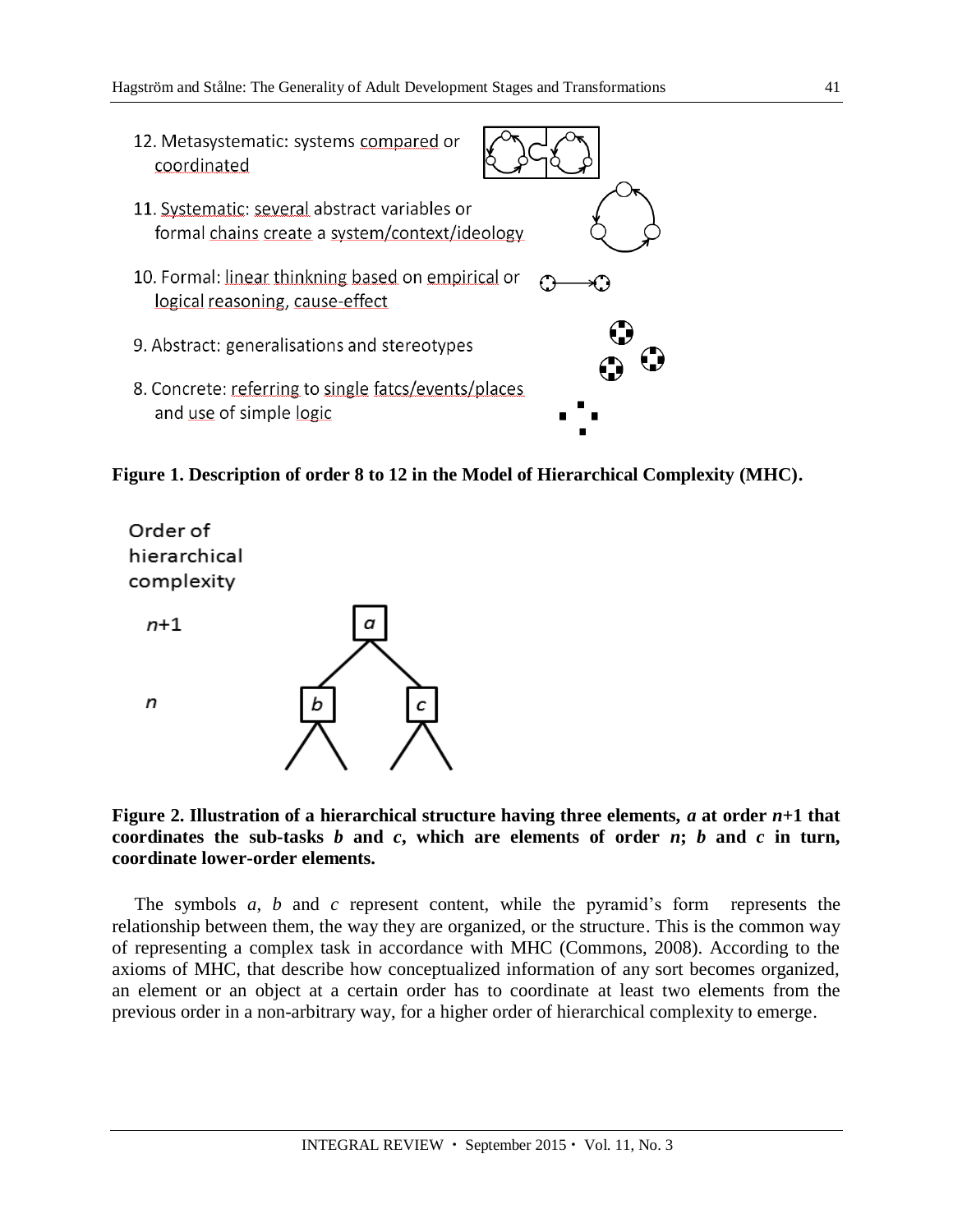

**Figure 1. Description of order 8 to 12 in the Model of Hierarchical Complexity (MHC).**



**Figure 2. Illustration of a hierarchical structure having three elements,** *a* **at order** *n***+1 that**  coordinates the sub-tasks  $b$  and  $c$ , which are elements of order  $n$ ;  $b$  and  $c$  in turn, **coordinate lower-order elements.**

The symbols *a*, *b* and *c* represent content, while the pyramid's form represents the relationship between them, the way they are organized, or the structure. This is the common way of representing a complex task in accordance with MHC (Commons, 2008). According to the axioms of MHC, that describe how conceptualized information of any sort becomes organized, an element or an object at a certain order has to coordinate at least two elements from the previous order in a non-arbitrary way, for a higher order of hierarchical complexity to emerge.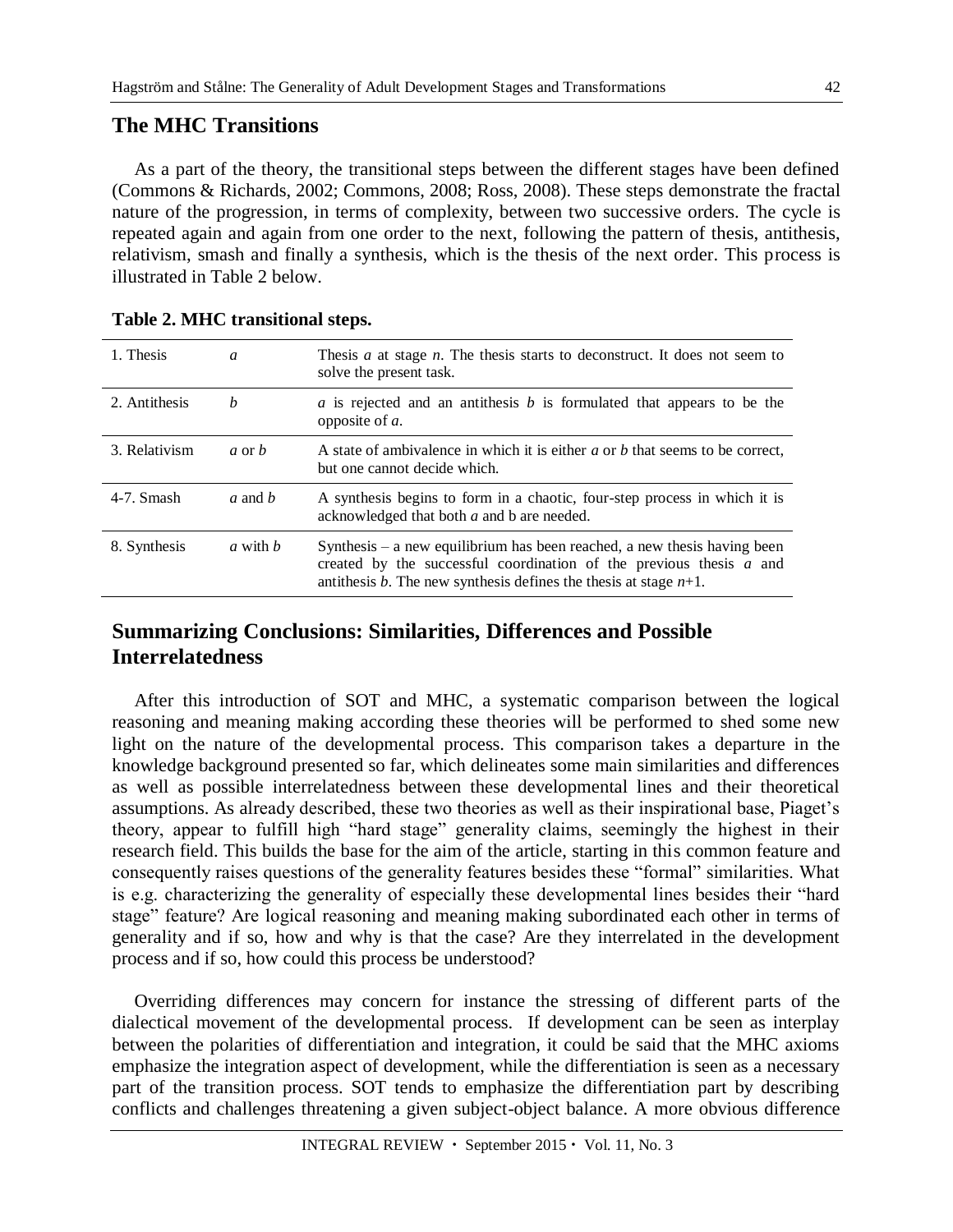#### **The MHC Transitions**

As a part of the theory, the transitional steps between the different stages have been defined (Commons & Richards, 2002; Commons, 2008; Ross, 2008). These steps demonstrate the fractal nature of the progression, in terms of complexity, between two successive orders. The cycle is repeated again and again from one order to the next, following the pattern of thesis, antithesis, relativism, smash and finally a synthesis, which is the thesis of the next order. This process is illustrated in Table 2 below.

| 1. Thesis     | a        | Thesis $a$ at stage $n$ . The thesis starts to deconstruct. It does not seem to<br>solve the present task.                                                                                                               |
|---------------|----------|--------------------------------------------------------------------------------------------------------------------------------------------------------------------------------------------------------------------------|
| 2. Antithesis | h        | a is rejected and an antithesis b is formulated that appears to be the<br>opposite of a.                                                                                                                                 |
| 3. Relativism | a or $b$ | A state of ambivalence in which it is either a or b that seems to be correct,<br>but one cannot decide which.                                                                                                            |
| 4-7. Smash    | a and b  | A synthesis begins to form in a chaotic, four-step process in which it is<br>acknowledged that both a and b are needed.                                                                                                  |
| 8. Synthesis  | a with b | Synthesis – a new equilibrium has been reached, a new thesis having been<br>created by the successful coordination of the previous thesis $a$ and<br>antithesis b. The new synthesis defines the thesis at stage $n+1$ . |

#### **Table 2. MHC transitional steps.**

#### **Summarizing Conclusions: Similarities, Differences and Possible Interrelatedness**

After this introduction of SOT and MHC, a systematic comparison between the logical reasoning and meaning making according these theories will be performed to shed some new light on the nature of the developmental process. This comparison takes a departure in the knowledge background presented so far, which delineates some main similarities and differences as well as possible interrelatedness between these developmental lines and their theoretical assumptions. As already described, these two theories as well as their inspirational base, Piaget's theory, appear to fulfill high "hard stage" generality claims, seemingly the highest in their research field. This builds the base for the aim of the article, starting in this common feature and consequently raises questions of the generality features besides these "formal" similarities. What is e.g. characterizing the generality of especially these developmental lines besides their "hard stage" feature? Are logical reasoning and meaning making subordinated each other in terms of generality and if so, how and why is that the case? Are they interrelated in the development process and if so, how could this process be understood?

Overriding differences may concern for instance the stressing of different parts of the dialectical movement of the developmental process. If development can be seen as interplay between the polarities of differentiation and integration, it could be said that the MHC axioms emphasize the integration aspect of development, while the differentiation is seen as a necessary part of the transition process. SOT tends to emphasize the differentiation part by describing conflicts and challenges threatening a given subject-object balance. A more obvious difference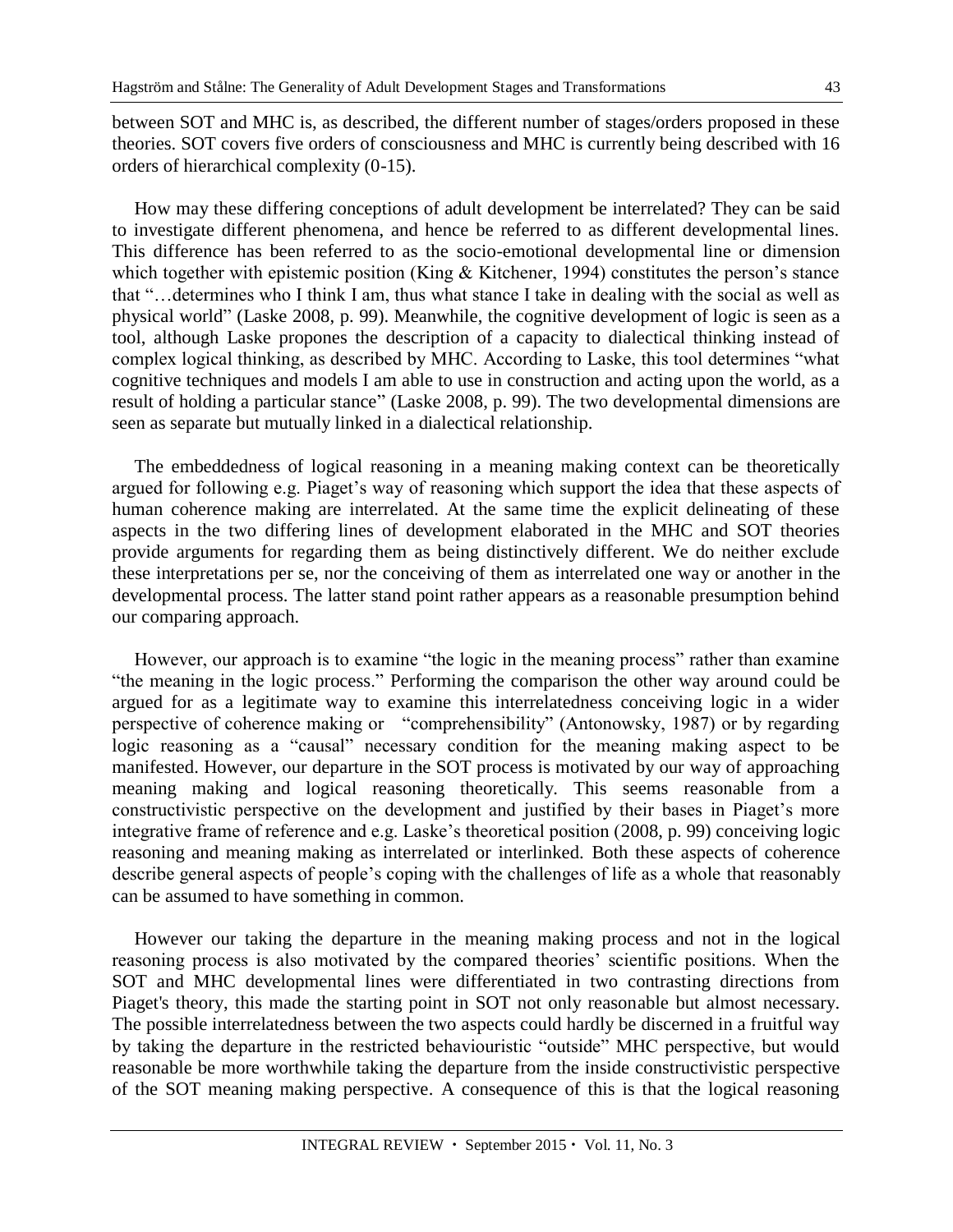between SOT and MHC is, as described, the different number of stages/orders proposed in these theories. SOT covers five orders of consciousness and MHC is currently being described with 16 orders of hierarchical complexity (0-15).

How may these differing conceptions of adult development be interrelated? They can be said to investigate different phenomena, and hence be referred to as different developmental lines. This difference has been referred to as the socio-emotional developmental line or dimension which together with epistemic position (King & Kitchener, 1994) constitutes the person's stance that "…determines who I think I am, thus what stance I take in dealing with the social as well as physical world" (Laske 2008, p. 99). Meanwhile, the cognitive development of logic is seen as a tool, although Laske propones the description of a capacity to dialectical thinking instead of complex logical thinking, as described by MHC. According to Laske, this tool determines "what cognitive techniques and models I am able to use in construction and acting upon the world, as a result of holding a particular stance" (Laske 2008, p. 99). The two developmental dimensions are seen as separate but mutually linked in a dialectical relationship.

The embeddedness of logical reasoning in a meaning making context can be theoretically argued for following e.g. Piaget's way of reasoning which support the idea that these aspects of human coherence making are interrelated. At the same time the explicit delineating of these aspects in the two differing lines of development elaborated in the MHC and SOT theories provide arguments for regarding them as being distinctively different. We do neither exclude these interpretations per se, nor the conceiving of them as interrelated one way or another in the developmental process. The latter stand point rather appears as a reasonable presumption behind our comparing approach.

However, our approach is to examine "the logic in the meaning process" rather than examine "the meaning in the logic process." Performing the comparison the other way around could be argued for as a legitimate way to examine this interrelatedness conceiving logic in a wider perspective of coherence making or "comprehensibility" (Antonowsky, 1987) or by regarding logic reasoning as a "causal" necessary condition for the meaning making aspect to be manifested. However, our departure in the SOT process is motivated by our way of approaching meaning making and logical reasoning theoretically. This seems reasonable from a constructivistic perspective on the development and justified by their bases in Piaget's more integrative frame of reference and e.g. Laske's theoretical position (2008, p. 99) conceiving logic reasoning and meaning making as interrelated or interlinked. Both these aspects of coherence describe general aspects of people's coping with the challenges of life as a whole that reasonably can be assumed to have something in common.

However our taking the departure in the meaning making process and not in the logical reasoning process is also motivated by the compared theories' scientific positions. When the SOT and MHC developmental lines were differentiated in two contrasting directions from Piaget's theory, this made the starting point in SOT not only reasonable but almost necessary. The possible interrelatedness between the two aspects could hardly be discerned in a fruitful way by taking the departure in the restricted behaviouristic "outside" MHC perspective, but would reasonable be more worthwhile taking the departure from the inside constructivistic perspective of the SOT meaning making perspective. A consequence of this is that the logical reasoning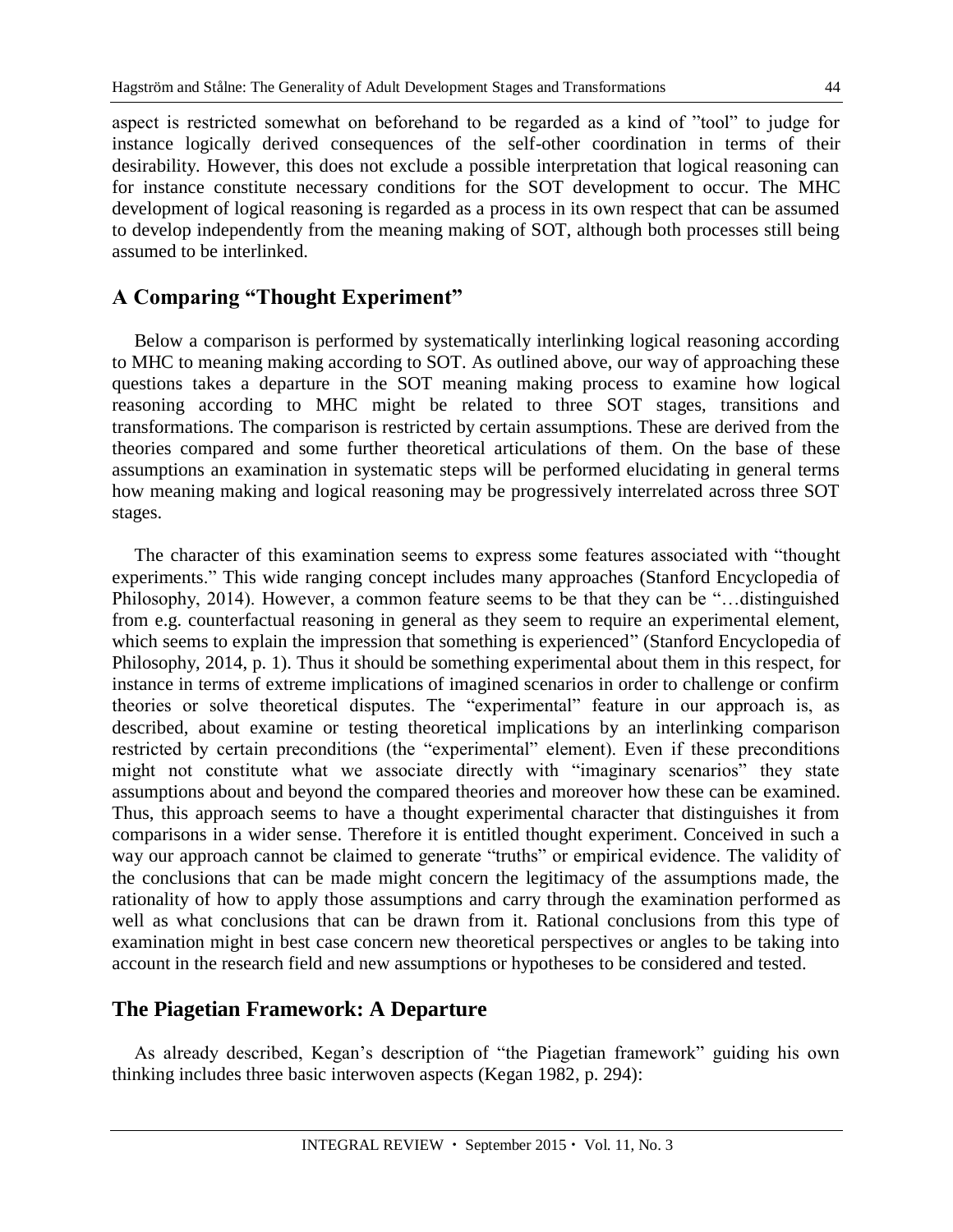aspect is restricted somewhat on beforehand to be regarded as a kind of "tool" to judge for instance logically derived consequences of the self-other coordination in terms of their desirability. However, this does not exclude a possible interpretation that logical reasoning can for instance constitute necessary conditions for the SOT development to occur. The MHC development of logical reasoning is regarded as a process in its own respect that can be assumed to develop independently from the meaning making of SOT, although both processes still being assumed to be interlinked.

### **A Comparing "Thought Experiment"**

Below a comparison is performed by systematically interlinking logical reasoning according to MHC to meaning making according to SOT. As outlined above, our way of approaching these questions takes a departure in the SOT meaning making process to examine how logical reasoning according to MHC might be related to three SOT stages, transitions and transformations. The comparison is restricted by certain assumptions. These are derived from the theories compared and some further theoretical articulations of them. On the base of these assumptions an examination in systematic steps will be performed elucidating in general terms how meaning making and logical reasoning may be progressively interrelated across three SOT stages.

The character of this examination seems to express some features associated with "thought experiments." This wide ranging concept includes many approaches (Stanford Encyclopedia of Philosophy, 2014). However, a common feature seems to be that they can be "…distinguished from e.g. counterfactual reasoning in general as they seem to require an experimental element, which seems to explain the impression that something is experienced" (Stanford Encyclopedia of Philosophy, 2014, p. 1). Thus it should be something experimental about them in this respect, for instance in terms of extreme implications of imagined scenarios in order to challenge or confirm theories or solve theoretical disputes. The "experimental" feature in our approach is, as described, about examine or testing theoretical implications by an interlinking comparison restricted by certain preconditions (the "experimental" element). Even if these preconditions might not constitute what we associate directly with "imaginary scenarios" they state assumptions about and beyond the compared theories and moreover how these can be examined. Thus, this approach seems to have a thought experimental character that distinguishes it from comparisons in a wider sense. Therefore it is entitled thought experiment. Conceived in such a way our approach cannot be claimed to generate "truths" or empirical evidence. The validity of the conclusions that can be made might concern the legitimacy of the assumptions made, the rationality of how to apply those assumptions and carry through the examination performed as well as what conclusions that can be drawn from it. Rational conclusions from this type of examination might in best case concern new theoretical perspectives or angles to be taking into account in the research field and new assumptions or hypotheses to be considered and tested.

#### **The Piagetian Framework: A Departure**

As already described, Kegan's description of "the Piagetian framework" guiding his own thinking includes three basic interwoven aspects (Kegan 1982, p. 294):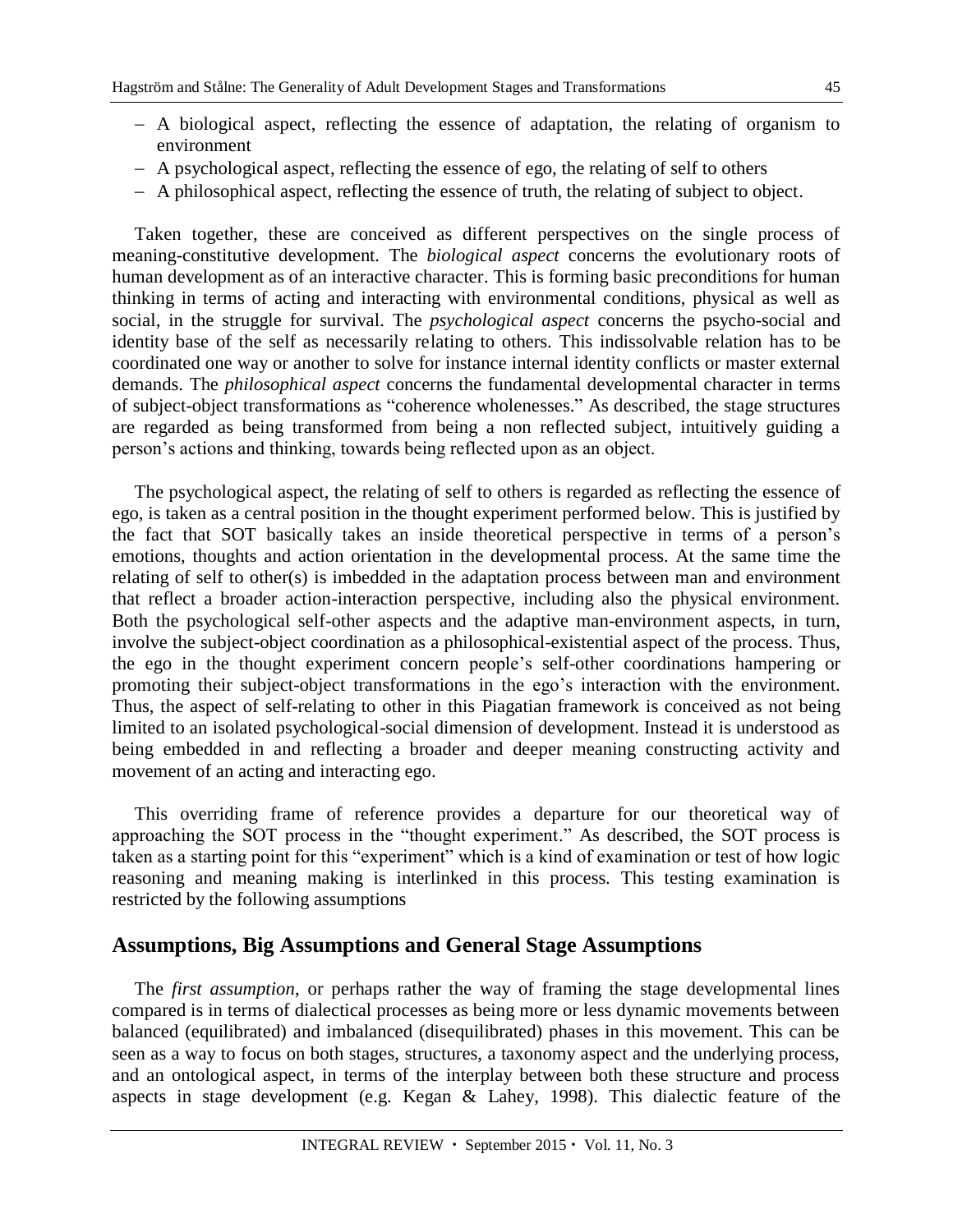- A biological aspect, reflecting the essence of adaptation, the relating of organism to environment
- A psychological aspect, reflecting the essence of ego, the relating of self to others
- A philosophical aspect, reflecting the essence of truth, the relating of subject to object.

Taken together, these are conceived as different perspectives on the single process of meaning-constitutive development. The *biological aspect* concerns the evolutionary roots of human development as of an interactive character. This is forming basic preconditions for human thinking in terms of acting and interacting with environmental conditions, physical as well as social, in the struggle for survival. The *psychological aspect* concerns the psycho-social and identity base of the self as necessarily relating to others. This indissolvable relation has to be coordinated one way or another to solve for instance internal identity conflicts or master external demands. The *philosophical aspect* concerns the fundamental developmental character in terms of subject-object transformations as "coherence wholenesses." As described, the stage structures are regarded as being transformed from being a non reflected subject, intuitively guiding a person's actions and thinking, towards being reflected upon as an object.

The psychological aspect, the relating of self to others is regarded as reflecting the essence of ego, is taken as a central position in the thought experiment performed below. This is justified by the fact that SOT basically takes an inside theoretical perspective in terms of a person's emotions, thoughts and action orientation in the developmental process. At the same time the relating of self to other(s) is imbedded in the adaptation process between man and environment that reflect a broader action-interaction perspective, including also the physical environment. Both the psychological self-other aspects and the adaptive man-environment aspects, in turn, involve the subject-object coordination as a philosophical-existential aspect of the process. Thus, the ego in the thought experiment concern people's self-other coordinations hampering or promoting their subject-object transformations in the ego's interaction with the environment. Thus, the aspect of self-relating to other in this Piagatian framework is conceived as not being limited to an isolated psychological-social dimension of development. Instead it is understood as being embedded in and reflecting a broader and deeper meaning constructing activity and movement of an acting and interacting ego.

This overriding frame of reference provides a departure for our theoretical way of approaching the SOT process in the "thought experiment." As described, the SOT process is taken as a starting point for this "experiment" which is a kind of examination or test of how logic reasoning and meaning making is interlinked in this process. This testing examination is restricted by the following assumptions

#### **Assumptions, Big Assumptions and General Stage Assumptions**

The *first assumption*, or perhaps rather the way of framing the stage developmental lines compared is in terms of dialectical processes as being more or less dynamic movements between balanced (equilibrated) and imbalanced (disequilibrated) phases in this movement. This can be seen as a way to focus on both stages, structures, a taxonomy aspect and the underlying process, and an ontological aspect, in terms of the interplay between both these structure and process aspects in stage development (e.g. Kegan & Lahey, 1998). This dialectic feature of the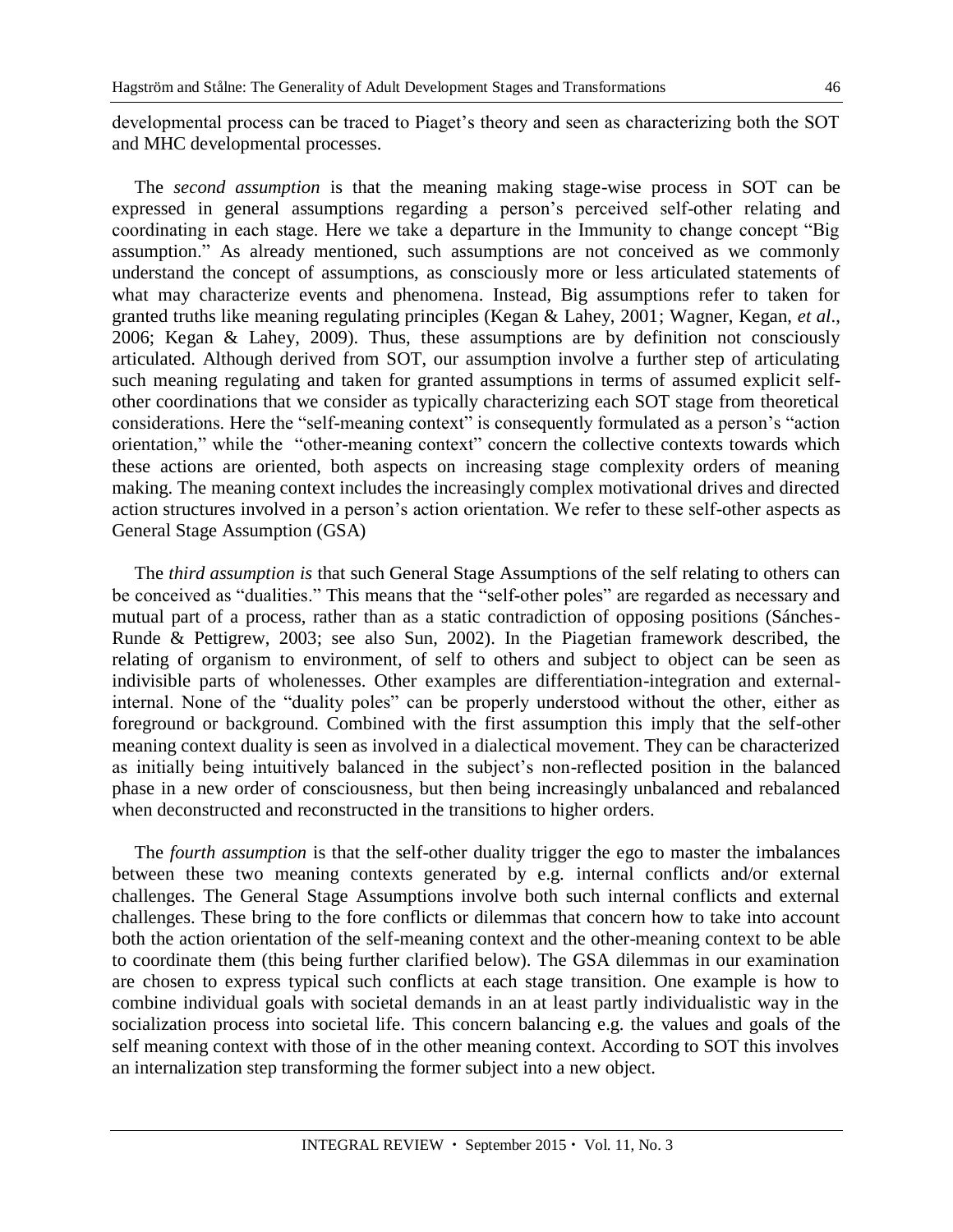developmental process can be traced to Piaget's theory and seen as characterizing both the SOT and MHC developmental processes.

The *second assumption* is that the meaning making stage-wise process in SOT can be expressed in general assumptions regarding a person's perceived self-other relating and coordinating in each stage. Here we take a departure in the Immunity to change concept "Big assumption." As already mentioned, such assumptions are not conceived as we commonly understand the concept of assumptions, as consciously more or less articulated statements of what may characterize events and phenomena. Instead, Big assumptions refer to taken for granted truths like meaning regulating principles (Kegan & Lahey, 2001; Wagner, Kegan, *et al*., 2006; Kegan & Lahey, 2009). Thus, these assumptions are by definition not consciously articulated. Although derived from SOT, our assumption involve a further step of articulating such meaning regulating and taken for granted assumptions in terms of assumed explicit selfother coordinations that we consider as typically characterizing each SOT stage from theoretical considerations. Here the "self-meaning context" is consequently formulated as a person's "action orientation," while the "other-meaning context" concern the collective contexts towards which these actions are oriented, both aspects on increasing stage complexity orders of meaning making. The meaning context includes the increasingly complex motivational drives and directed action structures involved in a person's action orientation. We refer to these self-other aspects as General Stage Assumption (GSA)

The *third assumption is* that such General Stage Assumptions of the self relating to others can be conceived as "dualities." This means that the "self-other poles" are regarded as necessary and mutual part of a process, rather than as a static contradiction of opposing positions (Sánches-Runde & Pettigrew, 2003; see also Sun, 2002). In the Piagetian framework described, the relating of organism to environment, of self to others and subject to object can be seen as indivisible parts of wholenesses. Other examples are differentiation-integration and externalinternal. None of the "duality poles" can be properly understood without the other, either as foreground or background. Combined with the first assumption this imply that the self-other meaning context duality is seen as involved in a dialectical movement. They can be characterized as initially being intuitively balanced in the subject's non-reflected position in the balanced phase in a new order of consciousness, but then being increasingly unbalanced and rebalanced when deconstructed and reconstructed in the transitions to higher orders.

The *fourth assumption* is that the self-other duality trigger the ego to master the imbalances between these two meaning contexts generated by e.g. internal conflicts and/or external challenges. The General Stage Assumptions involve both such internal conflicts and external challenges. These bring to the fore conflicts or dilemmas that concern how to take into account both the action orientation of the self-meaning context and the other-meaning context to be able to coordinate them (this being further clarified below). The GSA dilemmas in our examination are chosen to express typical such conflicts at each stage transition. One example is how to combine individual goals with societal demands in an at least partly individualistic way in the socialization process into societal life. This concern balancing e.g. the values and goals of the self meaning context with those of in the other meaning context. According to SOT this involves an internalization step transforming the former subject into a new object.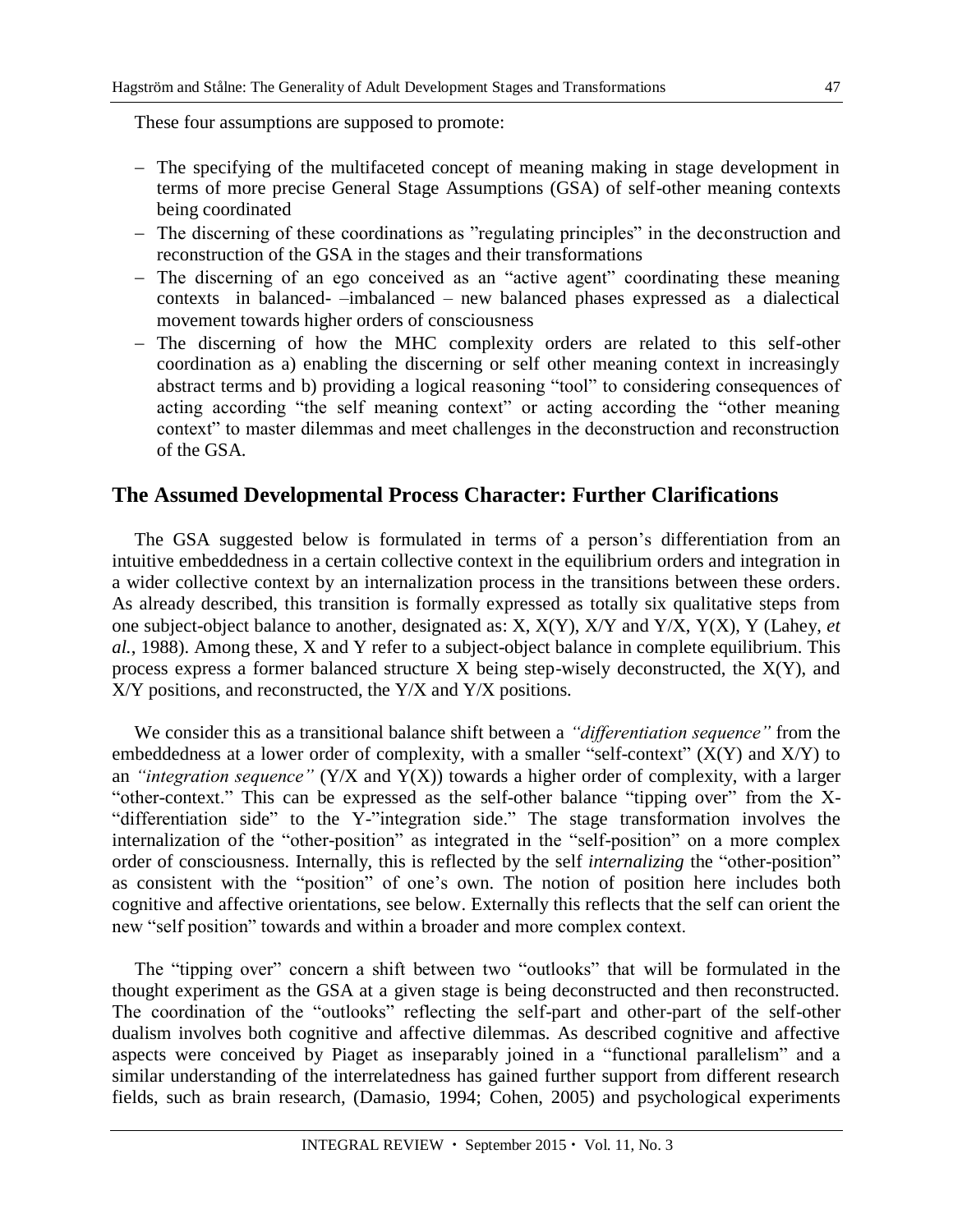These four assumptions are supposed to promote:

- The specifying of the multifaceted concept of meaning making in stage development in terms of more precise General Stage Assumptions (GSA) of self-other meaning contexts being coordinated
- The discerning of these coordinations as "regulating principles" in the deconstruction and reconstruction of the GSA in the stages and their transformations
- The discerning of an ego conceived as an "active agent" coordinating these meaning contexts in balanced- –imbalanced – new balanced phases expressed as a dialectical movement towards higher orders of consciousness
- The discerning of how the MHC complexity orders are related to this self-other coordination as a) enabling the discerning or self other meaning context in increasingly abstract terms and b) providing a logical reasoning "tool" to considering consequences of acting according "the self meaning context" or acting according the "other meaning context" to master dilemmas and meet challenges in the deconstruction and reconstruction of the GSA.

#### **The Assumed Developmental Process Character: Further Clarifications**

The GSA suggested below is formulated in terms of a person's differentiation from an intuitive embeddedness in a certain collective context in the equilibrium orders and integration in a wider collective context by an internalization process in the transitions between these orders. As already described, this transition is formally expressed as totally six qualitative steps from one subject-object balance to another, designated as: X, X(Y), X/Y and Y/X, Y(X), Y (Lahey, *et al.*, 1988). Among these, X and Y refer to a subject-object balance in complete equilibrium. This process express a former balanced structure X being step-wisely deconstructed, the X(Y), and X/Y positions, and reconstructed, the Y/X and Y/X positions.

We consider this as a transitional balance shift between a *"differentiation sequence"* from the embeddedness at a lower order of complexity, with a smaller "self-context"  $(X(Y)$  and  $X/Y$ ) to an *"integration sequence"*  $(Y/X)$  and  $Y(X)$  towards a higher order of complexity, with a larger "other-context." This can be expressed as the self-other balance "tipping over" from the X- "differentiation side" to the Y-"integration side." The stage transformation involves the internalization of the "other-position" as integrated in the "self-position" on a more complex order of consciousness. Internally, this is reflected by the self *internalizing* the "other-position" as consistent with the "position" of one's own. The notion of position here includes both cognitive and affective orientations, see below. Externally this reflects that the self can orient the new "self position" towards and within a broader and more complex context.

The "tipping over" concern a shift between two "outlooks" that will be formulated in the thought experiment as the GSA at a given stage is being deconstructed and then reconstructed. The coordination of the "outlooks" reflecting the self-part and other-part of the self-other dualism involves both cognitive and affective dilemmas. As described cognitive and affective aspects were conceived by Piaget as inseparably joined in a "functional parallelism" and a similar understanding of the interrelatedness has gained further support from different research fields, such as brain research, (Damasio, 1994; Cohen, 2005) and psychological experiments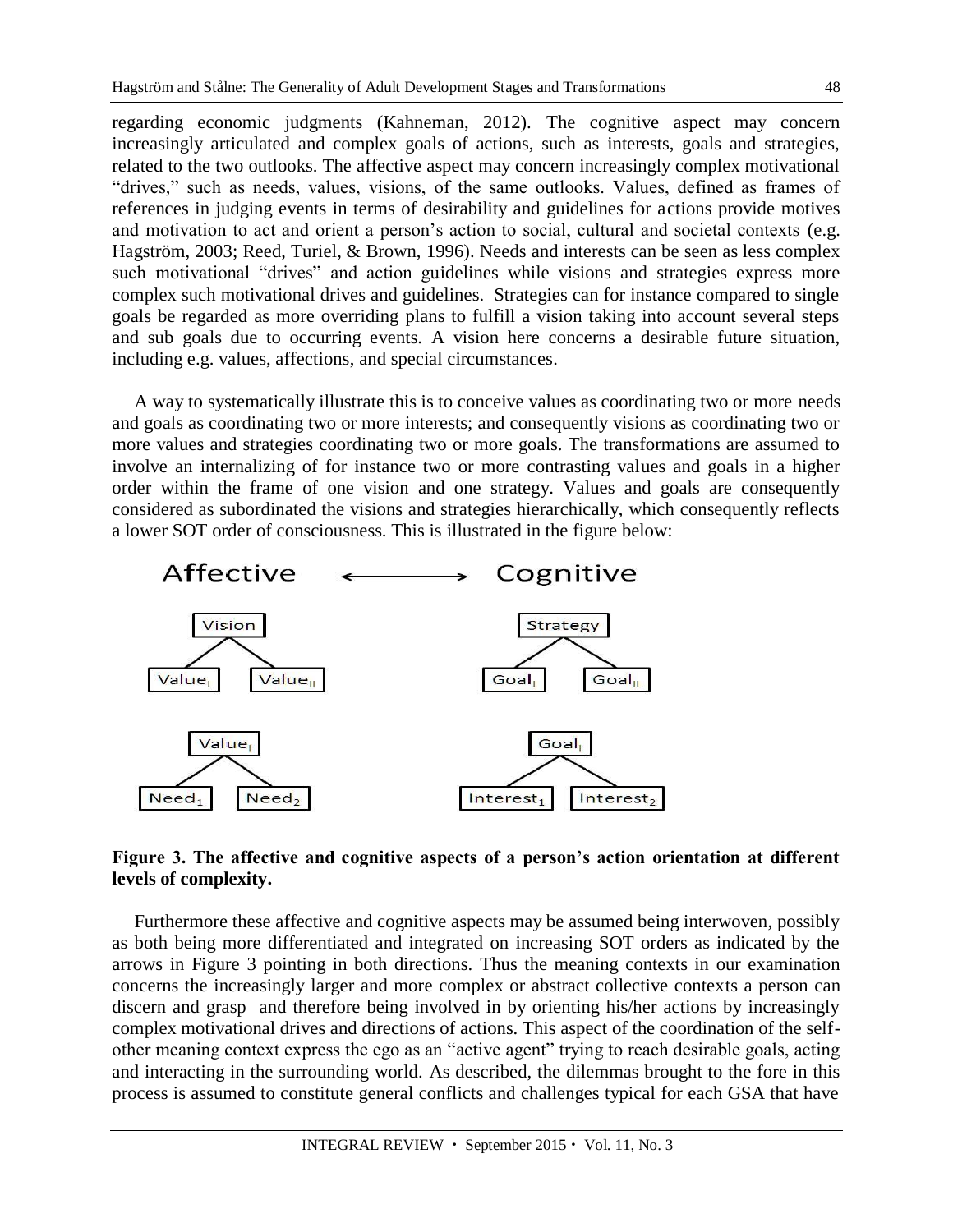regarding economic judgments (Kahneman, 2012). The cognitive aspect may concern increasingly articulated and complex goals of actions, such as interests, goals and strategies, related to the two outlooks. The affective aspect may concern increasingly complex motivational "drives," such as needs, values, visions, of the same outlooks. Values, defined as frames of references in judging events in terms of desirability and guidelines for actions provide motives and motivation to act and orient a person's action to social, cultural and societal contexts (e.g. Hagström, 2003; Reed, Turiel, & Brown, 1996). Needs and interests can be seen as less complex such motivational "drives" and action guidelines while visions and strategies express more complex such motivational drives and guidelines. Strategies can for instance compared to single goals be regarded as more overriding plans to fulfill a vision taking into account several steps and sub goals due to occurring events. A vision here concerns a desirable future situation, including e.g. values, affections, and special circumstances.

A way to systematically illustrate this is to conceive values as coordinating two or more needs and goals as coordinating two or more interests; and consequently visions as coordinating two or more values and strategies coordinating two or more goals. The transformations are assumed to involve an internalizing of for instance two or more contrasting values and goals in a higher order within the frame of one vision and one strategy. Values and goals are consequently considered as subordinated the visions and strategies hierarchically, which consequently reflects a lower SOT order of consciousness. This is illustrated in the figure below:



#### **Figure 3. The affective and cognitive aspects of a person's action orientation at different levels of complexity.**

Furthermore these affective and cognitive aspects may be assumed being interwoven, possibly as both being more differentiated and integrated on increasing SOT orders as indicated by the arrows in Figure 3 pointing in both directions. Thus the meaning contexts in our examination concerns the increasingly larger and more complex or abstract collective contexts a person can discern and grasp and therefore being involved in by orienting his/her actions by increasingly complex motivational drives and directions of actions. This aspect of the coordination of the selfother meaning context express the ego as an "active agent" trying to reach desirable goals, acting and interacting in the surrounding world. As described, the dilemmas brought to the fore in this process is assumed to constitute general conflicts and challenges typical for each GSA that have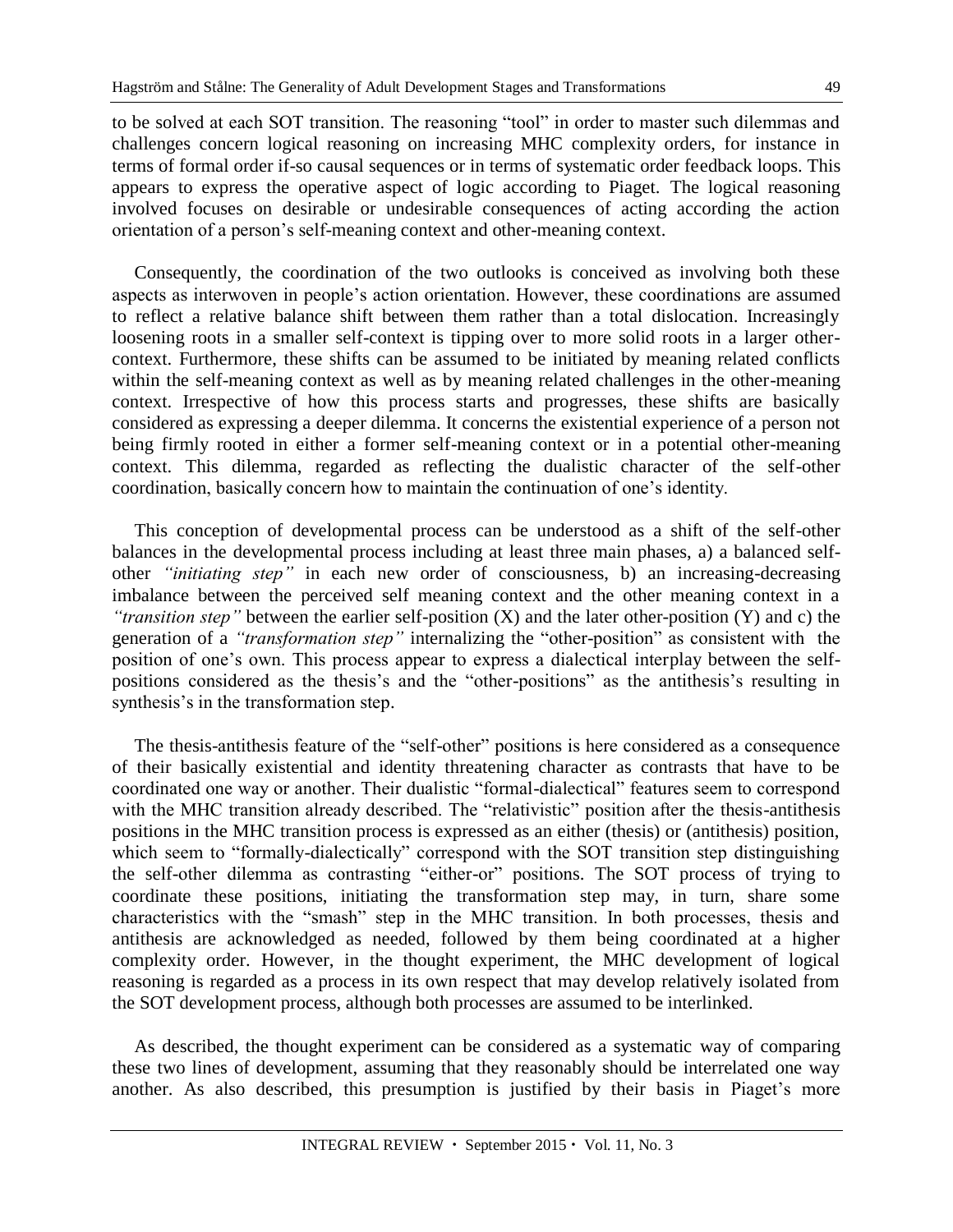to be solved at each SOT transition. The reasoning "tool" in order to master such dilemmas and challenges concern logical reasoning on increasing MHC complexity orders, for instance in terms of formal order if-so causal sequences or in terms of systematic order feedback loops. This appears to express the operative aspect of logic according to Piaget. The logical reasoning involved focuses on desirable or undesirable consequences of acting according the action orientation of a person's self-meaning context and other-meaning context.

Consequently, the coordination of the two outlooks is conceived as involving both these aspects as interwoven in people's action orientation. However, these coordinations are assumed to reflect a relative balance shift between them rather than a total dislocation. Increasingly loosening roots in a smaller self-context is tipping over to more solid roots in a larger othercontext. Furthermore, these shifts can be assumed to be initiated by meaning related conflicts within the self-meaning context as well as by meaning related challenges in the other-meaning context. Irrespective of how this process starts and progresses, these shifts are basically considered as expressing a deeper dilemma. It concerns the existential experience of a person not being firmly rooted in either a former self-meaning context or in a potential other-meaning context. This dilemma, regarded as reflecting the dualistic character of the self-other coordination, basically concern how to maintain the continuation of one's identity.

This conception of developmental process can be understood as a shift of the self-other balances in the developmental process including at least three main phases, a) a balanced selfother *"initiating step"* in each new order of consciousness, b) an increasing-decreasing imbalance between the perceived self meaning context and the other meaning context in a *"transition step"* between the earlier self-position (X) and the later other-position (Y) and c) the generation of a *"transformation step"* internalizing the "other-position" as consistent with the position of one's own. This process appear to express a dialectical interplay between the selfpositions considered as the thesis's and the "other-positions" as the antithesis's resulting in synthesis's in the transformation step.

The thesis-antithesis feature of the "self-other" positions is here considered as a consequence of their basically existential and identity threatening character as contrasts that have to be coordinated one way or another. Their dualistic "formal-dialectical" features seem to correspond with the MHC transition already described. The "relativistic" position after the thesis-antithesis positions in the MHC transition process is expressed as an either (thesis) or (antithesis) position, which seem to "formally-dialectically" correspond with the SOT transition step distinguishing the self-other dilemma as contrasting "either-or" positions. The SOT process of trying to coordinate these positions, initiating the transformation step may, in turn, share some characteristics with the "smash" step in the MHC transition. In both processes, thesis and antithesis are acknowledged as needed, followed by them being coordinated at a higher complexity order. However, in the thought experiment, the MHC development of logical reasoning is regarded as a process in its own respect that may develop relatively isolated from the SOT development process, although both processes are assumed to be interlinked.

As described, the thought experiment can be considered as a systematic way of comparing these two lines of development, assuming that they reasonably should be interrelated one way another. As also described, this presumption is justified by their basis in Piaget's more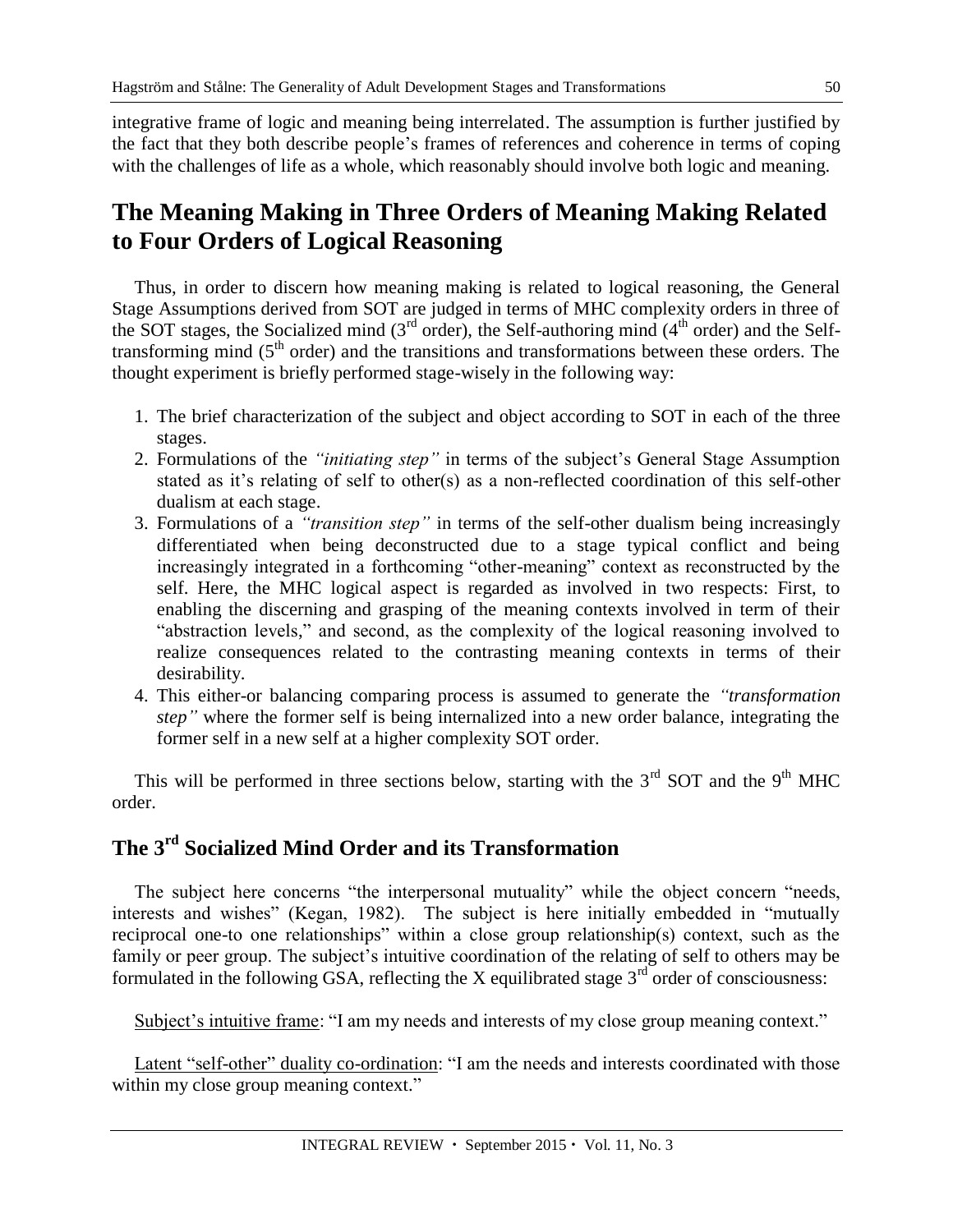integrative frame of logic and meaning being interrelated. The assumption is further justified by the fact that they both describe people's frames of references and coherence in terms of coping with the challenges of life as a whole, which reasonably should involve both logic and meaning.

# **The Meaning Making in Three Orders of Meaning Making Related to Four Orders of Logical Reasoning**

Thus, in order to discern how meaning making is related to logical reasoning, the General Stage Assumptions derived from SOT are judged in terms of MHC complexity orders in three of the SOT stages, the Socialized mind  $(3<sup>rd</sup> order)$ , the Self-authoring mind  $(4<sup>th</sup> order)$  and the Selftransforming mind  $(5<sup>th</sup> order)$  and the transitions and transformations between these orders. The thought experiment is briefly performed stage-wisely in the following way:

- 1. The brief characterization of the subject and object according to SOT in each of the three stages.
- 2. Formulations of the *"initiating step"* in terms of the subject's General Stage Assumption stated as it's relating of self to other(s) as a non-reflected coordination of this self-other dualism at each stage.
- 3. Formulations of a *"transition step"* in terms of the self-other dualism being increasingly differentiated when being deconstructed due to a stage typical conflict and being increasingly integrated in a forthcoming "other-meaning" context as reconstructed by the self. Here, the MHC logical aspect is regarded as involved in two respects: First, to enabling the discerning and grasping of the meaning contexts involved in term of their "abstraction levels," and second, as the complexity of the logical reasoning involved to realize consequences related to the contrasting meaning contexts in terms of their desirability.
- 4. This either-or balancing comparing process is assumed to generate the *"transformation step"* where the former self is being internalized into a new order balance, integrating the former self in a new self at a higher complexity SOT order.

This will be performed in three sections below, starting with the  $3<sup>rd</sup>$  SOT and the 9<sup>th</sup> MHC order.

# **The 3rd Socialized Mind Order and its Transformation**

The subject here concerns "the interpersonal mutuality" while the object concern "needs, interests and wishes" (Kegan, 1982). The subject is here initially embedded in "mutually reciprocal one-to one relationships" within a close group relationship(s) context, such as the family or peer group. The subject's intuitive coordination of the relating of self to others may be formulated in the following GSA, reflecting the X equilibrated stage  $3<sup>rd</sup>$  order of consciousness:

Subject's intuitive frame: "I am my needs and interests of my close group meaning context."

Latent "self-other" duality co-ordination: "I am the needs and interests coordinated with those within my close group meaning context."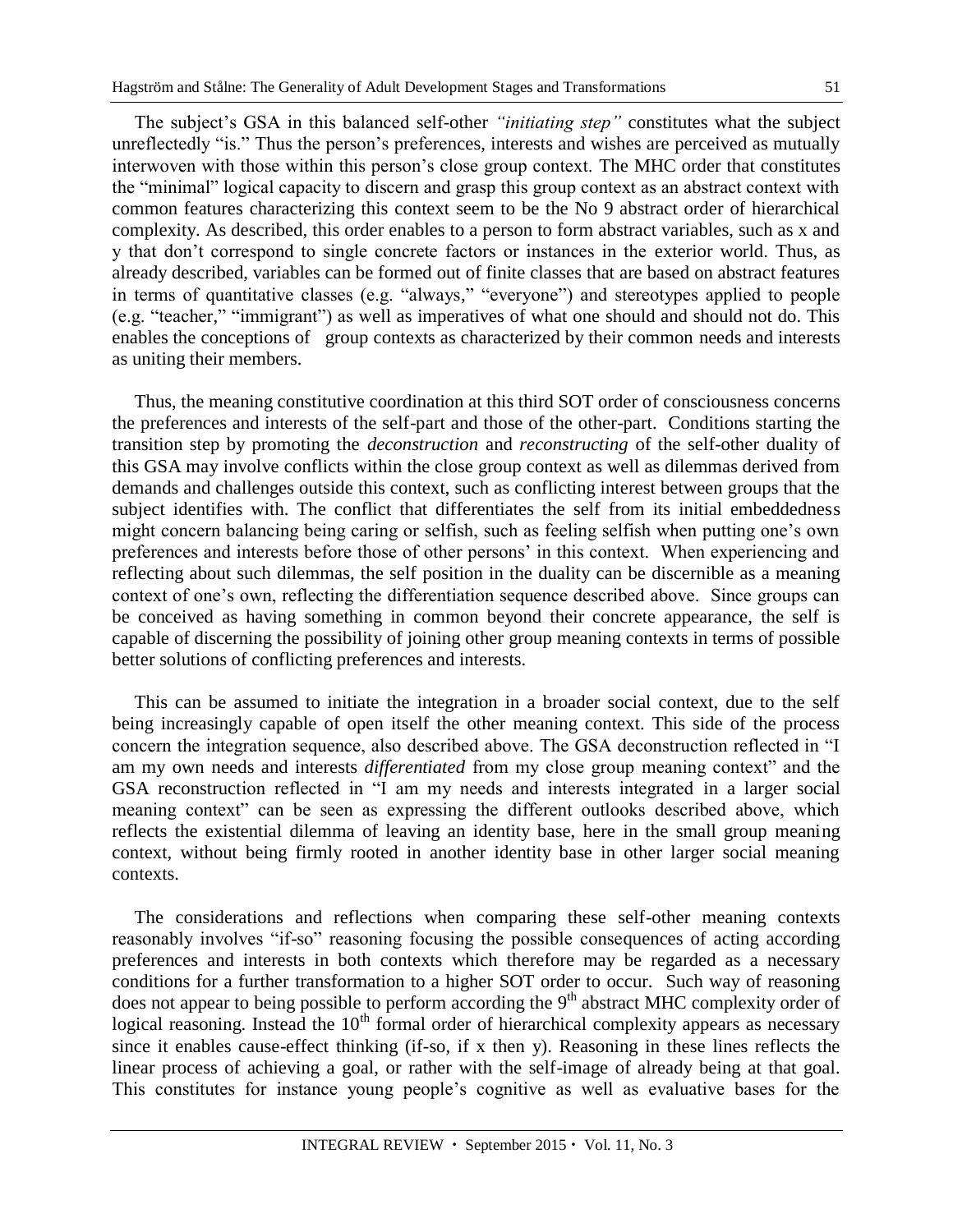The subject's GSA in this balanced self-other *"initiating step"* constitutes what the subject unreflectedly "is." Thus the person's preferences, interests and wishes are perceived as mutually interwoven with those within this person's close group context. The MHC order that constitutes the "minimal" logical capacity to discern and grasp this group context as an abstract context with common features characterizing this context seem to be the No 9 abstract order of hierarchical complexity. As described, this order enables to a person to form abstract variables, such as x and y that don't correspond to single concrete factors or instances in the exterior world. Thus, as already described, variables can be formed out of finite classes that are based on abstract features in terms of quantitative classes (e.g. "always," "everyone") and stereotypes applied to people (e.g. "teacher," "immigrant") as well as imperatives of what one should and should not do. This enables the conceptions of group contexts as characterized by their common needs and interests as uniting their members.

Thus, the meaning constitutive coordination at this third SOT order of consciousness concerns the preferences and interests of the self-part and those of the other-part. Conditions starting the transition step by promoting the *deconstruction* and *reconstructing* of the self-other duality of this GSA may involve conflicts within the close group context as well as dilemmas derived from demands and challenges outside this context, such as conflicting interest between groups that the subject identifies with. The conflict that differentiates the self from its initial embeddedness might concern balancing being caring or selfish, such as feeling selfish when putting one's own preferences and interests before those of other persons' in this context. When experiencing and reflecting about such dilemmas, the self position in the duality can be discernible as a meaning context of one's own, reflecting the differentiation sequence described above. Since groups can be conceived as having something in common beyond their concrete appearance, the self is capable of discerning the possibility of joining other group meaning contexts in terms of possible better solutions of conflicting preferences and interests.

This can be assumed to initiate the integration in a broader social context, due to the self being increasingly capable of open itself the other meaning context. This side of the process concern the integration sequence, also described above. The GSA deconstruction reflected in "I am my own needs and interests *differentiated* from my close group meaning context" and the GSA reconstruction reflected in "I am my needs and interests integrated in a larger social meaning context" can be seen as expressing the different outlooks described above, which reflects the existential dilemma of leaving an identity base, here in the small group meaning context, without being firmly rooted in another identity base in other larger social meaning contexts.

The considerations and reflections when comparing these self-other meaning contexts reasonably involves "if-so" reasoning focusing the possible consequences of acting according preferences and interests in both contexts which therefore may be regarded as a necessary conditions for a further transformation to a higher SOT order to occur. Such way of reasoning does not appear to being possible to perform according the 9<sup>th</sup> abstract MHC complexity order of logical reasoning. Instead the  $10<sup>th</sup>$  formal order of hierarchical complexity appears as necessary since it enables cause-effect thinking (if-so, if x then y). Reasoning in these lines reflects the linear process of achieving a goal, or rather with the self-image of already being at that goal. This constitutes for instance young people's cognitive as well as evaluative bases for the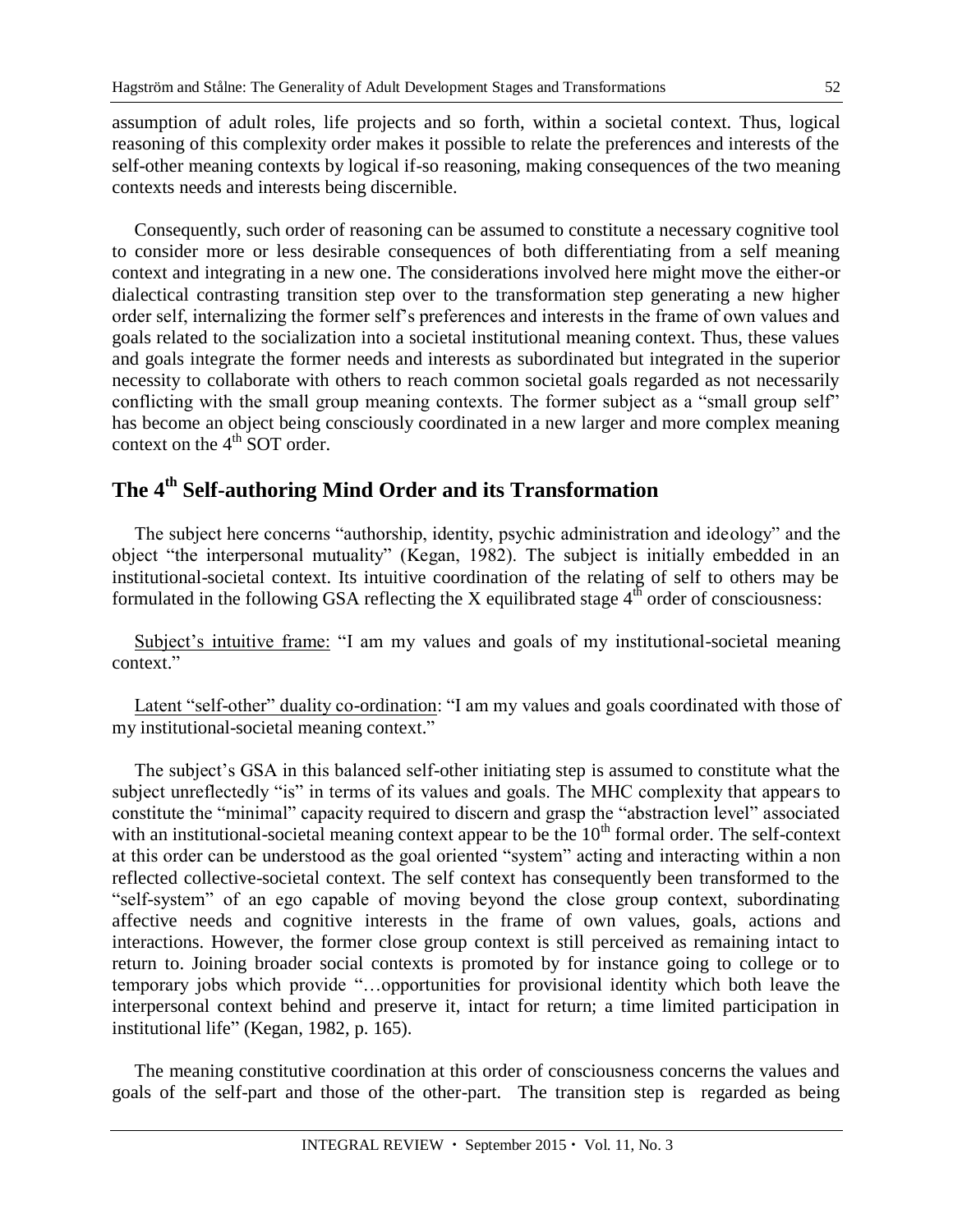assumption of adult roles, life projects and so forth, within a societal context. Thus, logical reasoning of this complexity order makes it possible to relate the preferences and interests of the self-other meaning contexts by logical if-so reasoning, making consequences of the two meaning contexts needs and interests being discernible.

Consequently, such order of reasoning can be assumed to constitute a necessary cognitive tool to consider more or less desirable consequences of both differentiating from a self meaning context and integrating in a new one. The considerations involved here might move the either-or dialectical contrasting transition step over to the transformation step generating a new higher order self, internalizing the former self's preferences and interests in the frame of own values and goals related to the socialization into a societal institutional meaning context. Thus, these values and goals integrate the former needs and interests as subordinated but integrated in the superior necessity to collaborate with others to reach common societal goals regarded as not necessarily conflicting with the small group meaning contexts. The former subject as a "small group self" has become an object being consciously coordinated in a new larger and more complex meaning context on the  $4<sup>th</sup>$  SOT order.

## **The 4th Self-authoring Mind Order and its Transformation**

The subject here concerns "authorship, identity, psychic administration and ideology" and the object "the interpersonal mutuality" (Kegan, 1982). The subject is initially embedded in an institutional-societal context. Its intuitive coordination of the relating of self to others may be formulated in the following GSA reflecting the X equilibrated stage  $4<sup>th</sup>$  order of consciousness:

Subject's intuitive frame: "I am my values and goals of my institutional-societal meaning context."

Latent "self-other" duality co-ordination: "I am my values and goals coordinated with those of my institutional-societal meaning context."

The subject's GSA in this balanced self-other initiating step is assumed to constitute what the subject unreflectedly "is" in terms of its values and goals. The MHC complexity that appears to constitute the "minimal" capacity required to discern and grasp the "abstraction level" associated with an institutional-societal meaning context appear to be the  $10<sup>th</sup>$  formal order. The self-context at this order can be understood as the goal oriented "system" acting and interacting within a non reflected collective-societal context. The self context has consequently been transformed to the "self-system" of an ego capable of moving beyond the close group context, subordinating affective needs and cognitive interests in the frame of own values, goals, actions and interactions. However, the former close group context is still perceived as remaining intact to return to. Joining broader social contexts is promoted by for instance going to college or to temporary jobs which provide "…opportunities for provisional identity which both leave the interpersonal context behind and preserve it, intact for return; a time limited participation in institutional life" (Kegan, 1982, p. 165).

The meaning constitutive coordination at this order of consciousness concerns the values and goals of the self-part and those of the other-part. The transition step is regarded as being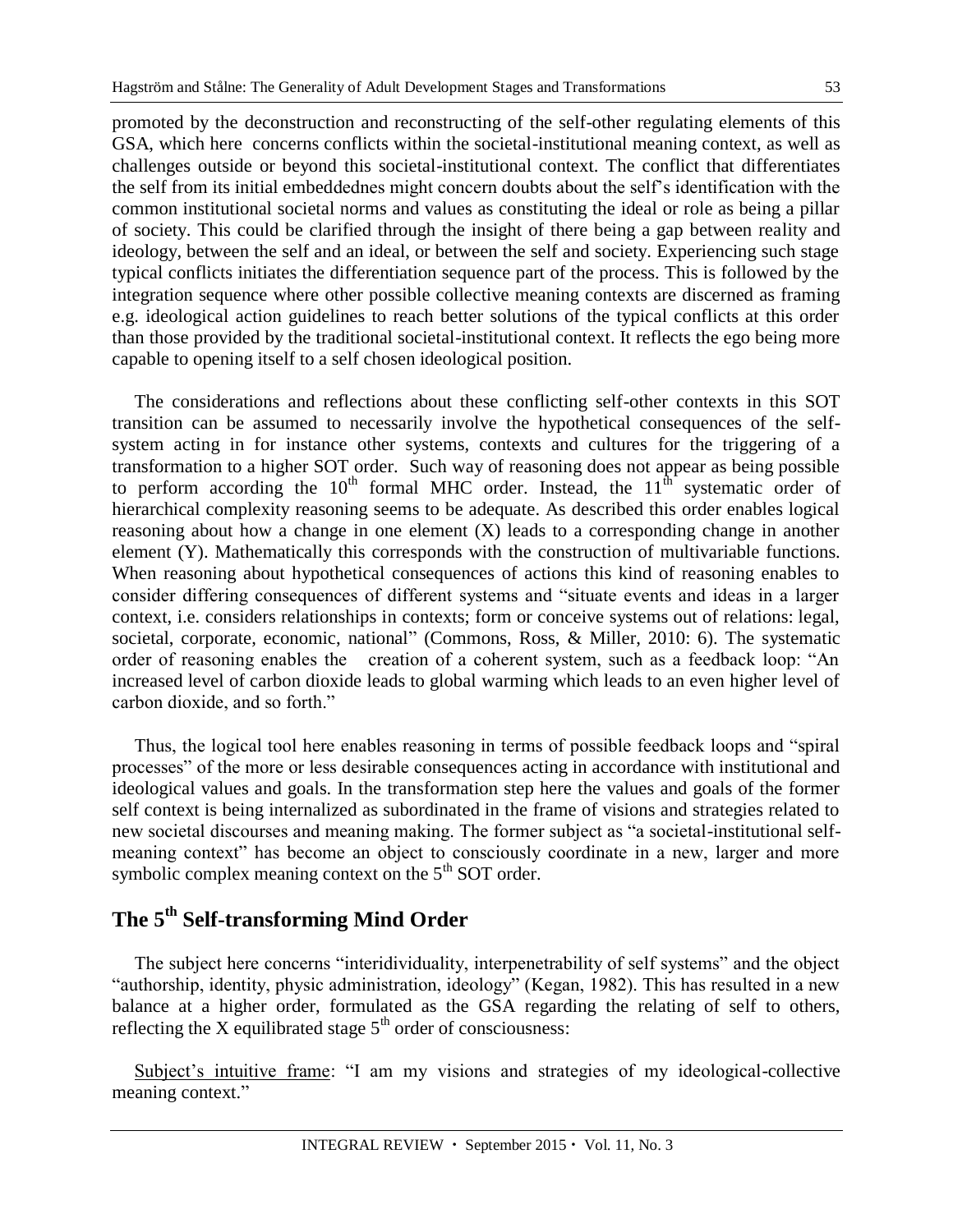promoted by the deconstruction and reconstructing of the self-other regulating elements of this GSA, which here concerns conflicts within the societal-institutional meaning context, as well as challenges outside or beyond this societal-institutional context. The conflict that differentiates the self from its initial embeddednes might concern doubts about the self's identification with the common institutional societal norms and values as constituting the ideal or role as being a pillar of society. This could be clarified through the insight of there being a gap between reality and ideology, between the self and an ideal, or between the self and society. Experiencing such stage typical conflicts initiates the differentiation sequence part of the process. This is followed by the integration sequence where other possible collective meaning contexts are discerned as framing e.g. ideological action guidelines to reach better solutions of the typical conflicts at this order than those provided by the traditional societal-institutional context. It reflects the ego being more capable to opening itself to a self chosen ideological position.

The considerations and reflections about these conflicting self-other contexts in this SOT transition can be assumed to necessarily involve the hypothetical consequences of the selfsystem acting in for instance other systems, contexts and cultures for the triggering of a transformation to a higher SOT order. Such way of reasoning does not appear as being possible to perform according the  $10^{th}$  formal MHC order. Instead, the  $11^{th}$  systematic order of hierarchical complexity reasoning seems to be adequate. As described this order enables logical reasoning about how a change in one element (X) leads to a corresponding change in another element (Y). Mathematically this corresponds with the construction of multivariable functions. When reasoning about hypothetical consequences of actions this kind of reasoning enables to consider differing consequences of different systems and "situate events and ideas in a larger context, i.e. considers relationships in contexts; form or conceive systems out of relations: legal, societal, corporate, economic, national" (Commons, Ross, & Miller, 2010: 6). The systematic order of reasoning enables the creation of a coherent system, such as a feedback loop: "An increased level of carbon dioxide leads to global warming which leads to an even higher level of carbon dioxide, and so forth."

Thus, the logical tool here enables reasoning in terms of possible feedback loops and "spiral processes" of the more or less desirable consequences acting in accordance with institutional and ideological values and goals. In the transformation step here the values and goals of the former self context is being internalized as subordinated in the frame of visions and strategies related to new societal discourses and meaning making. The former subject as "a societal-institutional selfmeaning context" has become an object to consciously coordinate in a new, larger and more symbolic complex meaning context on the  $5<sup>th</sup>$  SOT order.

# **The 5th Self-transforming Mind Order**

The subject here concerns "interidividuality, interpenetrability of self systems" and the object "authorship, identity, physic administration, ideology" (Kegan, 1982). This has resulted in a new balance at a higher order, formulated as the GSA regarding the relating of self to others, reflecting the X equilibrated stage  $5<sup>th</sup>$  order of consciousness:

Subject's intuitive frame: "I am my visions and strategies of my ideological-collective meaning context."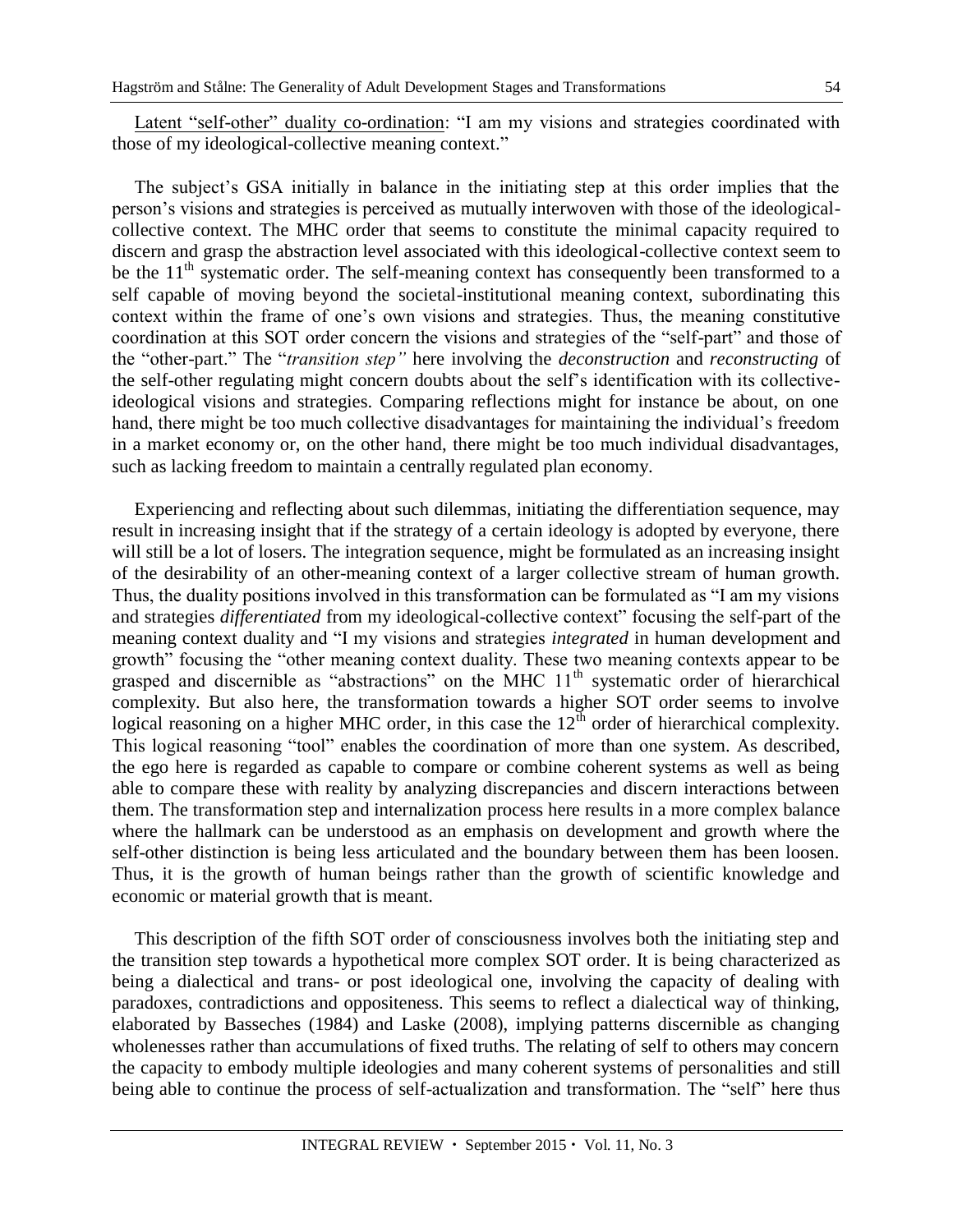Latent "self-other" duality co-ordination: "I am my visions and strategies coordinated with those of my ideological-collective meaning context."

The subject's GSA initially in balance in the initiating step at this order implies that the person's visions and strategies is perceived as mutually interwoven with those of the ideologicalcollective context. The MHC order that seems to constitute the minimal capacity required to discern and grasp the abstraction level associated with this ideological-collective context seem to be the  $11<sup>th</sup>$  systematic order. The self-meaning context has consequently been transformed to a self capable of moving beyond the societal-institutional meaning context, subordinating this context within the frame of one's own visions and strategies. Thus, the meaning constitutive coordination at this SOT order concern the visions and strategies of the "self-part" and those of the "other-part." The "*transition step"* here involving the *deconstruction* and *reconstructing* of the self-other regulating might concern doubts about the self's identification with its collectiveideological visions and strategies. Comparing reflections might for instance be about, on one hand, there might be too much collective disadvantages for maintaining the individual's freedom in a market economy or, on the other hand, there might be too much individual disadvantages, such as lacking freedom to maintain a centrally regulated plan economy.

Experiencing and reflecting about such dilemmas, initiating the differentiation sequence, may result in increasing insight that if the strategy of a certain ideology is adopted by everyone, there will still be a lot of losers. The integration sequence*,* might be formulated as an increasing insight of the desirability of an other-meaning context of a larger collective stream of human growth. Thus, the duality positions involved in this transformation can be formulated as "I am my visions and strategies *differentiated* from my ideological-collective context" focusing the self-part of the meaning context duality and "I my visions and strategies *integrated* in human development and growth" focusing the "other meaning context duality. These two meaning contexts appear to be grasped and discernible as "abstractions" on the MHC  $11<sup>th</sup>$  systematic order of hierarchical complexity. But also here, the transformation towards a higher SOT order seems to involve logical reasoning on a higher MHC order, in this case the  $12<sup>th</sup>$  order of hierarchical complexity. This logical reasoning "tool" enables the coordination of more than one system. As described, the ego here is regarded as capable to compare or combine coherent systems as well as being able to compare these with reality by analyzing discrepancies and discern interactions between them. The transformation step and internalization process here results in a more complex balance where the hallmark can be understood as an emphasis on development and growth where the self-other distinction is being less articulated and the boundary between them has been loosen. Thus, it is the growth of human beings rather than the growth of scientific knowledge and economic or material growth that is meant.

This description of the fifth SOT order of consciousness involves both the initiating step and the transition step towards a hypothetical more complex SOT order. It is being characterized as being a dialectical and trans- or post ideological one, involving the capacity of dealing with paradoxes, contradictions and oppositeness. This seems to reflect a dialectical way of thinking, elaborated by Basseches (1984) and Laske (2008), implying patterns discernible as changing wholenesses rather than accumulations of fixed truths. The relating of self to others may concern the capacity to embody multiple ideologies and many coherent systems of personalities and still being able to continue the process of self-actualization and transformation. The "self" here thus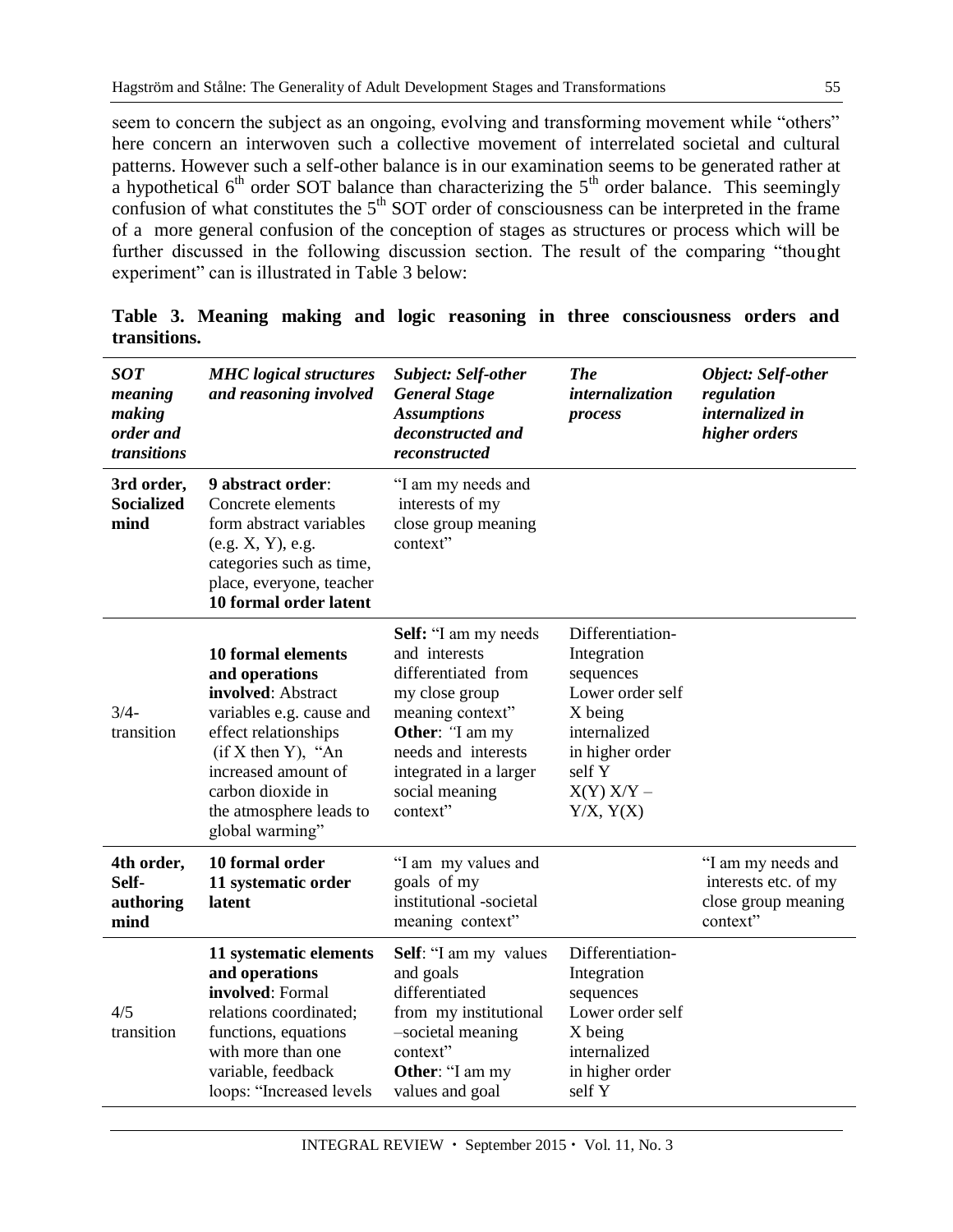seem to concern the subject as an ongoing, evolving and transforming movement while "others" here concern an interwoven such a collective movement of interrelated societal and cultural patterns. However such a self-other balance is in our examination seems to be generated rather at a hypothetical  $6<sup>th</sup>$  order SOT balance than characterizing the  $5<sup>th</sup>$  order balance. This seemingly confusion of what constitutes the  $5<sup>th</sup>$  SOT order of consciousness can be interpreted in the frame of a more general confusion of the conception of stages as structures or process which will be further discussed in the following discussion section. The result of the comparing "thought experiment" can is illustrated in Table 3 below:

| <b>SOT</b><br>meaning<br>making<br>order and<br>transitions | <b>MHC</b> logical structures<br>and reasoning involved                                                                                                                                                                                  | <b>Subject: Self-other</b><br><b>General Stage</b><br><b>Assumptions</b><br>deconstructed and<br>reconstructed                                                                                       | <b>The</b><br>internalization<br>process                                                                                                                | <b>Object: Self-other</b><br>regulation<br>internalized in<br>higher orders   |
|-------------------------------------------------------------|------------------------------------------------------------------------------------------------------------------------------------------------------------------------------------------------------------------------------------------|------------------------------------------------------------------------------------------------------------------------------------------------------------------------------------------------------|---------------------------------------------------------------------------------------------------------------------------------------------------------|-------------------------------------------------------------------------------|
| 3rd order,<br><b>Socialized</b><br>mind                     | 9 abstract order:<br>Concrete elements<br>form abstract variables<br>(e.g. X, Y), e.g.<br>categories such as time,<br>place, everyone, teacher<br>10 formal order latent                                                                 | "I am my needs and<br>interests of my<br>close group meaning<br>context"                                                                                                                             |                                                                                                                                                         |                                                                               |
| $3/4-$<br>transition                                        | <b>10 formal elements</b><br>and operations<br>involved: Abstract<br>variables e.g. cause and<br>effect relationships<br>$(if X then Y)$ , "An<br>increased amount of<br>carbon dioxide in<br>the atmosphere leads to<br>global warming" | Self: "I am my needs<br>and interests<br>differentiated from<br>my close group<br>meaning context"<br>Other: "I am my<br>needs and interests<br>integrated in a larger<br>social meaning<br>context" | Differentiation-<br>Integration<br>sequences<br>Lower order self<br>X being<br>internalized<br>in higher order<br>self Y<br>$X(Y)$ $X/Y$ -<br>Y/X, Y(X) |                                                                               |
| 4th order,<br>Self-<br>authoring<br>mind                    | 10 formal order<br>11 systematic order<br>latent                                                                                                                                                                                         | "I am my values and<br>goals of my<br>institutional -societal<br>meaning context"                                                                                                                    |                                                                                                                                                         | "I am my needs and<br>interests etc. of my<br>close group meaning<br>context" |
| 4/5<br>transition                                           | 11 systematic elements<br>and operations<br>involved: Formal<br>relations coordinated;<br>functions, equations<br>with more than one<br>variable, feedback<br>loops: "Increased levels                                                   | Self: "I am my values<br>and goals<br>differentiated<br>from my institutional<br>-societal meaning<br>context"<br>Other: "I am my<br>values and goal                                                 | Differentiation-<br>Integration<br>sequences<br>Lower order self<br>X being<br>internalized<br>in higher order<br>self Y                                |                                                                               |

**Table 3. Meaning making and logic reasoning in three consciousness orders and transitions.**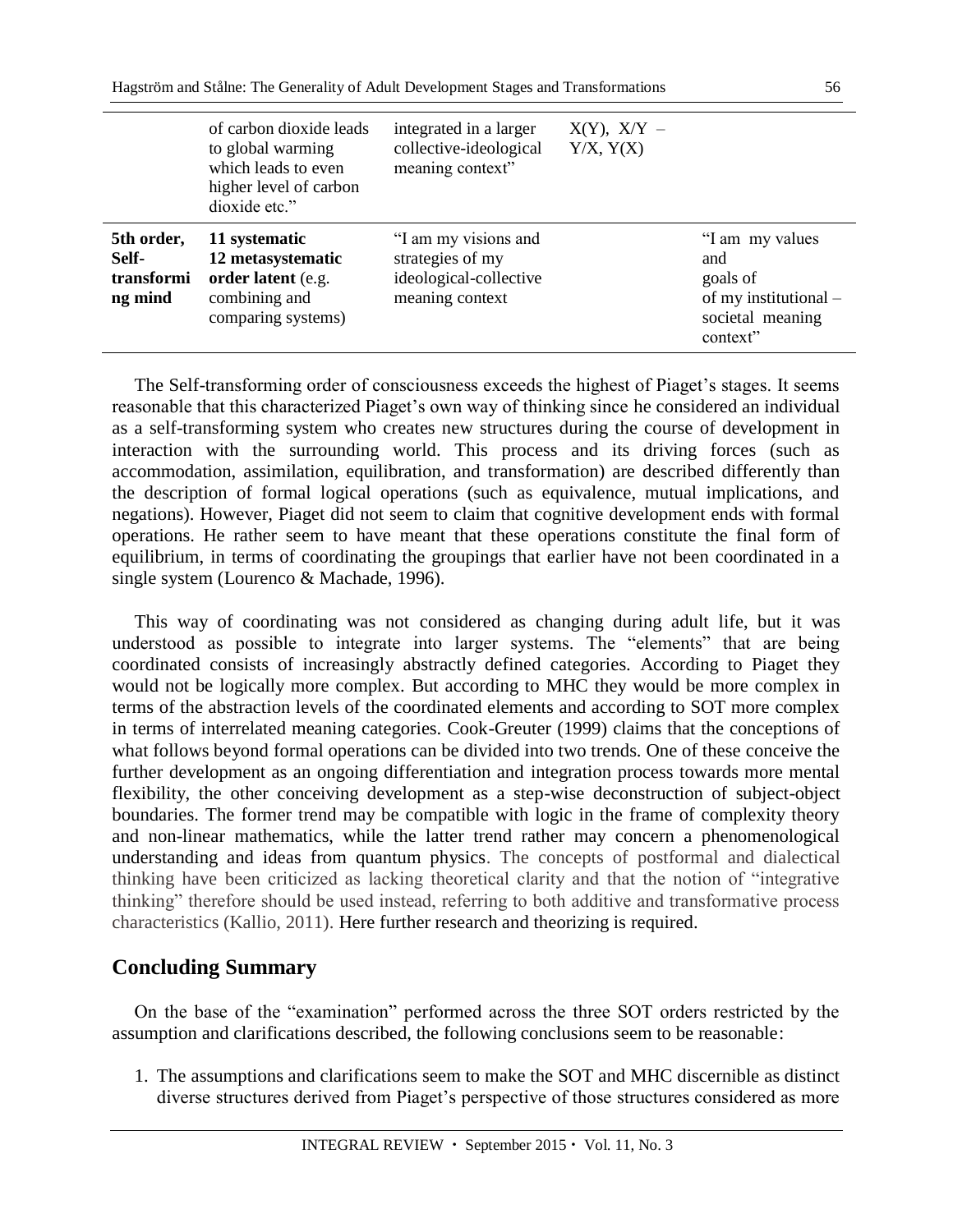|                                              | of carbon dioxide leads<br>to global warming<br>which leads to even<br>higher level of carbon<br>dioxide etc." | integrated in a larger<br>collective-ideological<br>meaning context"                  | $X(Y)$ , $X/Y$ –<br>Y/X, Y(X) |                                                                                              |
|----------------------------------------------|----------------------------------------------------------------------------------------------------------------|---------------------------------------------------------------------------------------|-------------------------------|----------------------------------------------------------------------------------------------|
| 5th order,<br>Self-<br>transformi<br>ng mind | 11 systematic<br>12 metasystematic<br>order latent (e.g.<br>combining and<br>comparing systems)                | "I am my visions and<br>strategies of my<br>ideological-collective<br>meaning context |                               | "I am my values"<br>and<br>goals of<br>of my institutional –<br>societal meaning<br>context" |

The Self-transforming order of consciousness exceeds the highest of Piaget's stages. It seems reasonable that this characterized Piaget's own way of thinking since he considered an individual as a self-transforming system who creates new structures during the course of development in interaction with the surrounding world. This process and its driving forces (such as accommodation, assimilation, equilibration, and transformation) are described differently than the description of formal logical operations (such as equivalence, mutual implications, and negations). However, Piaget did not seem to claim that cognitive development ends with formal operations. He rather seem to have meant that these operations constitute the final form of equilibrium, in terms of coordinating the groupings that earlier have not been coordinated in a single system (Lourenco & Machade, 1996).

This way of coordinating was not considered as changing during adult life, but it was understood as possible to integrate into larger systems. The "elements" that are being coordinated consists of increasingly abstractly defined categories. According to Piaget they would not be logically more complex. But according to MHC they would be more complex in terms of the abstraction levels of the coordinated elements and according to SOT more complex in terms of interrelated meaning categories. Cook-Greuter (1999) claims that the conceptions of what follows beyond formal operations can be divided into two trends. One of these conceive the further development as an ongoing differentiation and integration process towards more mental flexibility, the other conceiving development as a step-wise deconstruction of subject-object boundaries. The former trend may be compatible with logic in the frame of complexity theory and non-linear mathematics, while the latter trend rather may concern a phenomenological understanding and ideas from quantum physics. The concepts of postformal and dialectical thinking have been criticized as lacking theoretical clarity and that the notion of "integrative thinking" therefore should be used instead, referring to both additive and transformative process characteristics (Kallio, 2011). Here further research and theorizing is required.

#### **Concluding Summary**

On the base of the "examination" performed across the three SOT orders restricted by the assumption and clarifications described, the following conclusions seem to be reasonable:

1. The assumptions and clarifications seem to make the SOT and MHC discernible as distinct diverse structures derived from Piaget's perspective of those structures considered as more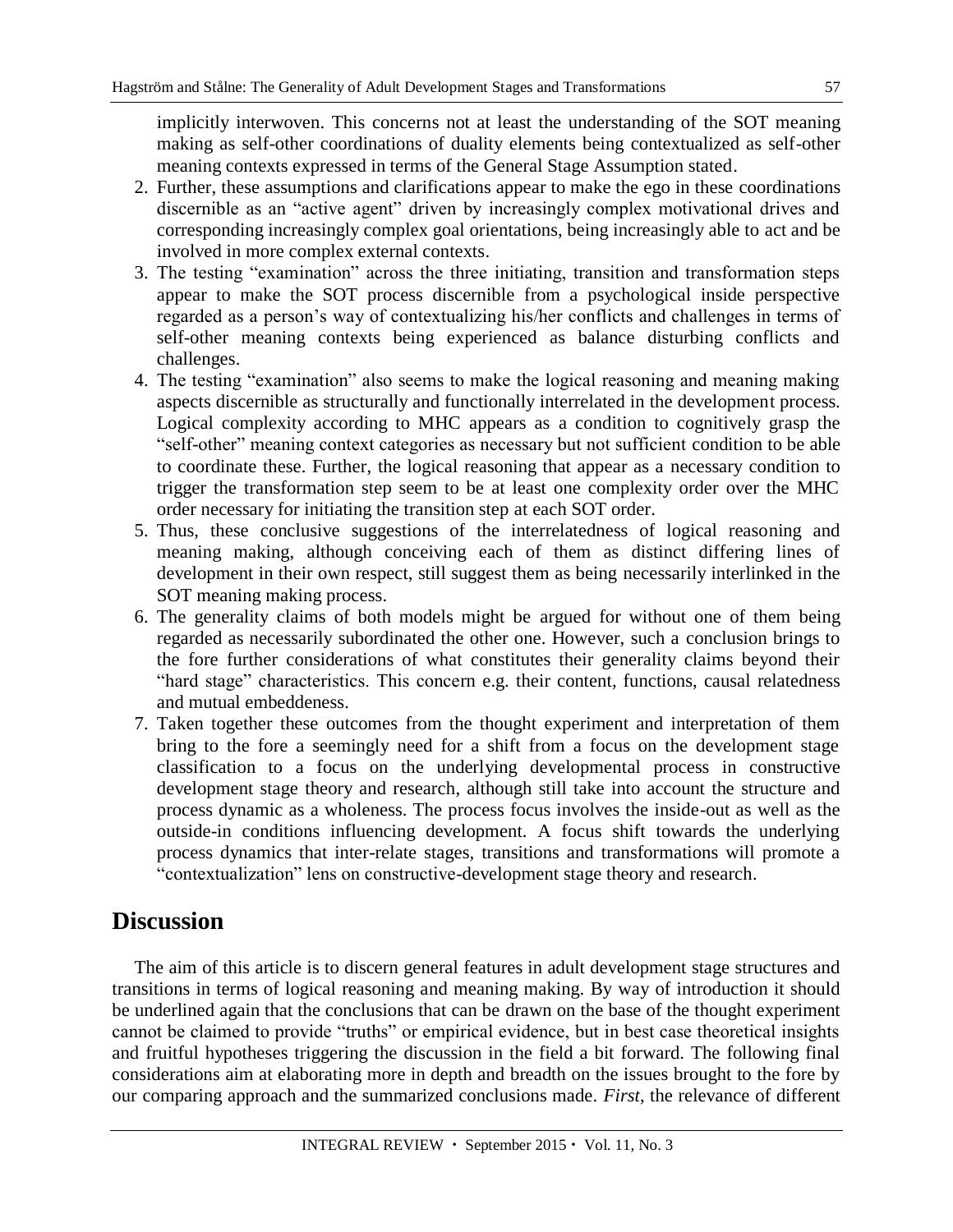implicitly interwoven. This concerns not at least the understanding of the SOT meaning making as self-other coordinations of duality elements being contextualized as self-other meaning contexts expressed in terms of the General Stage Assumption stated.

- 2. Further, these assumptions and clarifications appear to make the ego in these coordinations discernible as an "active agent" driven by increasingly complex motivational drives and corresponding increasingly complex goal orientations, being increasingly able to act and be involved in more complex external contexts.
- 3. The testing "examination" across the three initiating, transition and transformation steps appear to make the SOT process discernible from a psychological inside perspective regarded as a person's way of contextualizing his/her conflicts and challenges in terms of self-other meaning contexts being experienced as balance disturbing conflicts and challenges.
- 4. The testing "examination" also seems to make the logical reasoning and meaning making aspects discernible as structurally and functionally interrelated in the development process. Logical complexity according to MHC appears as a condition to cognitively grasp the "self-other" meaning context categories as necessary but not sufficient condition to be able to coordinate these. Further, the logical reasoning that appear as a necessary condition to trigger the transformation step seem to be at least one complexity order over the MHC order necessary for initiating the transition step at each SOT order.
- 5. Thus, these conclusive suggestions of the interrelatedness of logical reasoning and meaning making, although conceiving each of them as distinct differing lines of development in their own respect, still suggest them as being necessarily interlinked in the SOT meaning making process.
- 6. The generality claims of both models might be argued for without one of them being regarded as necessarily subordinated the other one. However, such a conclusion brings to the fore further considerations of what constitutes their generality claims beyond their "hard stage" characteristics. This concern e.g. their content, functions, causal relatedness and mutual embeddeness.
- 7. Taken together these outcomes from the thought experiment and interpretation of them bring to the fore a seemingly need for a shift from a focus on the development stage classification to a focus on the underlying developmental process in constructive development stage theory and research, although still take into account the structure and process dynamic as a wholeness. The process focus involves the inside-out as well as the outside-in conditions influencing development. A focus shift towards the underlying process dynamics that inter-relate stages, transitions and transformations will promote a "contextualization" lens on constructive-development stage theory and research.

# **Discussion**

The aim of this article is to discern general features in adult development stage structures and transitions in terms of logical reasoning and meaning making. By way of introduction it should be underlined again that the conclusions that can be drawn on the base of the thought experiment cannot be claimed to provide "truths" or empirical evidence, but in best case theoretical insights and fruitful hypotheses triggering the discussion in the field a bit forward. The following final considerations aim at elaborating more in depth and breadth on the issues brought to the fore by our comparing approach and the summarized conclusions made. *First*, the relevance of different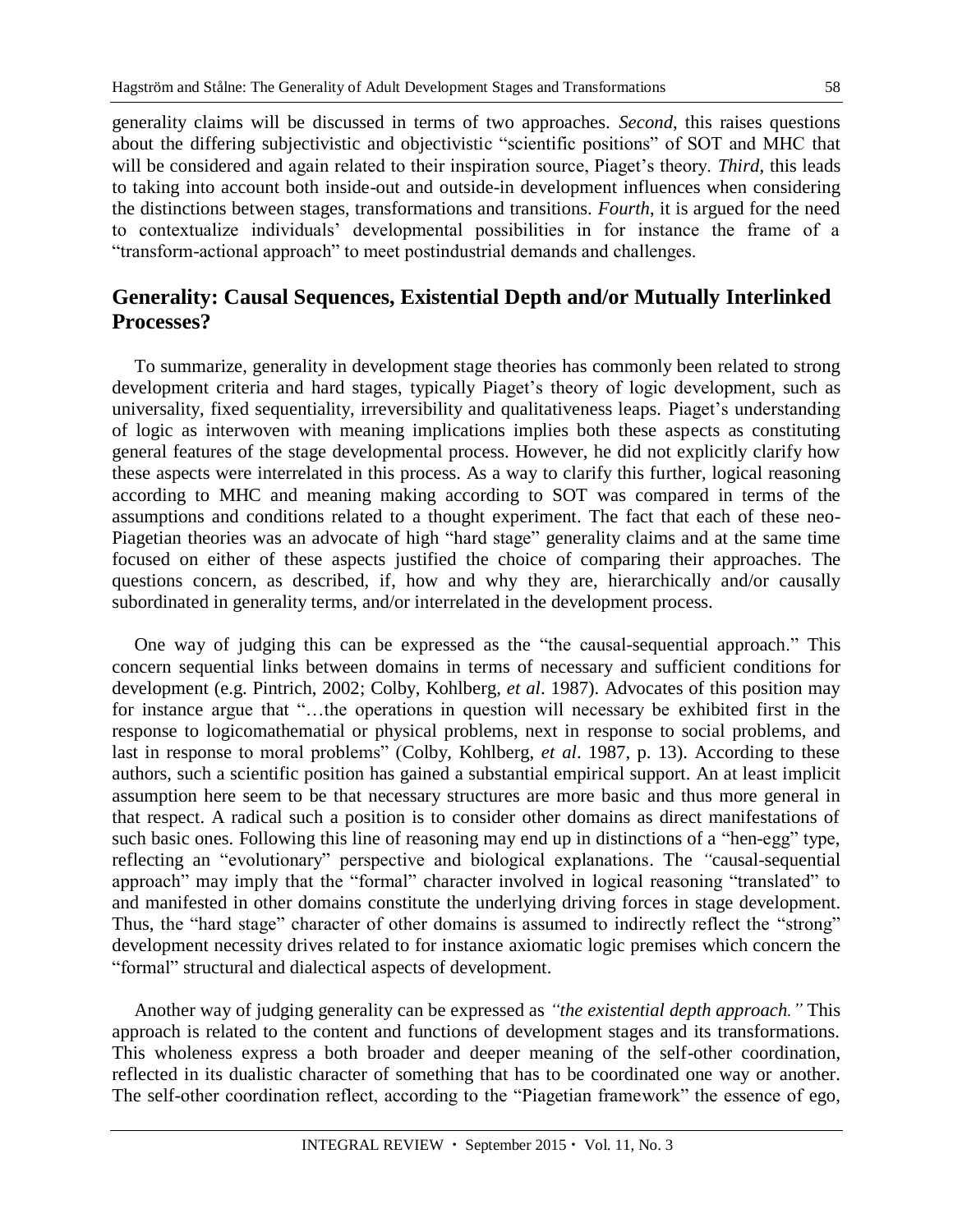generality claims will be discussed in terms of two approaches. *Second*, this raises questions about the differing subjectivistic and objectivistic "scientific positions" of SOT and MHC that will be considered and again related to their inspiration source, Piaget's theory. *Third*, this leads to taking into account both inside-out and outside-in development influences when considering the distinctions between stages, transformations and transitions. *Fourth*, it is argued for the need to contextualize individuals' developmental possibilities in for instance the frame of a "transform-actional approach" to meet postindustrial demands and challenges.

#### **Generality: Causal Sequences, Existential Depth and/or Mutually Interlinked Processes?**

To summarize, generality in development stage theories has commonly been related to strong development criteria and hard stages, typically Piaget's theory of logic development, such as universality, fixed sequentiality, irreversibility and qualitativeness leaps. Piaget's understanding of logic as interwoven with meaning implications implies both these aspects as constituting general features of the stage developmental process. However, he did not explicitly clarify how these aspects were interrelated in this process. As a way to clarify this further, logical reasoning according to MHC and meaning making according to SOT was compared in terms of the assumptions and conditions related to a thought experiment. The fact that each of these neo-Piagetian theories was an advocate of high "hard stage" generality claims and at the same time focused on either of these aspects justified the choice of comparing their approaches. The questions concern, as described, if, how and why they are, hierarchically and/or causally subordinated in generality terms, and/or interrelated in the development process.

One way of judging this can be expressed as the "the causal-sequential approach." This concern sequential links between domains in terms of necessary and sufficient conditions for development (e.g. Pintrich, 2002; Colby, Kohlberg, *et al*. 1987). Advocates of this position may for instance argue that "…the operations in question will necessary be exhibited first in the response to logicomathematial or physical problems, next in response to social problems, and last in response to moral problems" (Colby, Kohlberg, *et al*. 1987, p. 13). According to these authors, such a scientific position has gained a substantial empirical support. An at least implicit assumption here seem to be that necessary structures are more basic and thus more general in that respect. A radical such a position is to consider other domains as direct manifestations of such basic ones. Following this line of reasoning may end up in distinctions of a "hen-egg" type, reflecting an "evolutionary" perspective and biological explanations. The *"*causal-sequential approach" may imply that the "formal" character involved in logical reasoning "translated" to and manifested in other domains constitute the underlying driving forces in stage development. Thus, the "hard stage" character of other domains is assumed to indirectly reflect the "strong" development necessity drives related to for instance axiomatic logic premises which concern the "formal" structural and dialectical aspects of development.

Another way of judging generality can be expressed as *"the existential depth approach."* This approach is related to the content and functions of development stages and its transformations. This wholeness express a both broader and deeper meaning of the self-other coordination, reflected in its dualistic character of something that has to be coordinated one way or another. The self-other coordination reflect, according to the "Piagetian framework" the essence of ego,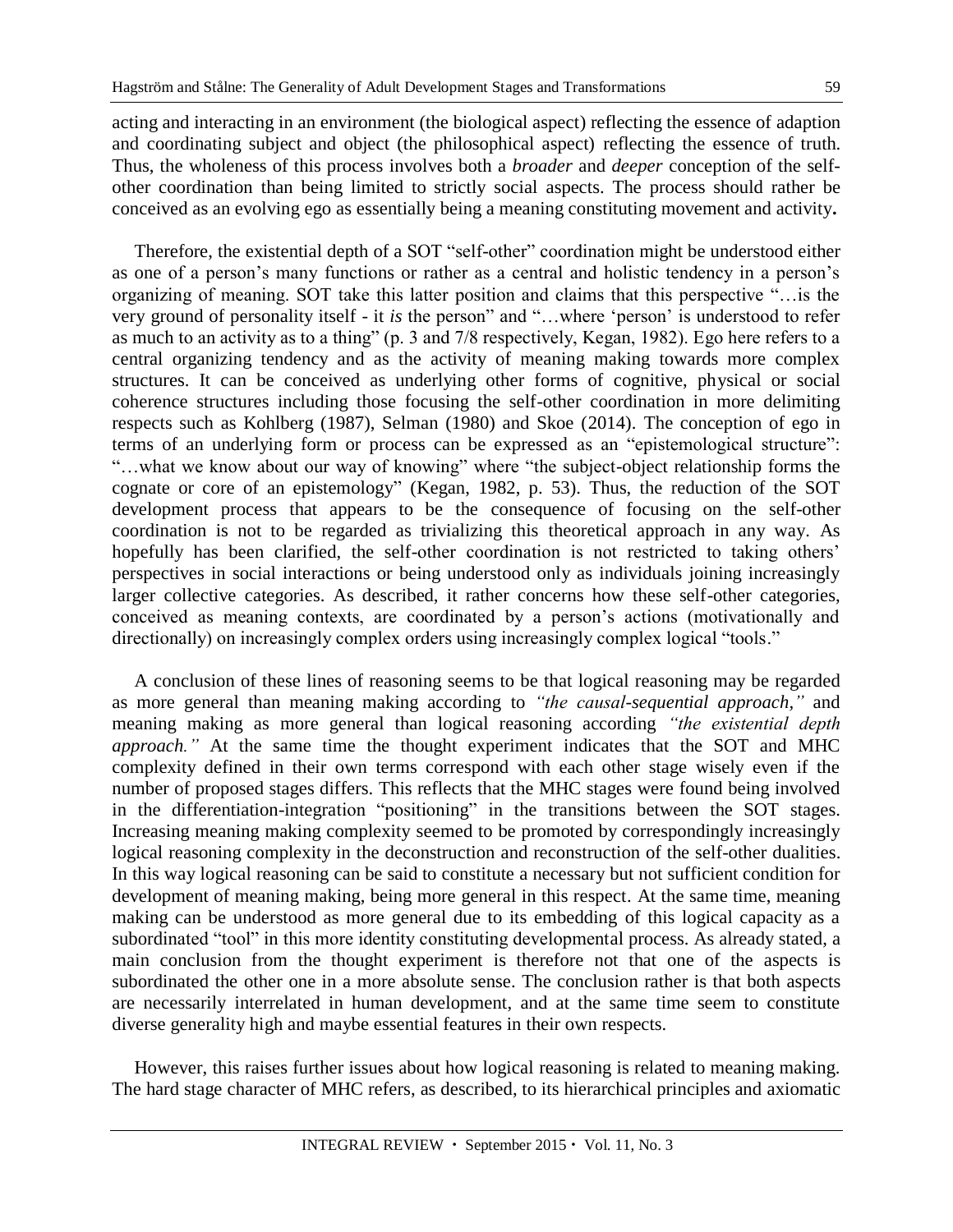acting and interacting in an environment (the biological aspect) reflecting the essence of adaption and coordinating subject and object (the philosophical aspect) reflecting the essence of truth. Thus, the wholeness of this process involves both a *broader* and *deeper* conception of the selfother coordination than being limited to strictly social aspects. The process should rather be conceived as an evolving ego as essentially being a meaning constituting movement and activity**.**

Therefore, the existential depth of a SOT "self-other" coordination might be understood either as one of a person's many functions or rather as a central and holistic tendency in a person's organizing of meaning. SOT take this latter position and claims that this perspective "…is the very ground of personality itself - it *is* the person" and "…where 'person' is understood to refer as much to an activity as to a thing" (p. 3 and 7/8 respectively, Kegan, 1982). Ego here refers to a central organizing tendency and as the activity of meaning making towards more complex structures. It can be conceived as underlying other forms of cognitive, physical or social coherence structures including those focusing the self-other coordination in more delimiting respects such as Kohlberg (1987), Selman (1980) and Skoe (2014). The conception of ego in terms of an underlying form or process can be expressed as an "epistemological structure": "…what we know about our way of knowing" where "the subject-object relationship forms the cognate or core of an epistemology" (Kegan, 1982, p. 53). Thus, the reduction of the SOT development process that appears to be the consequence of focusing on the self-other coordination is not to be regarded as trivializing this theoretical approach in any way. As hopefully has been clarified, the self-other coordination is not restricted to taking others' perspectives in social interactions or being understood only as individuals joining increasingly larger collective categories. As described, it rather concerns how these self-other categories, conceived as meaning contexts, are coordinated by a person's actions (motivationally and directionally) on increasingly complex orders using increasingly complex logical "tools."

A conclusion of these lines of reasoning seems to be that logical reasoning may be regarded as more general than meaning making according to *"the causal-sequential approach,"* and meaning making as more general than logical reasoning according *"the existential depth approach."* At the same time the thought experiment indicates that the SOT and MHC complexity defined in their own terms correspond with each other stage wisely even if the number of proposed stages differs. This reflects that the MHC stages were found being involved in the differentiation-integration "positioning" in the transitions between the SOT stages. Increasing meaning making complexity seemed to be promoted by correspondingly increasingly logical reasoning complexity in the deconstruction and reconstruction of the self-other dualities. In this way logical reasoning can be said to constitute a necessary but not sufficient condition for development of meaning making, being more general in this respect. At the same time, meaning making can be understood as more general due to its embedding of this logical capacity as a subordinated "tool" in this more identity constituting developmental process. As already stated, a main conclusion from the thought experiment is therefore not that one of the aspects is subordinated the other one in a more absolute sense. The conclusion rather is that both aspects are necessarily interrelated in human development, and at the same time seem to constitute diverse generality high and maybe essential features in their own respects.

However, this raises further issues about how logical reasoning is related to meaning making. The hard stage character of MHC refers, as described, to its hierarchical principles and axiomatic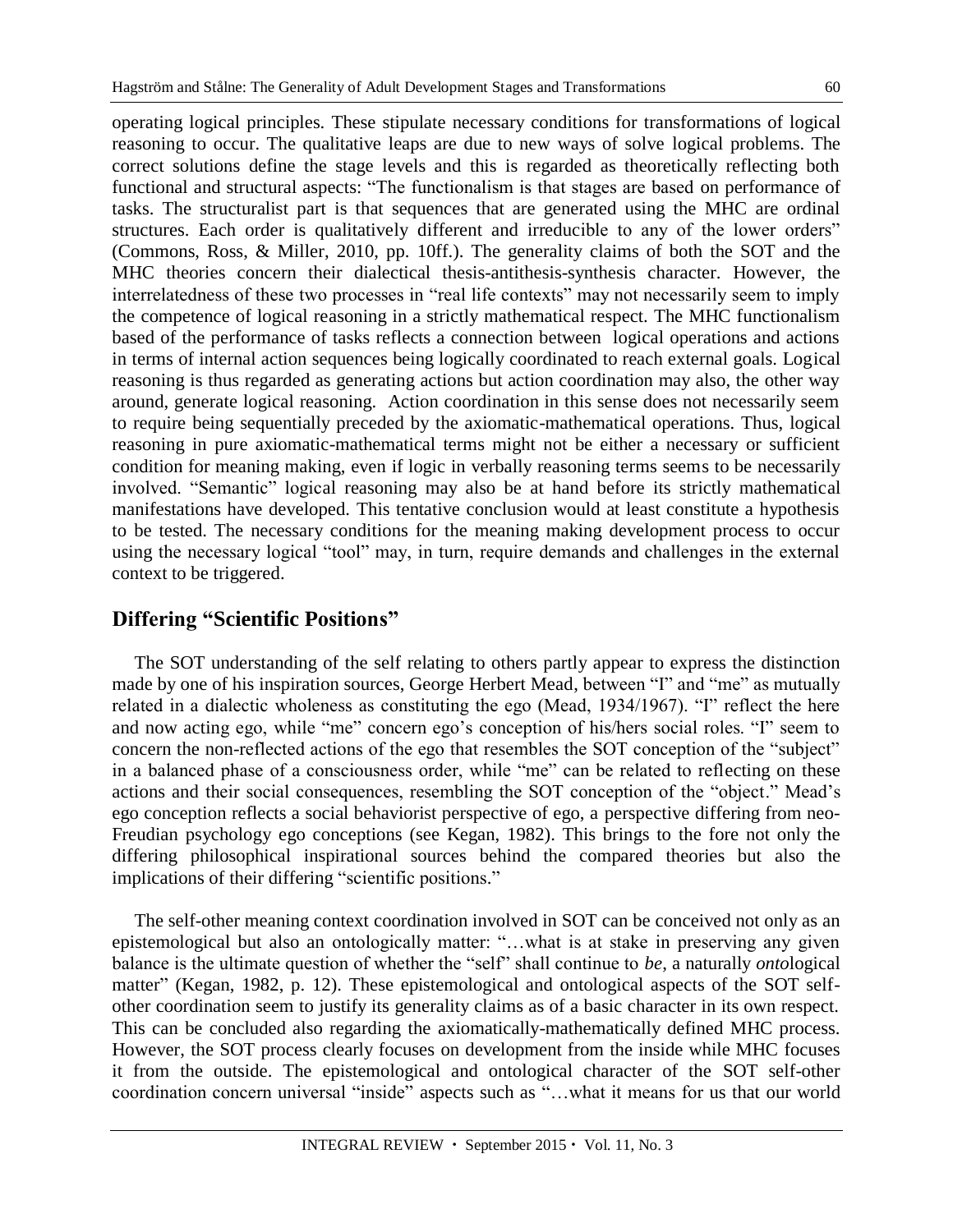operating logical principles. These stipulate necessary conditions for transformations of logical reasoning to occur. The qualitative leaps are due to new ways of solve logical problems. The correct solutions define the stage levels and this is regarded as theoretically reflecting both functional and structural aspects: "The functionalism is that stages are based on performance of tasks. The structuralist part is that sequences that are generated using the MHC are ordinal structures. Each order is qualitatively different and irreducible to any of the lower orders" (Commons, Ross, & Miller, 2010, pp. 10ff.). The generality claims of both the SOT and the MHC theories concern their dialectical thesis-antithesis-synthesis character. However, the interrelatedness of these two processes in "real life contexts" may not necessarily seem to imply the competence of logical reasoning in a strictly mathematical respect. The MHC functionalism based of the performance of tasks reflects a connection between logical operations and actions in terms of internal action sequences being logically coordinated to reach external goals. Logical reasoning is thus regarded as generating actions but action coordination may also, the other way around, generate logical reasoning. Action coordination in this sense does not necessarily seem to require being sequentially preceded by the axiomatic-mathematical operations. Thus, logical reasoning in pure axiomatic-mathematical terms might not be either a necessary or sufficient condition for meaning making, even if logic in verbally reasoning terms seems to be necessarily involved. "Semantic" logical reasoning may also be at hand before its strictly mathematical manifestations have developed. This tentative conclusion would at least constitute a hypothesis to be tested. The necessary conditions for the meaning making development process to occur using the necessary logical "tool" may, in turn, require demands and challenges in the external context to be triggered.

#### **Differing "Scientific Positions"**

The SOT understanding of the self relating to others partly appear to express the distinction made by one of his inspiration sources, George Herbert Mead, between "I" and "me" as mutually related in a dialectic wholeness as constituting the ego (Mead, 1934/1967). "I" reflect the here and now acting ego, while "me" concern ego's conception of his/hers social roles. "I" seem to concern the non-reflected actions of the ego that resembles the SOT conception of the "subject" in a balanced phase of a consciousness order, while "me" can be related to reflecting on these actions and their social consequences, resembling the SOT conception of the "object." Mead's ego conception reflects a social behaviorist perspective of ego, a perspective differing from neo-Freudian psychology ego conceptions (see Kegan, 1982). This brings to the fore not only the differing philosophical inspirational sources behind the compared theories but also the implications of their differing "scientific positions."

The self-other meaning context coordination involved in SOT can be conceived not only as an epistemological but also an ontologically matter: "…what is at stake in preserving any given balance is the ultimate question of whether the "self" shall continue to *be*, a naturally *onto*logical matter" (Kegan, 1982, p. 12). These epistemological and ontological aspects of the SOT selfother coordination seem to justify its generality claims as of a basic character in its own respect. This can be concluded also regarding the axiomatically-mathematically defined MHC process. However, the SOT process clearly focuses on development from the inside while MHC focuses it from the outside. The epistemological and ontological character of the SOT self-other coordination concern universal "inside" aspects such as "…what it means for us that our world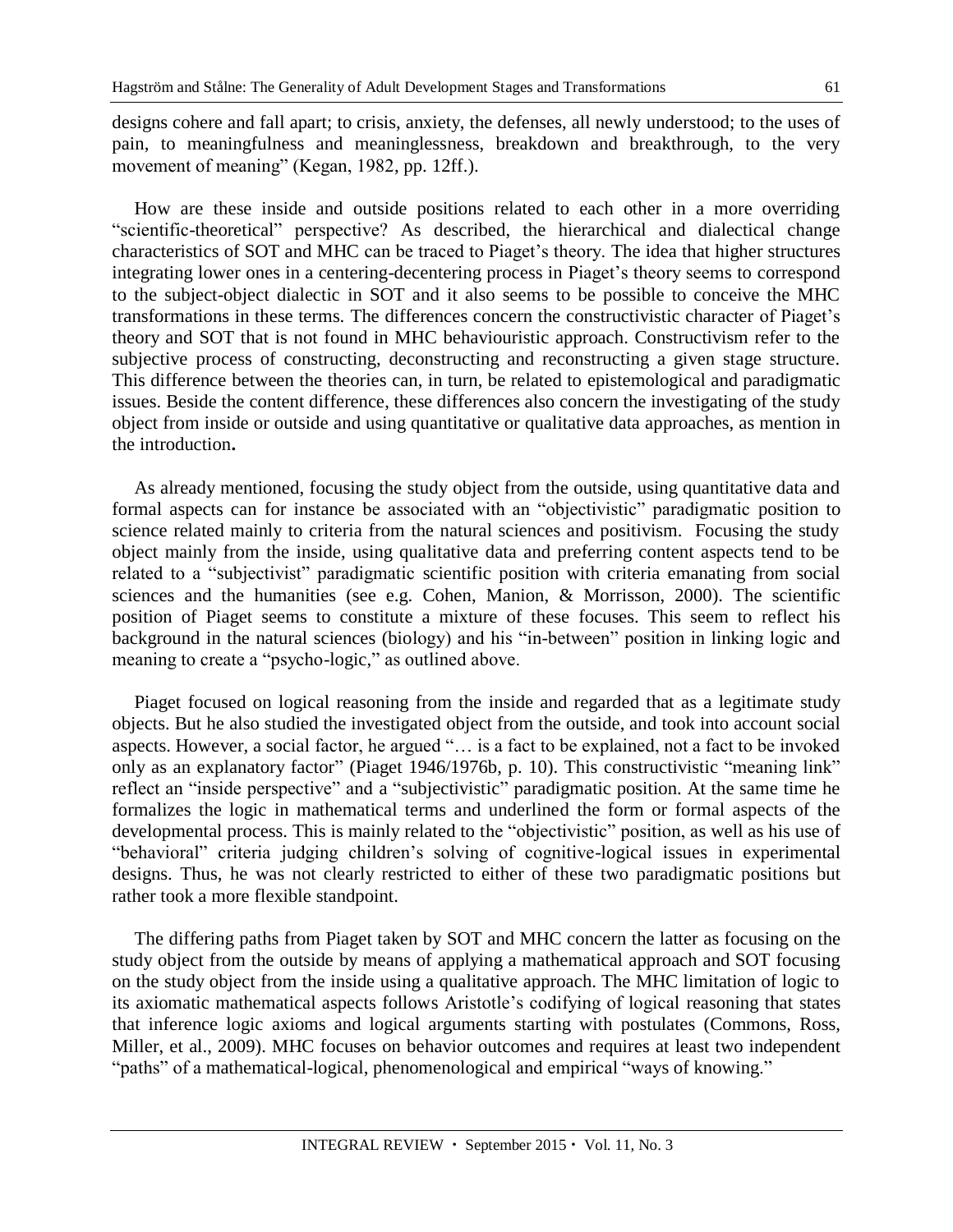designs cohere and fall apart; to crisis, anxiety, the defenses, all newly understood; to the uses of pain, to meaningfulness and meaninglessness, breakdown and breakthrough, to the very movement of meaning" (Kegan, 1982, pp. 12ff.).

How are these inside and outside positions related to each other in a more overriding "scientific-theoretical" perspective? As described, the hierarchical and dialectical change characteristics of SOT and MHC can be traced to Piaget's theory. The idea that higher structures integrating lower ones in a centering-decentering process in Piaget's theory seems to correspond to the subject-object dialectic in SOT and it also seems to be possible to conceive the MHC transformations in these terms. The differences concern the constructivistic character of Piaget's theory and SOT that is not found in MHC behaviouristic approach. Constructivism refer to the subjective process of constructing, deconstructing and reconstructing a given stage structure. This difference between the theories can, in turn, be related to epistemological and paradigmatic issues. Beside the content difference, these differences also concern the investigating of the study object from inside or outside and using quantitative or qualitative data approaches, as mention in the introduction**.**

As already mentioned, focusing the study object from the outside, using quantitative data and formal aspects can for instance be associated with an "objectivistic" paradigmatic position to science related mainly to criteria from the natural sciences and positivism. Focusing the study object mainly from the inside, using qualitative data and preferring content aspects tend to be related to a "subjectivist" paradigmatic scientific position with criteria emanating from social sciences and the humanities (see e.g. Cohen, Manion, & Morrisson, 2000). The scientific position of Piaget seems to constitute a mixture of these focuses. This seem to reflect his background in the natural sciences (biology) and his "in-between" position in linking logic and meaning to create a "psycho-logic," as outlined above.

Piaget focused on logical reasoning from the inside and regarded that as a legitimate study objects. But he also studied the investigated object from the outside, and took into account social aspects. However, a social factor, he argued "… is a fact to be explained, not a fact to be invoked only as an explanatory factor" (Piaget 1946/1976b, p. 10). This constructivistic "meaning link" reflect an "inside perspective" and a "subjectivistic" paradigmatic position. At the same time he formalizes the logic in mathematical terms and underlined the form or formal aspects of the developmental process. This is mainly related to the "objectivistic" position, as well as his use of "behavioral" criteria judging children's solving of cognitive-logical issues in experimental designs. Thus, he was not clearly restricted to either of these two paradigmatic positions but rather took a more flexible standpoint.

The differing paths from Piaget taken by SOT and MHC concern the latter as focusing on the study object from the outside by means of applying a mathematical approach and SOT focusing on the study object from the inside using a qualitative approach. The MHC limitation of logic to its axiomatic mathematical aspects follows Aristotle's codifying of logical reasoning that states that inference logic axioms and logical arguments starting with postulates (Commons, Ross, Miller, et al., 2009). MHC focuses on behavior outcomes and requires at least two independent "paths" of a mathematical-logical, phenomenological and empirical "ways of knowing."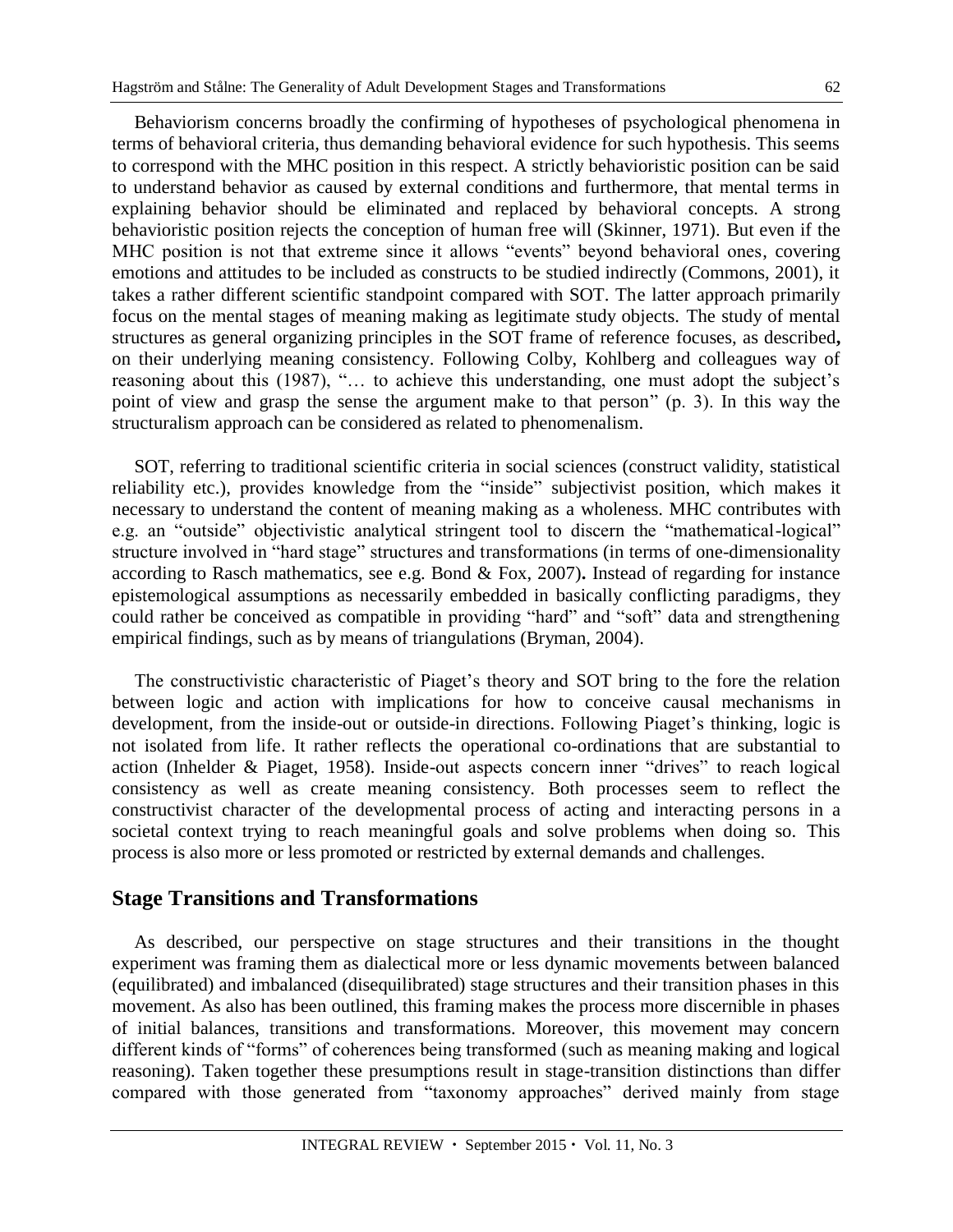Behaviorism concerns broadly the confirming of hypotheses of psychological phenomena in terms of behavioral criteria, thus demanding behavioral evidence for such hypothesis. This seems to correspond with the MHC position in this respect. A strictly behavioristic position can be said to understand behavior as caused by external conditions and furthermore, that mental terms in explaining behavior should be eliminated and replaced by behavioral concepts. A strong behavioristic position rejects the conception of human free will (Skinner, 1971). But even if the MHC position is not that extreme since it allows "events" beyond behavioral ones, covering emotions and attitudes to be included as constructs to be studied indirectly (Commons, 2001), it takes a rather different scientific standpoint compared with SOT. The latter approach primarily focus on the mental stages of meaning making as legitimate study objects. The study of mental structures as general organizing principles in the SOT frame of reference focuses, as described**,** on their underlying meaning consistency. Following Colby, Kohlberg and colleagues way of reasoning about this (1987), "… to achieve this understanding, one must adopt the subject's point of view and grasp the sense the argument make to that person" (p. 3). In this way the structuralism approach can be considered as related to phenomenalism.

SOT, referring to traditional scientific criteria in social sciences (construct validity, statistical reliability etc.), provides knowledge from the "inside" subjectivist position, which makes it necessary to understand the content of meaning making as a wholeness. MHC contributes with e.g. an "outside" objectivistic analytical stringent tool to discern the "mathematical-logical" structure involved in "hard stage" structures and transformations (in terms of one-dimensionality according to Rasch mathematics, see e.g. Bond & Fox, 2007)**.** Instead of regarding for instance epistemological assumptions as necessarily embedded in basically conflicting paradigms, they could rather be conceived as compatible in providing "hard" and "soft" data and strengthening empirical findings, such as by means of triangulations (Bryman, 2004).

The constructivistic characteristic of Piaget's theory and SOT bring to the fore the relation between logic and action with implications for how to conceive causal mechanisms in development, from the inside-out or outside-in directions. Following Piaget's thinking, logic is not isolated from life. It rather reflects the operational co-ordinations that are substantial to action (Inhelder & Piaget, 1958). Inside-out aspects concern inner "drives" to reach logical consistency as well as create meaning consistency. Both processes seem to reflect the constructivist character of the developmental process of acting and interacting persons in a societal context trying to reach meaningful goals and solve problems when doing so. This process is also more or less promoted or restricted by external demands and challenges.

#### **Stage Transitions and Transformations**

As described, our perspective on stage structures and their transitions in the thought experiment was framing them as dialectical more or less dynamic movements between balanced (equilibrated) and imbalanced (disequilibrated) stage structures and their transition phases in this movement. As also has been outlined, this framing makes the process more discernible in phases of initial balances, transitions and transformations. Moreover, this movement may concern different kinds of "forms" of coherences being transformed (such as meaning making and logical reasoning). Taken together these presumptions result in stage-transition distinctions than differ compared with those generated from "taxonomy approaches" derived mainly from stage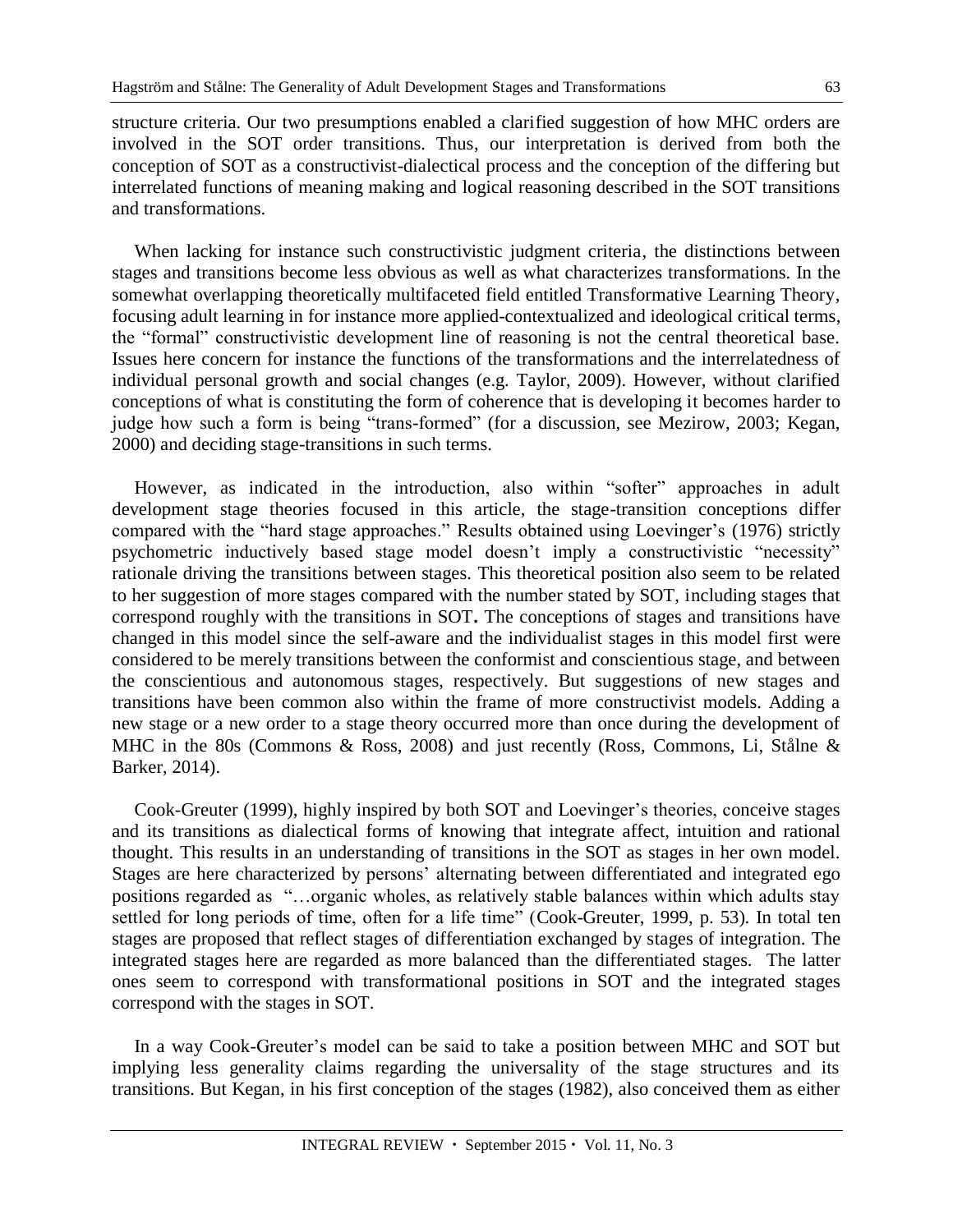structure criteria. Our two presumptions enabled a clarified suggestion of how MHC orders are involved in the SOT order transitions. Thus, our interpretation is derived from both the conception of SOT as a constructivist-dialectical process and the conception of the differing but interrelated functions of meaning making and logical reasoning described in the SOT transitions and transformations.

When lacking for instance such constructivistic judgment criteria, the distinctions between stages and transitions become less obvious as well as what characterizes transformations. In the somewhat overlapping theoretically multifaceted field entitled Transformative Learning Theory, focusing adult learning in for instance more applied-contextualized and ideological critical terms, the "formal" constructivistic development line of reasoning is not the central theoretical base. Issues here concern for instance the functions of the transformations and the interrelatedness of individual personal growth and social changes (e.g. Taylor, 2009). However, without clarified conceptions of what is constituting the form of coherence that is developing it becomes harder to judge how such a form is being "trans-formed" (for a discussion, see Mezirow, 2003; Kegan, 2000) and deciding stage-transitions in such terms.

However, as indicated in the introduction, also within "softer" approaches in adult development stage theories focused in this article, the stage-transition conceptions differ compared with the "hard stage approaches." Results obtained using Loevinger's (1976) strictly psychometric inductively based stage model doesn't imply a constructivistic "necessity" rationale driving the transitions between stages. This theoretical position also seem to be related to her suggestion of more stages compared with the number stated by SOT, including stages that correspond roughly with the transitions in SOT**.** The conceptions of stages and transitions have changed in this model since the self-aware and the individualist stages in this model first were considered to be merely transitions between the conformist and conscientious stage, and between the conscientious and autonomous stages, respectively. But suggestions of new stages and transitions have been common also within the frame of more constructivist models. Adding a new stage or a new order to a stage theory occurred more than once during the development of MHC in the 80s (Commons & Ross, 2008) and just recently (Ross, Commons, Li, Stålne & Barker, 2014).

Cook-Greuter (1999), highly inspired by both SOT and Loevinger's theories, conceive stages and its transitions as dialectical forms of knowing that integrate affect, intuition and rational thought. This results in an understanding of transitions in the SOT as stages in her own model. Stages are here characterized by persons' alternating between differentiated and integrated ego positions regarded as "…organic wholes, as relatively stable balances within which adults stay settled for long periods of time, often for a life time" (Cook-Greuter, 1999, p. 53). In total ten stages are proposed that reflect stages of differentiation exchanged by stages of integration. The integrated stages here are regarded as more balanced than the differentiated stages. The latter ones seem to correspond with transformational positions in SOT and the integrated stages correspond with the stages in SOT.

In a way Cook-Greuter's model can be said to take a position between MHC and SOT but implying less generality claims regarding the universality of the stage structures and its transitions. But Kegan, in his first conception of the stages (1982), also conceived them as either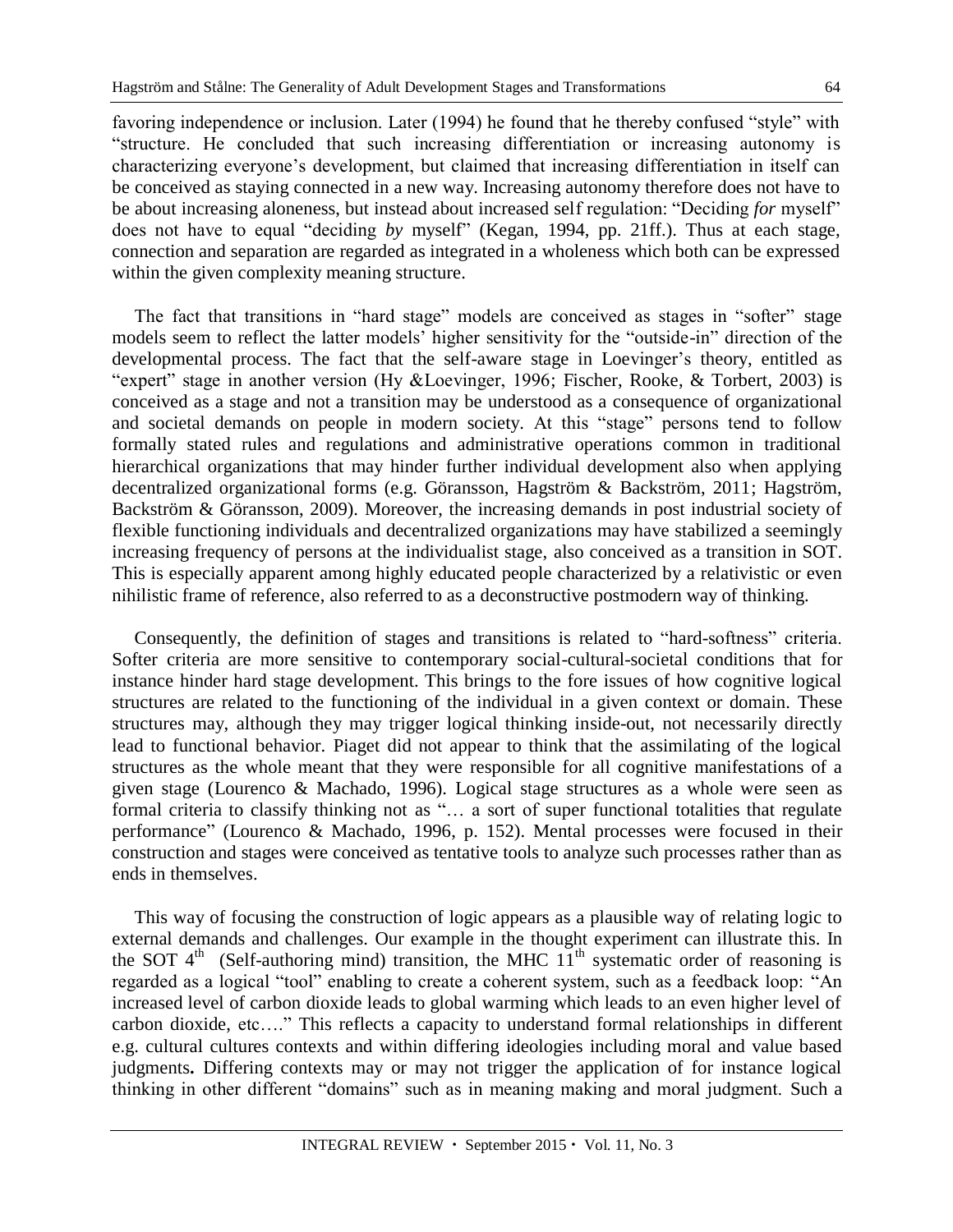favoring independence or inclusion. Later (1994) he found that he thereby confused "style" with "structure. He concluded that such increasing differentiation or increasing autonomy is characterizing everyone's development, but claimed that increasing differentiation in itself can be conceived as staying connected in a new way. Increasing autonomy therefore does not have to be about increasing aloneness, but instead about increased self regulation: "Deciding *for* myself" does not have to equal "deciding *by* myself" (Kegan, 1994, pp. 21ff.). Thus at each stage, connection and separation are regarded as integrated in a wholeness which both can be expressed within the given complexity meaning structure.

The fact that transitions in "hard stage" models are conceived as stages in "softer" stage models seem to reflect the latter models' higher sensitivity for the "outside-in" direction of the developmental process. The fact that the self-aware stage in Loevinger's theory, entitled as "expert" stage in another version (Hy &Loevinger, 1996; Fischer, Rooke, & Torbert, 2003) is conceived as a stage and not a transition may be understood as a consequence of organizational and societal demands on people in modern society. At this "stage" persons tend to follow formally stated rules and regulations and administrative operations common in traditional hierarchical organizations that may hinder further individual development also when applying decentralized organizational forms (e.g. Göransson, Hagström & Backström, 2011; Hagström, Backström & Göransson, 2009). Moreover, the increasing demands in post industrial society of flexible functioning individuals and decentralized organizations may have stabilized a seemingly increasing frequency of persons at the individualist stage, also conceived as a transition in SOT. This is especially apparent among highly educated people characterized by a relativistic or even nihilistic frame of reference, also referred to as a deconstructive postmodern way of thinking.

Consequently, the definition of stages and transitions is related to "hard-softness" criteria. Softer criteria are more sensitive to contemporary social-cultural-societal conditions that for instance hinder hard stage development. This brings to the fore issues of how cognitive logical structures are related to the functioning of the individual in a given context or domain. These structures may, although they may trigger logical thinking inside-out, not necessarily directly lead to functional behavior. Piaget did not appear to think that the assimilating of the logical structures as the whole meant that they were responsible for all cognitive manifestations of a given stage (Lourenco & Machado, 1996). Logical stage structures as a whole were seen as formal criteria to classify thinking not as "… a sort of super functional totalities that regulate performance" (Lourenco & Machado, 1996, p. 152). Mental processes were focused in their construction and stages were conceived as tentative tools to analyze such processes rather than as ends in themselves.

This way of focusing the construction of logic appears as a plausible way of relating logic to external demands and challenges. Our example in the thought experiment can illustrate this. In the SOT  $4<sup>th</sup>$  (Self-authoring mind) transition, the MHC  $11<sup>th</sup>$  systematic order of reasoning is regarded as a logical "tool" enabling to create a coherent system, such as a feedback loop: "An increased level of carbon dioxide leads to global warming which leads to an even higher level of carbon dioxide, etc…." This reflects a capacity to understand formal relationships in different e.g. cultural cultures contexts and within differing ideologies including moral and value based judgments**.** Differing contexts may or may not trigger the application of for instance logical thinking in other different "domains" such as in meaning making and moral judgment. Such a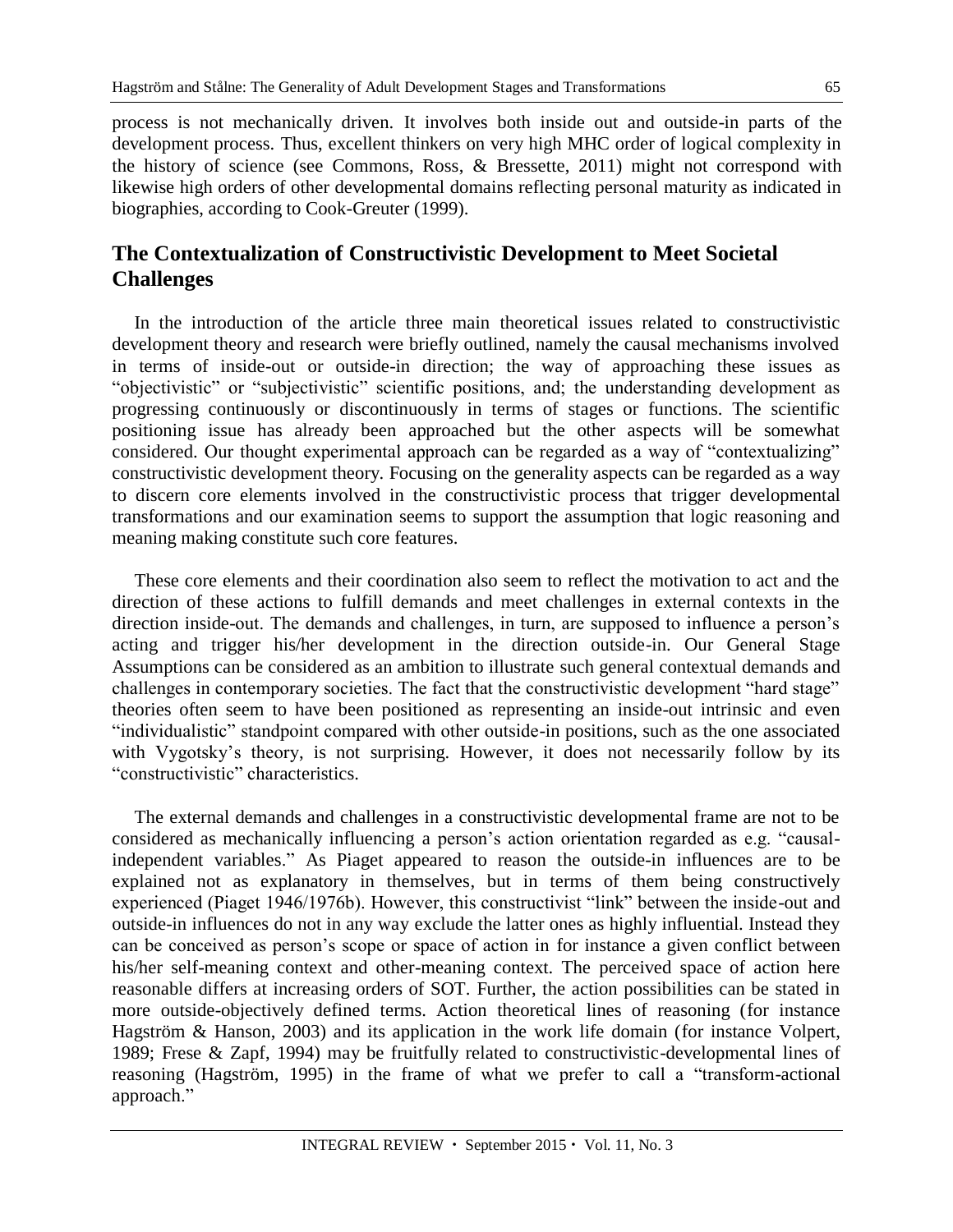process is not mechanically driven. It involves both inside out and outside-in parts of the development process. Thus, excellent thinkers on very high MHC order of logical complexity in the history of science (see Commons, Ross, & Bressette, 2011) might not correspond with likewise high orders of other developmental domains reflecting personal maturity as indicated in biographies, according to Cook-Greuter (1999).

### **The Contextualization of Constructivistic Development to Meet Societal Challenges**

In the introduction of the article three main theoretical issues related to constructivistic development theory and research were briefly outlined, namely the causal mechanisms involved in terms of inside-out or outside-in direction; the way of approaching these issues as "objectivistic" or "subjectivistic" scientific positions, and; the understanding development as progressing continuously or discontinuously in terms of stages or functions. The scientific positioning issue has already been approached but the other aspects will be somewhat considered. Our thought experimental approach can be regarded as a way of "contextualizing" constructivistic development theory. Focusing on the generality aspects can be regarded as a way to discern core elements involved in the constructivistic process that trigger developmental transformations and our examination seems to support the assumption that logic reasoning and meaning making constitute such core features.

These core elements and their coordination also seem to reflect the motivation to act and the direction of these actions to fulfill demands and meet challenges in external contexts in the direction inside-out. The demands and challenges, in turn, are supposed to influence a person's acting and trigger his/her development in the direction outside-in. Our General Stage Assumptions can be considered as an ambition to illustrate such general contextual demands and challenges in contemporary societies. The fact that the constructivistic development "hard stage" theories often seem to have been positioned as representing an inside-out intrinsic and even "individualistic" standpoint compared with other outside-in positions, such as the one associated with Vygotsky's theory, is not surprising. However, it does not necessarily follow by its "constructivistic" characteristics.

The external demands and challenges in a constructivistic developmental frame are not to be considered as mechanically influencing a person's action orientation regarded as e.g. "causalindependent variables." As Piaget appeared to reason the outside-in influences are to be explained not as explanatory in themselves, but in terms of them being constructively experienced (Piaget 1946/1976b). However, this constructivist "link" between the inside-out and outside-in influences do not in any way exclude the latter ones as highly influential. Instead they can be conceived as person's scope or space of action in for instance a given conflict between his/her self-meaning context and other-meaning context. The perceived space of action here reasonable differs at increasing orders of SOT. Further, the action possibilities can be stated in more outside-objectively defined terms. Action theoretical lines of reasoning (for instance Hagström & Hanson, 2003) and its application in the work life domain (for instance Volpert, 1989; Frese & Zapf, 1994) may be fruitfully related to constructivistic-developmental lines of reasoning (Hagström, 1995) in the frame of what we prefer to call a "transform-actional approach."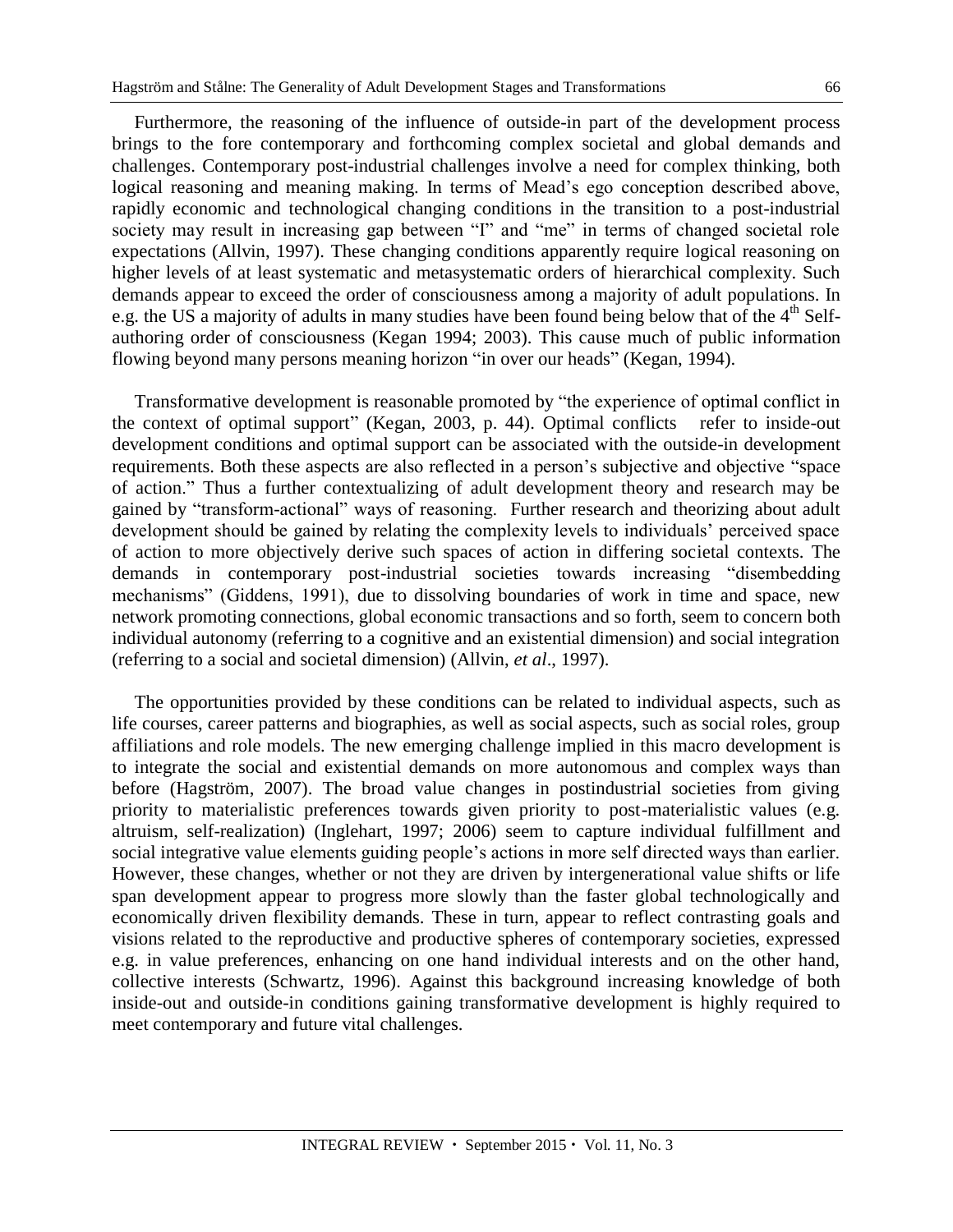Furthermore, the reasoning of the influence of outside-in part of the development process brings to the fore contemporary and forthcoming complex societal and global demands and challenges. Contemporary post-industrial challenges involve a need for complex thinking, both logical reasoning and meaning making. In terms of Mead's ego conception described above, rapidly economic and technological changing conditions in the transition to a post-industrial society may result in increasing gap between "I" and "me" in terms of changed societal role expectations (Allvin, 1997). These changing conditions apparently require logical reasoning on higher levels of at least systematic and metasystematic orders of hierarchical complexity. Such demands appear to exceed the order of consciousness among a majority of adult populations. In e.g. the US a majority of adults in many studies have been found being below that of the 4<sup>th</sup> Selfauthoring order of consciousness (Kegan 1994; 2003). This cause much of public information flowing beyond many persons meaning horizon "in over our heads" (Kegan, 1994).

Transformative development is reasonable promoted by "the experience of optimal conflict in the context of optimal support" (Kegan, 2003, p. 44). Optimal conflicts refer to inside-out development conditions and optimal support can be associated with the outside-in development requirements. Both these aspects are also reflected in a person's subjective and objective "space of action." Thus a further contextualizing of adult development theory and research may be gained by "transform-actional" ways of reasoning. Further research and theorizing about adult development should be gained by relating the complexity levels to individuals' perceived space of action to more objectively derive such spaces of action in differing societal contexts. The demands in contemporary post-industrial societies towards increasing "disembedding mechanisms" (Giddens, 1991), due to dissolving boundaries of work in time and space, new network promoting connections, global economic transactions and so forth, seem to concern both individual autonomy (referring to a cognitive and an existential dimension) and social integration (referring to a social and societal dimension) (Allvin, *et al*., 1997).

The opportunities provided by these conditions can be related to individual aspects, such as life courses, career patterns and biographies, as well as social aspects, such as social roles, group affiliations and role models. The new emerging challenge implied in this macro development is to integrate the social and existential demands on more autonomous and complex ways than before (Hagström, 2007). The broad value changes in postindustrial societies from giving priority to materialistic preferences towards given priority to post-materialistic values (e.g. altruism, self-realization) (Inglehart, 1997; 2006) seem to capture individual fulfillment and social integrative value elements guiding people's actions in more self directed ways than earlier. However, these changes, whether or not they are driven by intergenerational value shifts or life span development appear to progress more slowly than the faster global technologically and economically driven flexibility demands. These in turn, appear to reflect contrasting goals and visions related to the reproductive and productive spheres of contemporary societies, expressed e.g. in value preferences, enhancing on one hand individual interests and on the other hand, collective interests (Schwartz, 1996). Against this background increasing knowledge of both inside-out and outside-in conditions gaining transformative development is highly required to meet contemporary and future vital challenges.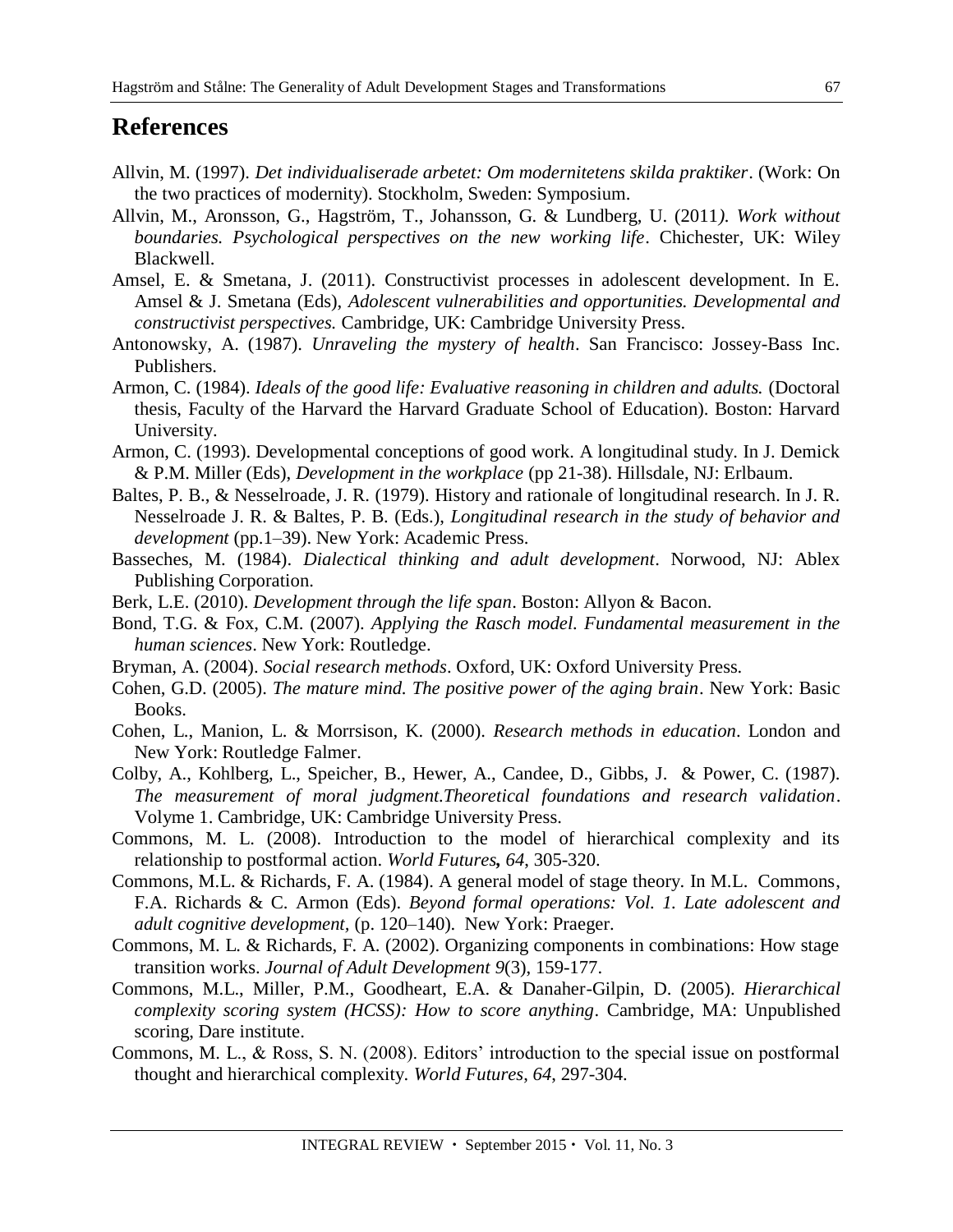### **References**

- Allvin, M. (1997). *Det individualiserade arbetet: Om modernitetens skilda praktiker*. (Work: On the two practices of modernity). Stockholm, Sweden: Symposium.
- Allvin, M., Aronsson, G., Hagström, T., Johansson, G. & Lundberg, U. (2011*). Work without boundaries. Psychological perspectives on the new working life*. Chichester, UK: Wiley Blackwell.
- Amsel, E. & Smetana, J. (2011). Constructivist processes in adolescent development. In E. Amsel & J. Smetana (Eds), *Adolescent vulnerabilities and opportunities. Developmental and constructivist perspectives.* Cambridge, UK: Cambridge University Press.
- Antonowsky, A. (1987). *Unraveling the mystery of health*. San Francisco: Jossey-Bass Inc. Publishers.
- Armon, C. (1984). *Ideals of the good life: Evaluative reasoning in children and adults.* (Doctoral thesis, Faculty of the Harvard the Harvard Graduate School of Education). Boston: Harvard University.
- Armon, C. (1993). Developmental conceptions of good work. A longitudinal study. In J. Demick & P.M. Miller (Eds), *Development in the workplace* (pp 21-38). Hillsdale, NJ: Erlbaum.
- Baltes, P. B., & Nesselroade, J. R. (1979). History and rationale of longitudinal research. In J. R. Nesselroade J. R. & Baltes, P. B. (Eds.), *Longitudinal research in the study of behavior and development* (pp.1–39). New York: Academic Press.
- Basseches, M. (1984). *Dialectical thinking and adult development*. Norwood, NJ: Ablex Publishing Corporation.
- Berk, L.E. (2010). *Development through the life span*. Boston: Allyon & Bacon.
- Bond, T.G. & Fox, C.M. (2007). *Applying the Rasch model. Fundamental measurement in the human sciences*. New York: Routledge.
- Bryman, A. (2004). *Social research methods*. Oxford, UK: Oxford University Press.
- Cohen, G.D. (2005). *The mature mind. The positive power of the aging brain*. New York: Basic Books.
- Cohen, L., Manion, L. & Morrsison, K. (2000). *Research methods in education*. London and New York: Routledge Falmer.
- Colby, A., Kohlberg, L., Speicher, B., Hewer, A., Candee, D., Gibbs, J. & Power, C. (1987). *The measurement of moral judgment.Theoretical foundations and research validation*. Volyme 1. Cambridge, UK: Cambridge University Press.
- Commons, M. L. (2008). Introduction to the model of hierarchical complexity and its relationship to postformal action. *World Futures, 64*, 305-320.
- Commons, M.L. & Richards, F. A. (1984). A general model of stage theory. In M.L. Commons, F.A. Richards & C. Armon (Eds). *Beyond formal operations: Vol. 1. Late adolescent and adult cognitive development,* (p. 120–140). New York: Praeger.
- Commons, M. L. & Richards, F. A. (2002). Organizing components in combinations: How stage transition works. *Journal of Adult Development 9*(3), 159-177.
- Commons, M.L., Miller, P.M., Goodheart, E.A. & Danaher-Gilpin, D. (2005). *Hierarchical complexity scoring system (HCSS): How to score anything*. Cambridge, MA: Unpublished scoring, Dare institute.
- Commons, M. L., & Ross, S. N. (2008). Editors' introduction to the special issue on postformal thought and hierarchical complexity. *World Futures*, *64*, 297-304.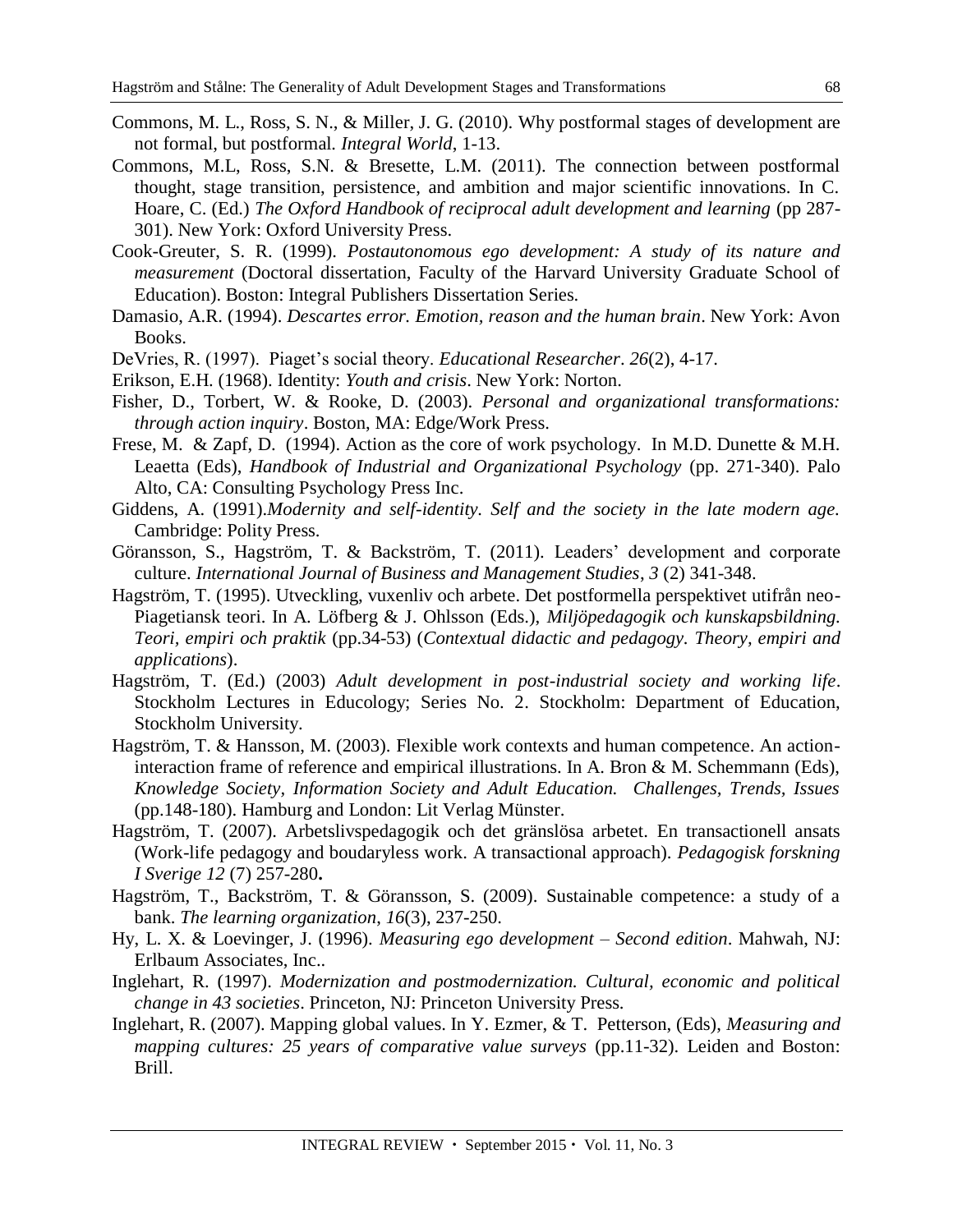- Commons, M. L., Ross, S. N., & Miller, J. G. (2010). [Why postformal stages of development are](http://dareassociation.org/Papers/postformal.pdf)  [not formal, but postformal](http://dareassociation.org/Papers/postformal.pdf)*. Integral World*, 1-13.
- Commons, M.L, Ross, S.N. & Bresette, L.M. (2011). The connection between postformal thought, stage transition, persistence, and ambition and major scientific innovations. In C. Hoare, C. (Ed.) *The Oxford Handbook of reciprocal adult development and learning* (pp 287- 301). New York: Oxford University Press.
- Cook-Greuter, S. R. (1999). *Postautonomous ego development: A study of its nature and measurement* (Doctoral dissertation, Faculty of the Harvard University Graduate School of Education). Boston: Integral Publishers Dissertation Series.
- Damasio, A.R. (1994). *Descartes error. Emotion, reason and the human brain*. New York: Avon Books.
- DeVries, R. (1997). Piaget's social theory. *Educational Researcher*. *26*(2), 4-17.
- Erikson, E.H. (1968). Identity: *Youth and crisis*. New York: Norton.
- Fisher, D., Torbert, W. & Rooke, D. (2003). *Personal and organizational transformations: through action inquiry*. Boston, MA: Edge/Work Press.
- Frese, M. & Zapf, D. (1994). Action as the core of work psychology. In M.D. Dunette & M.H. Leaetta (Eds), *Handbook of Industrial and Organizational Psychology* (pp. 271-340). Palo Alto, CA: Consulting Psychology Press Inc.
- Giddens, A. (1991).*Modernity and self-identity. Self and the society in the late modern age.* Cambridge: Polity Press.
- Göransson, S., Hagström, T. & Backström, T. (2011). Leaders' development and corporate culture. *International Journal of Business and Management Studies*, *3* (2) 341-348.
- Hagström, T. (1995). Utveckling, vuxenliv och arbete. Det postformella perspektivet utifrån neo-Piagetiansk teori. In A. Löfberg & J. Ohlsson (Eds.), *Miljöpedagogik och kunskapsbildning. Teori, empiri och praktik* (pp.34-53) (*Contextual didactic and pedagogy. Theory, empiri and applications*).
- Hagström, T. (Ed.) (2003) *Adult development in post-industrial society and working life*. Stockholm Lectures in Educology; Series No. 2. Stockholm: Department of Education, Stockholm University.
- Hagström, T. & Hansson, M. (2003). Flexible work contexts and human competence. An actioninteraction frame of reference and empirical illustrations. In A. Bron & M. Schemmann (Eds), *Knowledge Society, Information Society and Adult Education. Challenges, Trends, Issues*  (pp.148-180). Hamburg and London: Lit Verlag Münster.
- Hagström, T. (2007). Arbetslivspedagogik och det gränslösa arbetet. En transactionell ansats (Work-life pedagogy and boudaryless work. A transactional approach). *Pedagogisk forskning I Sverige 12* (7) 257-280**.**
- Hagström, T., Backström, T. & Göransson, S. (2009). Sustainable competence: a study of a bank. *The learning organization*, *16*(3), 237-250.
- Hy, L. X. & Loevinger, J. (1996). *Measuring ego development – Second edition*. Mahwah, NJ: Erlbaum Associates, Inc..
- Inglehart, R. (1997). *Modernization and postmodernization. Cultural, economic and political change in 43 societies*. Princeton, NJ: Princeton University Press.
- Inglehart, R. (2007). Mapping global values. In Y. Ezmer, & T. Petterson, (Eds), *Measuring and mapping cultures: 25 years of comparative value surveys (pp.11-32). Leiden and Boston:* Brill.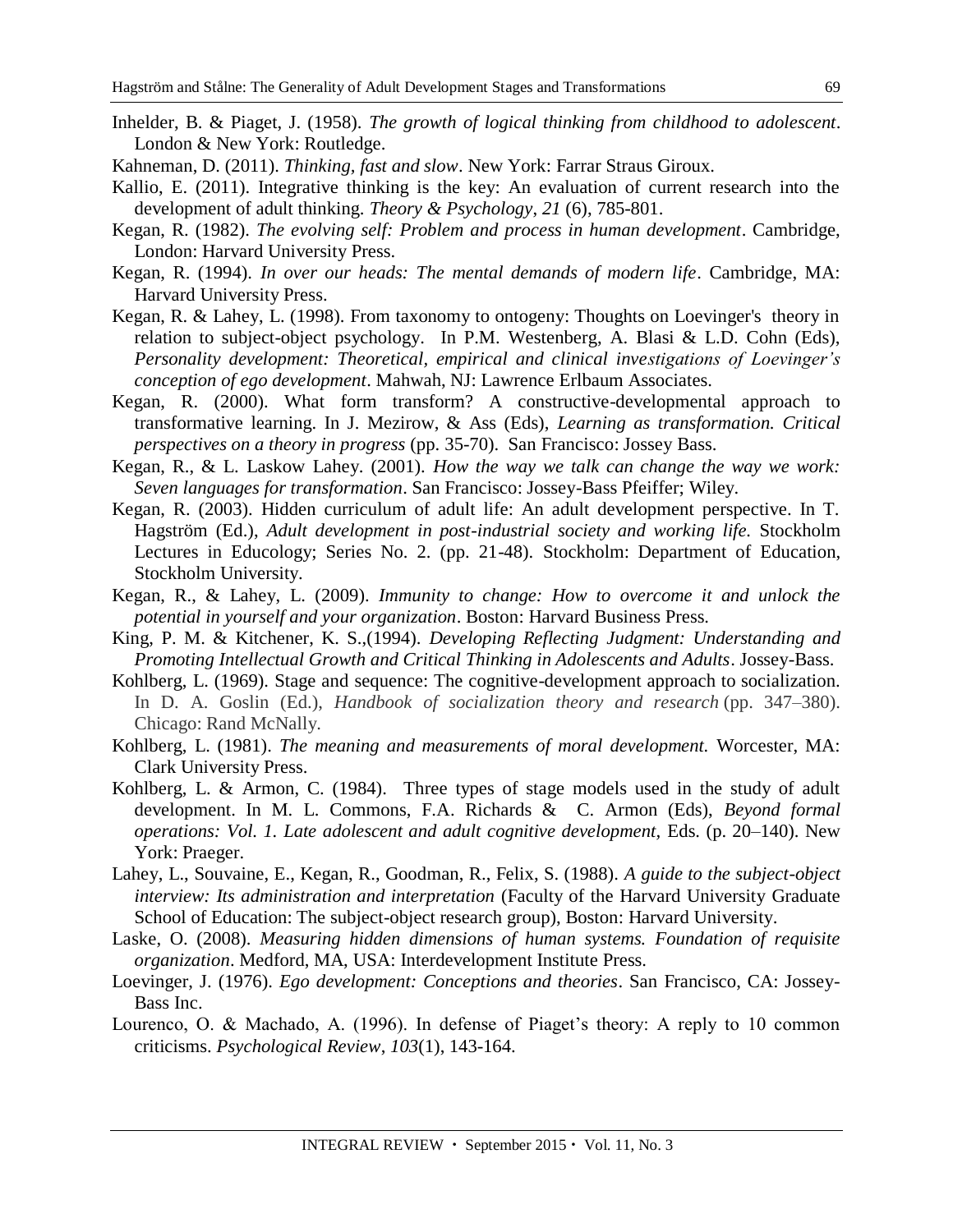- Inhelder, B. & Piaget, J. (1958). *The growth of logical thinking from childhood to adolescent*. London & New York: Routledge.
- Kahneman, D. (2011). *Thinking, fast and slow*. New York: Farrar Straus Giroux.
- Kallio, E. (2011). Integrative thinking is the key: An evaluation of current research into the development of adult thinking. *Theory & Psychology*, *21* (6), 785-801.
- Kegan, R. (1982). *The evolving self: Problem and process in human development*. Cambridge, London: Harvard University Press.
- Kegan, R. (1994). *In over our heads: The mental demands of modern life*. Cambridge, MA: Harvard University Press.
- Kegan, R. & Lahey, L. (1998). From taxonomy to ontogeny: Thoughts on Loevinger's theory in relation to subject-object psychology. In P.M. Westenberg, A. Blasi & L.D. Cohn (Eds), *Personality development: Theoretical, empirical and clinical investigations of Loevinger's conception of ego development*. Mahwah, NJ: Lawrence Erlbaum Associates.
- Kegan, R. (2000). What form transform? A constructive-developmental approach to transformative learning. In J. Mezirow, & Ass (Eds), *Learning as transformation. Critical perspectives on a theory in progress* (pp. 35-70). San Francisco: Jossey Bass.
- Kegan, R., & L. Laskow Lahey. (2001). *How the way we talk can change the way we work: Seven languages for transformation*. San Francisco: Jossey-Bass Pfeiffer; Wiley.
- Kegan, R. (2003). Hidden curriculum of adult life: An adult development perspective. In T. Hagström (Ed.), *Adult development in post-industrial society and working life.* Stockholm Lectures in Educology; Series No. 2. (pp. 21-48). Stockholm: Department of Education, Stockholm University.
- Kegan, R., & Lahey, L. (2009). *Immunity to change: How to overcome it and unlock the potential in yourself and your organization*. Boston: Harvard Business Press.
- King, P. M. & Kitchener, K. S.,(1994). *Developing Reflecting Judgment: Understanding and Promoting Intellectual Growth and Critical Thinking in Adolescents and Adults*. Jossey-Bass.
- Kohlberg, L. (1969). Stage and sequence: The cognitive-development approach to socialization. In D. A. Goslin (Ed.), *Handbook of socialization theory and research* (pp. 347–380). Chicago: Rand McNally.
- Kohlberg, L. (1981). *The meaning and measurements of moral development.* Worcester, MA: Clark University Press.
- Kohlberg, L. & Armon, C. (1984). Three types of stage models used in the study of adult development. In M. L. Commons, F.A. Richards & C. Armon (Eds), *Beyond formal operations: Vol. 1. Late adolescent and adult cognitive development,* Eds. (p. 20–140). New York: Praeger.
- Lahey, L., Souvaine, E., Kegan, R., Goodman, R., Felix, S. (1988). *A guide to the subject-object interview: Its administration and interpretation* (Faculty of the Harvard University Graduate School of Education: The subject-object research group), Boston: Harvard University.
- Laske, O. (2008). *Measuring hidden dimensions of human systems. Foundation of requisite organization*. Medford, MA, USA: Interdevelopment Institute Press.
- Loevinger, J. (1976). *Ego development: Conceptions and theories*. San Francisco, CA: Jossey-Bass Inc.
- Lourenco, O. & Machado, A. (1996). In defense of Piaget's theory: A reply to 10 common criticisms. *Psychological Review*, *103*(1), 143-164.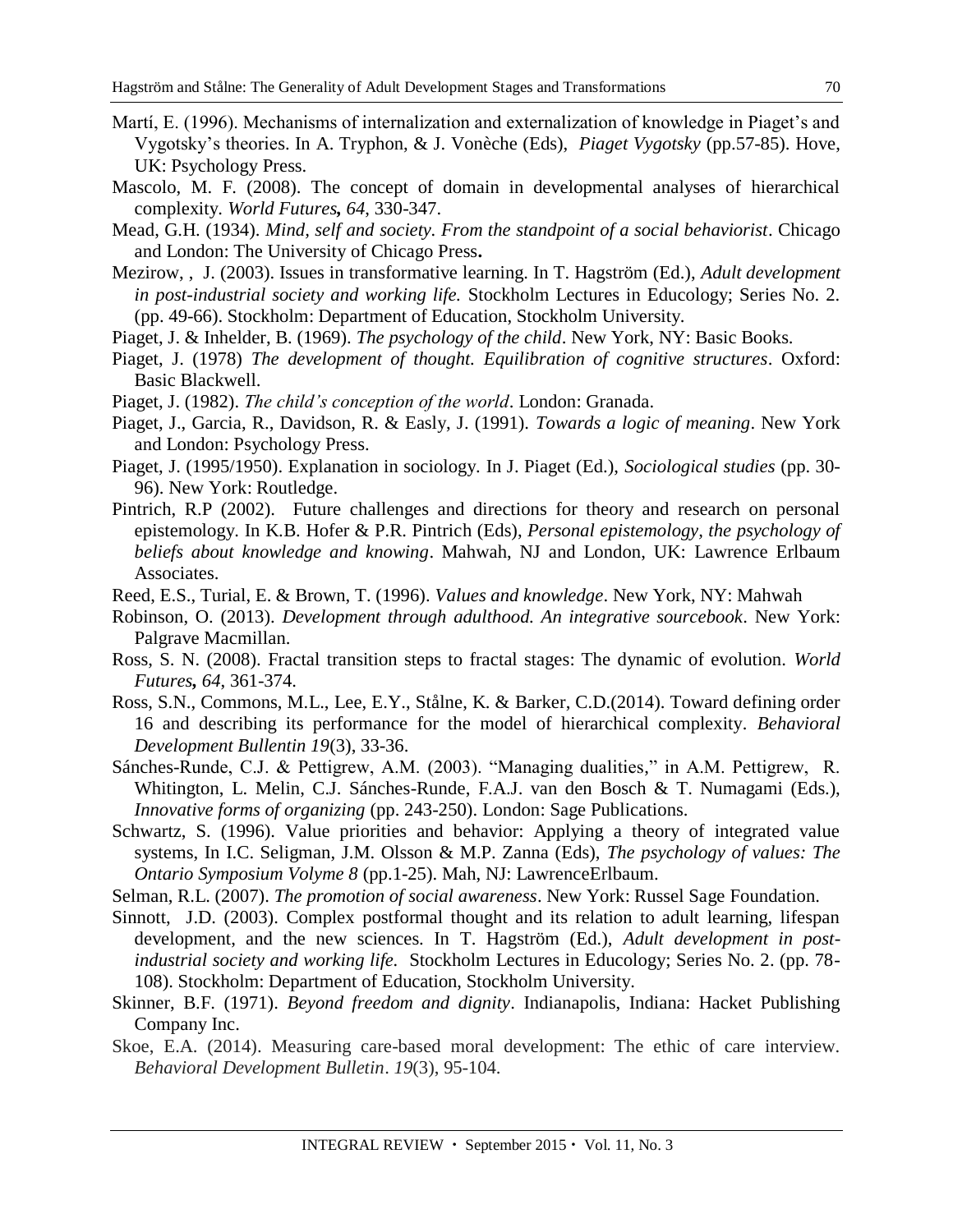- Martí, E. (1996). Mechanisms of internalization and externalization of knowledge in Piaget's and Vygotsky's theories. In A. Tryphon, & J. Vonèche (Eds), *Piaget Vygotsky* (pp.57-85). Hove, UK: Psychology Press.
- Mascolo, M. F. (2008). The concept of domain in developmental analyses of hierarchical complexity. *World Futures, 64*, 330-347.
- Mead, G.H. (1934). *Mind, self and society. From the standpoint of a social behaviorist*. Chicago and London: The University of Chicago Press**.**
- Mezirow, , J. (2003). Issues in transformative learning. In T. Hagström (Ed.), *Adult development in post-industrial society and working life.* Stockholm Lectures in Educology; Series No. 2. (pp. 49-66). Stockholm: Department of Education, Stockholm University.
- Piaget, J. & Inhelder, B. (1969). *The psychology of the child*. New York, NY: Basic Books.
- Piaget, J. (1978) *The development of thought. Equilibration of cognitive structures*. Oxford: Basic Blackwell.
- Piaget, J. (1982). *The child's conception of the world*. London: Granada.
- Piaget, J., Garcia, R., Davidson, R. & Easly, J. (1991). *Towards a logic of meaning*. New York and London: Psychology Press.
- Piaget, J. (1995/1950). Explanation in sociology. In J. Piaget (Ed.), *Sociological studies* (pp. 30- 96). New York: Routledge.
- Pintrich, R.P (2002). Future challenges and directions for theory and research on personal epistemology. In K.B. Hofer & P.R. Pintrich (Eds), *Personal epistemology, the psychology of beliefs about knowledge and knowing*. Mahwah, NJ and London, UK: Lawrence Erlbaum Associates.
- Reed, E.S., Turial, E. & Brown, T. (1996). *Values and knowledge*. New York, NY: Mahwah
- Robinson, O. (2013). *Development through adulthood. An integrative sourcebook*. New York: Palgrave Macmillan.
- Ross, S. N. (2008). Fractal transition steps to fractal stages: The dynamic of evolution. *World Futures, 64*, 361-374.
- Ross, S.N., Commons, M.L., Lee, E.Y., Stålne, K. & Barker, C.D.(2014). Toward defining order 16 and describing its performance for the model of hierarchical complexity*. Behavioral Development Bullentin 19*(3), 33-36.
- Sánches-Runde, C.J. & Pettigrew, A.M. (2003). "Managing dualities," in A.M. Pettigrew, R. Whitington, L. Melin, C.J. Sánches-Runde, F.A.J. van den Bosch & T. Numagami (Eds.), *Innovative forms of organizing* (pp. 243-250). London: Sage Publications.
- Schwartz, S. (1996). Value priorities and behavior: Applying a theory of integrated value systems, In I.C. Seligman, J.M. Olsson & M.P. Zanna (Eds), *The psychology of values: The Ontario Symposium Volyme 8* (pp.1-25). Mah, NJ: LawrenceErlbaum.
- Selman, R.L. (2007). *The promotion of social awareness*. New York: Russel Sage Foundation.
- Sinnott, J.D. (2003). Complex postformal thought and its relation to adult learning, lifespan development, and the new sciences. In T. Hagström (Ed.), *Adult development in postindustrial society and working life.* Stockholm Lectures in Educology; Series No. 2. (pp. 78- 108). Stockholm: Department of Education, Stockholm University.
- Skinner, B.F. (1971). *Beyond freedom and dignity*. Indianapolis, Indiana: Hacket Publishing Company Inc.
- Skoe, E.A. (2014). Measuring care-based moral development: The ethic of care interview. *Behavioral Development Bulletin*. *19*(3), 95-104.